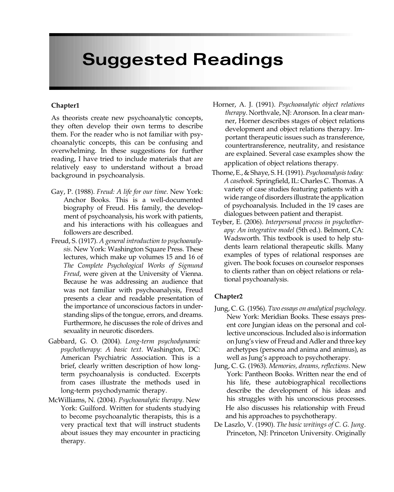# Suggested Readings

#### Chapter1

As theorists create new psychoanalytic concepts, they often develop their own terms to describe them. For the reader who is not familiar with psychoanalytic concepts, this can be confusing and overwhelming. In these suggestions for further reading, I have tried to include materials that are relatively easy to understand without a broad background in psychoanalysis.

- Gay, P. (1988). Freud: A life for our time. New York: Anchor Books. This is a well-documented biography of Freud. His family, the development of psychoanalysis, his work with patients, and his interactions with his colleagues and followers are described.
- Freud, S. (1917). A general introduction to psychoanalysis. New York: Washington Square Press. These lectures, which make up volumes 15 and 16 of The Complete Psychological Works of Sigmund Freud, were given at the University of Vienna. Because he was addressing an audience that was not familiar with psychoanalysis, Freud presents a clear and readable presentation of the importance of unconscious factors in understanding slips of the tongue, errors, and dreams. Furthermore, he discusses the role of drives and sexuality in neurotic disorders.
- Gabbard, G. O. (2004). Long-term psychodynamic psychotherapy: A basic text. Washington, DC: American Psychiatric Association. This is a brief, clearly written description of how longterm psychoanalysis is conducted. Excerpts from cases illustrate the methods used in long-term psychodynamic therapy.
- McWilliams, N. (2004). Psychoanalytic therapy. New York: Guilford. Written for students studying to become psychoanalytic therapists, this is a very practical text that will instruct students about issues they may encounter in practicing therapy.
- Horner, A. J. (1991). Psychoanalytic object relations therapy. Northvale, NJ: Aronson. In a clear manner, Horner describes stages of object relations development and object relations therapy. Important therapeutic issues such as transference, countertransference, neutrality, and resistance are explained. Several case examples show the application of object relations therapy.
- Thorne, E., & Shaye, S. H. (1991). Psychoanalysis today: A casebook. Springfield, IL: Charles C. Thomas. A variety of case studies featuring patients with a wide range of disorders illustrate the application of psychoanalysis. Included in the 19 cases are dialogues between patient and therapist.
- Teyber, E. (2006). Interpersonal process in psychotherapy: An integrative model (5th ed.). Belmont, CA: Wadsworth. This textbook is used to help students learn relational therapeutic skills. Many examples of types of relational responses are given. The book focuses on counselor responses to clients rather than on object relations or relational psychoanalysis.

- Jung, C. G. (1956). Two essays on analytical psychology. New York: Meridian Books. These essays present core Jungian ideas on the personal and collective unconscious. Included also is information on Jung's view of Freud and Adler and three key archetypes (persona and anima and animus), as well as Jung's approach to psychotherapy.
- Jung, C. G. (1963). Memories, dreams, reflections. New York: Pantheon Books. Written near the end of his life, these autobiographical recollections describe the development of his ideas and his struggles with his unconscious processes. He also discusses his relationship with Freud and his approaches to psychotherapy.
- De Laszlo, V. (1990). The basic writings of C. G. Jung. Princeton, NJ: Princeton University. Originally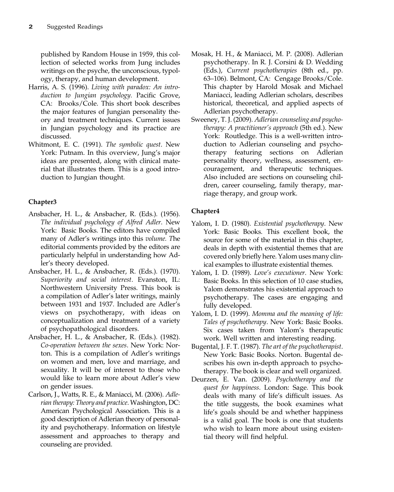published by Random House in 1959, this collection of selected works from Jung includes writings on the psyche, the unconscious, typology, therapy, and human development.

- Harris, A. S. (1996). Living with paradox: An introduction to Jungian psychology. Pacific Grove, CA: Brooks/Cole. This short book describes the major features of Jungian personality theory and treatment techniques. Current issues in Jungian psychology and its practice are discussed.
- Whitmont, E. C. (1991). The symbolic quest. New York: Putnam. In this overview, Jung's major ideas are presented, along with clinical material that illustrates them. This is a good introduction to Jungian thought.

# Chapter3

- Ansbacher, H. L., & Ansbacher, R. (Eds.). (1956). The individual psychology of Alfred Adler. New York: Basic Books. The editors have compiled many of Adler's writings into this volume. The editorial comments provided by the editors are particularly helpful in understanding how Adler's theory developed.
- Ansbacher, H. L., & Ansbacher, R. (Eds.). (1970). Superiority and social interest. Evanston, IL: Northwestern University Press. This book is a compilation of Adler's later writings, mainly between 1931 and 1937. Included are Adler's views on psychotherapy, with ideas on conceptualization and treatment of a variety of psychopathological disorders.
- Ansbacher, H. L., & Ansbacher, R. (Eds.). (1982). Co-operation between the sexes. New York: Norton. This is a compilation of Adler's writings on women and men, love and marriage, and sexuality. It will be of interest to those who would like to learn more about Adler's view on gender issues.
- Carlson, J., Watts, R. E., & Maniacci, M. (2006). Adlerian therapy: Theory and practice. Washington, DC: American Psychological Association. This is a good description of Adlerian theory of personality and psychotherapy. Information on lifestyle assessment and approaches to therapy and tial theory will find helpful. counseling are provided.
- Mosak, H. H., & Maniacci, M. P. (2008). Adlerian psychotherapy. In R. J. Corsini & D. Wedding (Eds.), Current psychotherapies (8th ed., pp. 63–106). Belmont, CA: Cengage Brooks/Cole. This chapter by Harold Mosak and Michael Maniacci, leading Adlerian scholars, describes historical, theoretical, and applied aspects of Adlerian psychotherapy.
- Sweeney, T. J. (2009). Adlerian counseling and psychotherapy: A practitioner's approach (5th ed.). New York: Routledge. This is a well-written introduction to Adlerian counseling and psychotherapy featuring sections on Adlerian personality theory, wellness, assessment, encouragement, and therapeutic techniques. Also included are sections on counseling children, career counseling, family therapy, marriage therapy, and group work.

- Yalom, I. D. (1980). Existential psychotherapy. New York: Basic Books. This excellent book, the source for some of the material in this chapter, deals in depth with existential themes that are covered only briefly here. Yalom uses many clinical examples to illustrate existential themes.
- Yalom, I. D. (1989). Love's executioner. New York: Basic Books. In this selection of 10 case studies, Yalom demonstrates his existential approach to psychotherapy. The cases are engaging and fully developed.
- Yalom, I. D. (1999). Momma and the meaning of life: Tales of psychotherapy. New York: Basic Books. Six cases taken from Yalom's therapeutic work. Well written and interesting reading.
- Bugental, J. F. T. (1987). The art of the psychotherapist. New York: Basic Books. Norton. Bugental describes his own in-depth approach to psychotherapy. The book is clear and well organized.
- Deurzen, E. Van. (2009). Psychotherapy and the quest for happiness. London: Sage. This book deals with many of life's difficult issues. As the title suggests, the book examines what life's goals should be and whether happiness is a valid goal. The book is one that students who wish to learn more about using existen-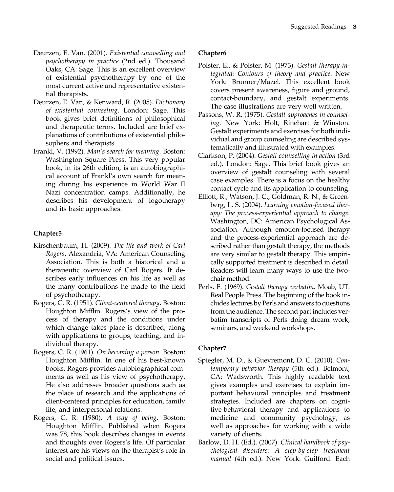- Deurzen, E. Van. (2001). Existential counselling and psychotherapy in practice (2nd ed.). Thousand Oaks, CA: Sage. This is an excellent overview of existential psychotherapy by one of the most current active and representative existential therapists.
- Deurzen, E. Van, & Kenward, R. (2005). Dictionary of existential counseling. London: Sage. This book gives brief definitions of philosophical and therapeutic terms. Included are brief explanations of contributions of existential philosophers and therapists.
- Frankl, V. (1992). Man's search for meaning. Boston: Washington Square Press. This very popular book, in its 26th edition, is an autobiographical account of Frankl's own search for meaning during his experience in World War II Nazi concentration camps. Additionally, he describes his development of logotherapy and its basic approaches.

# Chapter5

- Kirschenbaum, H. (2009). The life and work of Carl Rogers. Alexandria, VA: American Counseling Association. This is both a historical and a therapeutic overview of Carl Rogers. It describes early influences on his life as well as the many contributions he made to the field of psychotherapy.
- Rogers, C. R. (1951). Client-centered therapy. Boston: Houghton Mifflin. Rogers's view of the process of therapy and the conditions under which change takes place is described, along with applications to groups, teaching, and individual therapy.
- Rogers, C. R. (1961). On becoming a person. Boston: Houghton Mifflin. In one of his best-known books, Rogers provides autobiographical comments as well as his view of psychotherapy. He also addresses broader questions such as the place of research and the applications of client-centered principles for education, family life, and interpersonal relations.
- Rogers, C. R. (1980). A way of being. Boston: Houghton Mifflin. Published when Rogers was 78, this book describes changes in events and thoughts over Rogers's life. Of particular interest are his views on the therapist's role in social and political issues.

# Chapter6

- Polster, E., & Polster, M. (1973). Gestalt therapy integrated: Contours of theory and practice. New York: Brunner/Mazel. This excellent book covers present awareness, figure and ground, contact-boundary, and gestalt experiments. The case illustrations are very well written.
- Passons, W. R. (1975). Gestalt approaches in counseling. New York: Holt, Rinehart & Winston. Gestalt experiments and exercises for both individual and group counseling are described systematically and illustrated with examples.
- Clarkson, P. (2004). Gestalt counselling in action (3rd ed.). London: Sage. This brief book gives an overview of gestalt counseling with several case examples. There is a focus on the healthy contact cycle and its application to counseling.
- Elliott, R., Watson, J. C., Goldman, R. N., & Greenberg, L. S. (2004). Learning emotion-focused therapy: The process-experiential approach to change. Washington, DC: American Psychological Association. Although emotion-focused therapy and the process-experiential approach are described rather than gestalt therapy, the methods are very similar to gestalt therapy. This empirically supported treatment is described in detail. Readers will learn many ways to use the twochair method.
- Perls, F. (1969). Gestalt therapy verbatim. Moab, UT: Real People Press. The beginning of the book includes lectures by Perls and answers to questions from the audience. The second part includes verbatim transcripts of Perls doing dream work, seminars, and weekend workshops.

- Spiegler, M. D., & Guevremont, D. C. (2010). Contemporary behavior therapy (5th ed.). Belmont, CA: Wadsworth. This highly readable text gives examples and exercises to explain important behavioral principles and treatment strategies. Included are chapters on cognitive-behavioral therapy and applications to medicine and community psychology, as well as approaches for working with a wide variety of clients.
- Barlow, D. H. (Ed.). (2007). Clinical handbook of psychological disorders: A step-by-step treatment manual (4th ed.). New York: Guilford. Each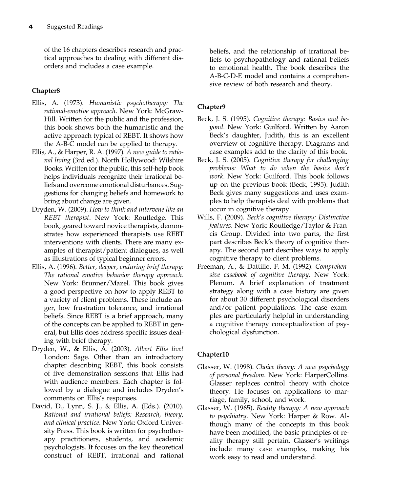of the 16 chapters describes research and practical approaches to dealing with different disorders and includes a case example.

# Chapter8

- Ellis, A. (1973). Humanistic psychotherapy: The rational-emotive approach. New York: McGraw-Hill. Written for the public and the profession, this book shows both the humanistic and the active approach typical of REBT. It shows how the A-B-C model can be applied to therapy.
- Ellis, A., & Harper, R. A. (1997). A new guide to rational living (3rd ed.). North Hollywood: Wilshire Books. Written for the public, this self-help book helps individuals recognize their irrational beliefs and overcome emotional disturbances. Suggestions for changing beliefs and homework to bring about change are given.
- Dryden, W. (2009). How to think and intervene like an REBT therapist. New York: Routledge. This book, geared toward novice therapists, demonstrates how experienced therapists use REBT interventions with clients. There are many examples of therapist/patient dialogues, as well as illustrations of typical beginner errors.
- Ellis, A. (1996). Better, deeper, enduring brief therapy: The rational emotive behavior therapy approach. New York: Brunner/Mazel. This book gives a good perspective on how to apply REBT to a variety of client problems. These include anger, low frustration tolerance, and irrational beliefs. Since REBT is a brief approach, many of the concepts can be applied to REBT in general, but Ellis does address specific issues dealing with brief therapy.
- Dryden, W., & Ellis, A. (2003). Albert Ellis live! London: Sage. Other than an introductory chapter describing REBT, this book consists of five demonstration sessions that Ellis had with audience members. Each chapter is followed by a dialogue and includes Dryden's comments on Ellis's responses.
- David, D., Lynn, S. J., & Ellis, A. (Eds.). (2010). Rational and irrational beliefs: Research, theory, and clinical practice. New York: Oxford University Press. This book is written for psychotherapy practitioners, students, and academic psychologists. It focuses on the key theoretical construct of REBT, irrational and rational

beliefs, and the relationship of irrational beliefs to psychopathology and rational beliefs to emotional health. The book describes the A-B-C-D-E model and contains a comprehensive review of both research and theory.

# Chapter9

- Beck, J. S. (1995). Cognitive therapy: Basics and beyond. New York: Guilford. Written by Aaron Beck's daughter, Judith, this is an excellent overview of cognitive therapy. Diagrams and case examples add to the clarity of this book.
- Beck, J. S. (2005). Cognitive therapy for challenging problems: What to do when the basics don't work. New York: Guilford. This book follows up on the previous book (Beck, 1995). Judith Beck gives many suggestions and uses examples to help therapists deal with problems that occur in cognitive therapy.
- Wills, F. (2009). Beck's cognitive therapy: Distinctive features. New York: Routledge/Taylor & Francis Group. Divided into two parts, the first part describes Beck's theory of cognitive therapy. The second part describes ways to apply cognitive therapy to client problems.
- Freeman, A., & Dattilio, F. M. (1992). Comprehensive casebook of cognitive therapy. New York: Plenum. A brief explanation of treatment strategy along with a case history are given for about 30 different psychological disorders and/or patient populations. The case examples are particularly helpful in understanding a cognitive therapy conceptualization of psychological dysfunction.

- Glasser, W. (1998). Choice theory: A new psychology of personal freedom. New York: HarperCollins. Glasser replaces control theory with choice theory. He focuses on applications to marriage, family, school, and work.
- Glasser, W. (1965). Reality therapy: A new approach to psychiatry. New York: Harper & Row. Although many of the concepts in this book have been modified, the basic principles of reality therapy still pertain. Glasser's writings include many case examples, making his work easy to read and understand.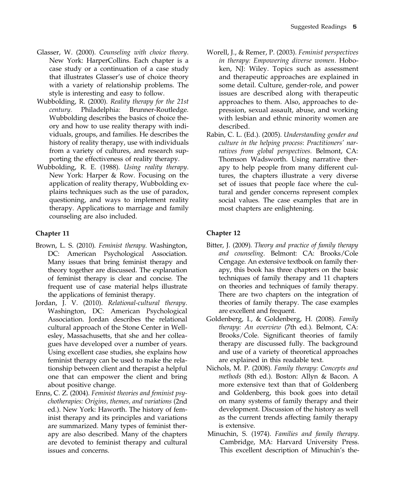- Glasser, W. (2000). Counseling with choice theory. New York: HarperCollins. Each chapter is a case study or a continuation of a case study that illustrates Glasser's use of choice theory with a variety of relationship problems. The style is interesting and easy to follow.
- Wubbolding, R. (2000). Reality therapy for the 21st century. Philadelphia: Brunner-Routledge. Wubbolding describes the basics of choice theory and how to use reality therapy with individuals, groups, and families. He describes the history of reality therapy, use with individuals from a variety of cultures, and research supporting the effectiveness of reality therapy.
- Wubbolding, R. E. (1988). Using reality therapy. New York: Harper & Row. Focusing on the application of reality therapy, Wubbolding explains techniques such as the use of paradox, questioning, and ways to implement reality therapy. Applications to marriage and family counseling are also included.

- Brown, L. S. (2010). Feminist therapy. Washington, DC: American Psychological Association. Many issues that bring feminist therapy and theory together are discussed. The explanation of feminist therapy is clear and concise. The frequent use of case material helps illustrate the applications of feminist therapy.
- Jordan, J. V. (2010). Relational-cultural therapy. Washington, DC: American Psychological Association. Jordan describes the relational cultural approach of the Stone Center in Wellesley, Massachusetts, that she and her colleagues have developed over a number of years. Using excellent case studies, she explains how feminist therapy can be used to make the relationship between client and therapist a helpful one that can empower the client and bring about positive change.
- Enns, C. Z. (2004). Feminist theories and feminist psychotherapies: Origins, themes, and variations (2nd ed.). New York: Haworth. The history of feminist therapy and its principles and variations are summarized. Many types of feminist therapy are also described. Many of the chapters are devoted to feminist therapy and cultural issues and concerns.
- Worell, J., & Remer, P. (2003). Feminist perspectives in therapy: Empowering diverse women. Hoboken, NJ: Wiley. Topics such as assessment and therapeutic approaches are explained in some detail. Culture, gender-role, and power issues are described along with therapeutic approaches to them. Also, approaches to depression, sexual assault, abuse, and working with lesbian and ethnic minority women are described.
- Rabin, C. L. (Ed.). (2005). Understanding gender and culture in the helping process: Practitioners' narratives from global perspectives. Belmont, CA: Thomson Wadsworth. Using narrative therapy to help people from many different cultures, the chapters illustrate a very diverse set of issues that people face where the cultural and gender concerns represent complex social values. The case examples that are in most chapters are enlightening.

# Chapter 11 Chapter 12

- Bitter, J. (2009). Theory and practice of family therapy and counseling. Belmont: CA: Brooks/Cole Cengage. An extensive textbook on family therapy, this book has three chapters on the basic techniques of family therapy and 11 chapters on theories and techniques of family therapy. There are two chapters on the integration of theories of family therapy. The case examples are excellent and frequent.
- Goldenberg, I., & Goldenberg, H. (2008). Family therapy: An overview (7th ed.). Belmont, CA: Brooks/Cole. Significant theories of family therapy are discussed fully. The background and use of a variety of theoretical approaches are explained in this readable text.
- Nichols, M. P. (2008). Family therapy: Concepts and methods (8th ed.). Boston: Allyn & Bacon. A more extensive text than that of Goldenberg and Goldenberg, this book goes into detail on many systems of family therapy and their development. Discussion of the history as well as the current trends affecting family therapy is extensive.
- Minuchin, S. (1974). Families and family therapy. Cambridge, MA: Harvard University Press. This excellent description of Minuchin's the-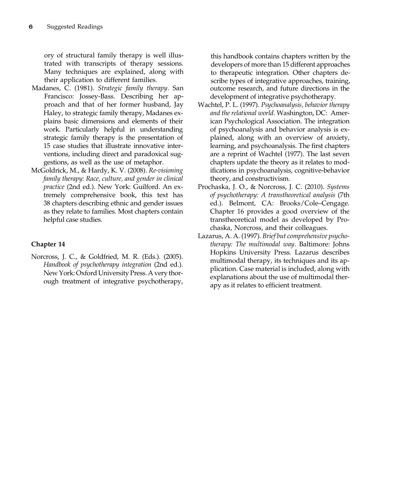ory of structural family therapy is well illustrated with transcripts of therapy sessions. Many techniques are explained, along with their application to different families.

- Madanes, C. (1981). Strategic family therapy. San Francisco: Jossey-Bass. Describing her approach and that of her former husband, Jay Haley, to strategic family therapy, Madanes explains basic dimensions and elements of their work. Particularly helpful in understanding strategic family therapy is the presentation of 15 case studies that illustrate innovative interventions, including direct and paradoxical suggestions, as well as the use of metaphor.
- McGoldrick, M., & Hardy, K. V. (2008). Re-visioning family therapy: Race, culture, and gender in clinical practice (2nd ed.). New York: Guilford. An extremely comprehensive book, this text has 38 chapters describing ethnic and gender issues as they relate to families. Most chapters contain helpful case studies.

### Chapter 14

Norcross, J. C., & Goldfried, M. R. (Eds.). (2005). Handbook of psychotherapy integration (2nd ed.). New York: Oxford University Press. A very thorough treatment of integrative psychotherapy,

this handbook contains chapters written by the developers of more than 15 different approaches to therapeutic integration. Other chapters describe types of integrative approaches, training, outcome research, and future directions in the development of integrative psychotherapy.

- Wachtel, P. L. (1997). Psychoanalysis, behavior therapy and the relational world. Washington, DC: American Psychological Association. The integration of psychoanalysis and behavior analysis is explained, along with an overview of anxiety, learning, and psychoanalysis. The first chapters are a reprint of Wachtel (1977). The last seven chapters update the theory as it relates to modifications in psychoanalysis, cognitive-behavior theory, and constructivism.
- Prochaska, J. O., & Norcross, J. C. (2010). Systems of psychotherapy: A transtheoretical analysis (7th ed.). Belmont, CA: Brooks/Cole–Cengage. Chapter 16 provides a good overview of the transtheoretical model as developed by Prochaska, Norcross, and their colleagues.
- Lazarus, A. A. (1997). Brief but comprehensive psychotherapy: The multimodal way. Baltimore: Johns Hopkins University Press. Lazarus describes multimodal therapy, its techniques and its application. Case material is included, along with explanations about the use of multimodal therapy as it relates to efficient treatment.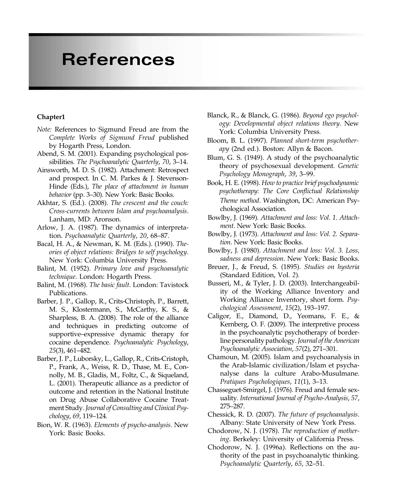# References

- Note: References to Sigmund Freud are from the Complete Works of Sigmund Freud published by Hogarth Press, London.
- Abend, S. M. (2001). Expanding psychological possibilities. The Psychoanalytic Quarterly, 70, 3–14.
- Ainsworth, M. D. S. (1982). Attachment: Retrospect and prospect. In C. M. Parkes & J. Stevenson-Hinde (Eds.), The place of attachment in human behavior (pp. 3–30). New York: Basic Books.
- Akhtar, S. (Ed.). (2008). The crescent and the couch: Cross-currents between Islam and psychoanalysis. Lanham, MD: Aronson.
- Arlow, J. A. (1987). The dynamics of interpretation. Psychoanalytic Quarterly, 20, 68–87.
- Bacal, H. A., & Newman, K. M. (Eds.). (1990). Theories of object relations: Bridges to self psychology. New York: Columbia University Press.
- Balint, M. (1952). Primary love and psychoanalytic technique. London: Hogarth Press.
- Balint, M. (1968). The basic fault. London: Tavistock Publications.
- Barber, J. P., Gallop, R., Crits-Christoph, P., Barrett, M. S., Klostermann, S., McCarthy, K. S., & Sharpless, B. A. (2008). The role of the alliance and techniques in predicting outcome of supportive–expressive dynamic therapy for cocaine dependence. Psychoanalytic Psychology, 25(3), 461–482.
- Barber, J. P., Luborsky, L., Gallop, R., Crits-Cristoph, P., Frank, A., Weiss, R. D., Thase, M. E., Connolly, M. B., Gladis, M., Foltz, C., & Siqueland, L. (2001). Therapeutic alliance as a predictor of outcome and retention in the National Institute on Drug Abuse Collaborative Cocaine Treatment Study. Journal of Consulting and Clinical Psychology, 69, 119–124.
- Bion, W. R. (1963). Elements of psycho-analysis. New York: Basic Books.
- Blanck, R., & Blanck, G. (1986). Beyond ego psychology: Developmental object relations theory. New York: Columbia University Press.
- Bloom, B. L. (1997). Planned short-term psychotherapy (2nd ed.). Boston: Allyn & Bacon.
- Blum, G. S. (1949). A study of the psychoanalytic theory of psychosexual development. Genetic Psychology Monograph, 39, 3–99.
- Book, H. E. (1998). How to practice brief psychodynamic psychotherapy: The Core Conflictual Relationship Theme method. Washington, DC: American Psychological Association.
- Bowlby, J. (1969). Attachment and loss: Vol. 1. Attachment. New York: Basic Books.
- Bowlby, J. (1973). Attachment and loss: Vol. 2. Separation. New York: Basic Books.
- Bowlby, J. (1980). Attachment and loss: Vol. 3. Loss, sadness and depression. New York: Basic Books.
- Breuer, J., & Freud, S. (1895). Studies on hysteria (Standard Edition, Vol. 2).
- Busseri, M., & Tyler, J. D. (2003). Interchangeability of the Working Alliance Inventory and Working Alliance Inventory, short form. Psychological Assessment, 15(2), 193–197.
- Caligor, E., Diamond, D., Yeomans, F. E., & Kernberg, O. F. (2009). The interpretive process in the psychoanalytic psychotherapy of borderline personality pathology. Journal of the American Psychoanalytic Association, 57(2), 271–301.
- Chamoun, M. (2005). Islam and psychoanalysis in the Arab-Islamic civilization/Islam et psychanalyse dans la culture Arabo-Musulmane. Pratiques Psychologiques, 11(1), 3–13.
- Chasseguet-Smirgel, J. (1976). Freud and female sexuality. International Journal of Psycho-Analysis, 57, 275–287.
- Chessick, R. D. (2007). The future of psychoanalysis. Albany: State University of New York Press.
- Chodorow, N. J. (1978). The reproduction of mothering. Berkeley: University of California Press.
- Chodorow, N. J. (1996a). Reflections on the authority of the past in psychoanalytic thinking. Psychoanalytic Quarterly, 65, 32–51.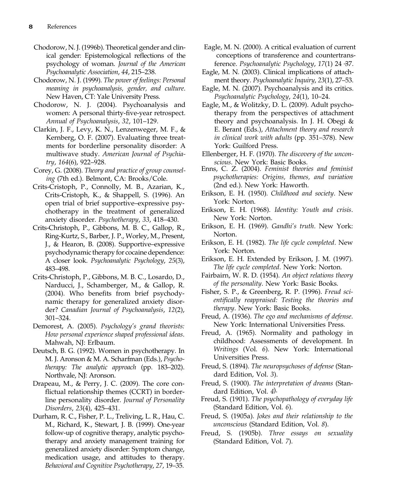- Chodorow, N. J. (1996b). Theoretical gender and clinical gender: Epistemological reflections of the psychology of woman. Journal of the American Psychoanalytic Association, 44, 215–238.
- Chodorow, N. J. (1999). The power of feelings: Personal meaning in psychoanalysis, gender, and culture. New Haven, CT: Yale University Press.
- Chodorow, N. J. (2004). Psychoanalysis and women: A personal thirty-five-year retrospect. Annual of Psychoanalysis, 32, 101–129.
- Clarkin, J. F., Levy, K. N., Lenzenweger, M. F., & Kernberg, O. F. (2007). Evaluating three treatments for borderline personality disorder: A multiwave study. American Journal of Psychiatry, 164(6), 922–928.
- Corey, G. (2008). Theory and practice of group counseling (7th ed.). Belmont, CA: Brooks/Cole.
- Crits-Cristoph, P., Connolly, M. B., Azarian, K., Crits-Cristoph, K., & Shappell, S. (1996). An open trial of brief supportive–expressive psychotherapy in the treatment of generalized anxiety disorder. Psychotherapy, 33, 418–430.
- Crits-Christoph, P., Gibbons, M. B. C., Gallop, R., Ring-Kurtz, S., Barber, J. P., Worley, M., Present, J., & Hearon, B. (2008). Supportive–expressive psychodynamic therapy for cocaine dependence: A closer look. Psychoanalytic Psychology, 25(3), 483–498.
- Crits-Christoph, P., Gibbons, M. B. C., Losardo, D., Narducci, J., Schamberger, M., & Gallop, R. (2004). Who benefits from brief psychodynamic therapy for generalized anxiety disorder? Canadian Journal of Psychoanalysis, 12(2), 301–324.
- Demorest, A. (2005). Psychology's grand theorists: How personal experience shaped professional ideas. Mahwah, NJ: Erlbaum.
- Deutsch, B. G. (1992). Women in psychotherapy. In M. J. Aronson & M. A. Scharfman (Eds.), Psychotherapy: The analytic approach (pp. 183–202). Northvale, NJ: Aronson.
- Drapeau, M., & Perry, J. C. (2009). The core conflictual relationship themes (CCRT) in borderline personality disorder. Journal of Personality Disorders, 23(4), 425–431.
- Durham, R. C., Fisher, P. L., Treliving, L. R., Hau, C. M., Richard, K., Stewart, J. B. (1999). One-year follow-up of cognitive therapy, analytic psychotherapy and anxiety management training for generalized anxiety disorder: Symptom change, medication usage, and attitudes to therapy. Behavioral and Cognitive Psychotherapy, 27, 19–35.
- Eagle, M. N. (2000). A critical evaluation of current conceptions of transference and countertransference. Psychoanalytic Psychology, 17(1) 24 -37.
- Eagle, M. N. (2003). Clinical implications of attachment theory. Psychoanalytic Inquiry, 23(1), 27–53.
- Eagle, M. N. (2007). Psychoanalysis and its critics. Psychoanalytic Psychology, 24(1), 10–24.
- Eagle, M., & Wolitzky, D. L. (2009). Adult psychotherapy from the perspectives of attachment theory and psychoanalysis. In J. H. Obegi & E. Berant (Eds.), Attachment theory and research in clinical work with adults (pp. 351–378). New York: Guilford Press.
- Ellenberger, H. F. (1970). The discovery of the unconscious. New York: Basic Books.
- Enns, C. Z. (2004). Feminist theories and feminist psychotherapies: Origins, themes, and variation (2nd ed.). New York: Haworth.
- Erikson, E. H. (1950). Childhood and society. New York: Norton.
- Erikson, E. H. (1968). Identity: Youth and crisis. New York: Norton.
- Erikson, E. H. (1969). Gandhi's truth. New York: Norton.
- Erikson, E. H. (1982). The life cycle completed. New York: Norton.
- Erikson, E. H. Extended by Erikson, J. M. (1997). The life cycle completed. New York: Norton.
- Fairbairn, W. R. D. (1954). An object relations theory of the personality. New York: Basic Books.
- Fisher, S. P., & Greenberg, R. P. (1996). Freud scientifically reappraised: Testing the theories and therapy. New York: Basic Books.
- Freud, A. (1936). The ego and mechanisms of defense. New York: International Universities Press.
- Freud, A. (1965). Normality and pathology in childhood: Assessments of development. In Writings (Vol. 6). New York: International Universities Press.
- Freud, S. (1894). The neuropsychoses of defense (Standard Edition, Vol. 3).
- Freud, S. (1900). The interpretation of dreams (Standard Edition, Vol. 4).
- Freud, S. (1901). The psychopathology of everyday life (Standard Edition, Vol. 6).
- Freud, S. (1905a). Jokes and their relationship to the unconscious (Standard Edition, Vol. 8).
- Freud, S. (1905b). Three essays on sexuality (Standard Edition, Vol. 7).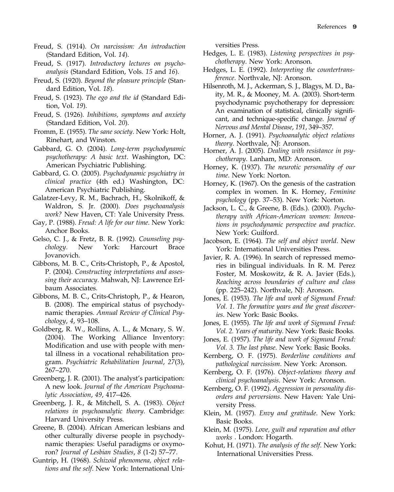- Freud, S. (1914). On narcissism: An introduction (Standard Edition, Vol. 14).
- Freud, S. (1917). Introductory lectures on psychoanalysis (Standard Edition, Vols. 15 and 16).
- Freud, S. (1920). Beyond the pleasure principle (Standard Edition, Vol. 18).
- Freud, S. (1923). The ego and the id (Standard Edition, Vol. 19).
- Freud, S. (1926). Inhibitions, symptoms and anxiety (Standard Edition, Vol. 20).
- Fromm, E. (1955). The sane society. New York: Holt, Rinehart, and Winston.
- Gabbard, G. O. (2004). Long-term psychodynamic psychotherapy: A basic text. Washington, DC: American Psychiatric Publishing.
- Gabbard, G. O. (2005). Psychodynamic psychiatry in clinical practice (4th ed.) Washington, DC: American Psychiatric Publishing.
- Galatzer-Levy, R. M., Bachrach, H., Skolnikoff, & Waldron, S. Jr. (2000). Does psychoanalysis work? New Haven, CT: Yale University Press.
- Gay, P. (1988). Freud: A life for our time. New York: Anchor Books.
- Gelso, C. J., & Fretz, B. R. (1992). Counseling psychology. New York: Harcourt Brace Jovanovich.
- Gibbons, M. B. C., Crits-Christoph, P., & Apostol, P. (2004). Constructing interpretations and assessing their accuracy. Mahwah, NJ: Lawrence Erlbaum Associates.
- Gibbons, M. B. C., Crits-Christoph, P., & Hearon, B. (2008). The empirical status of psychodynamic therapies. Annual Review of Clinical Psychology, 4, 93–108.
- Goldberg, R. W., Rollins, A. L., & Mcnary, S. W. (2004). The Working Alliance Inventory: Modification and use with people with mental illness in a vocational rehabilitation program. Psychiatric Rehabilitation Journal, 27(3), 267–270.
- Greenberg, J. R. (2001). The analyst's participation: A new look. Journal of the American Psychoanalytic Association, 49, 417–426.
- Greenberg, J. R., & Mitchell, S. A. (1983). Object relations in psychoanalytic theory. Cambridge: Harvard University Press.
- Greene, B. (2004). African American lesbians and other culturally diverse people in psychodynamic therapies: Useful paradigms or oxymoron? Journal of Lesbian Studies, 8 (1-2) 57–77.
- Guntrip, H. (1968). Schizoid phenomena, object relations and the self. New York: International Uni-

versities Press.

- Hedges, L. E. (1983). Listening perspectives in psychotherapy. New York: Aronson.
- Hedges, L. E. (1992). Interpreting the countertransference. Northvale, NJ: Aronson.
- Hilsenroth, M. J., Ackerman, S. J., Blagys, M. D., Baity, M. R., & Mooney, M. A. (2003). Short-term psychodynamic psychotherapy for depression: An examination of statistical, clinically significant, and technique-specific change. Journal of Nervous and Mental Disease, 191, 349–357.
- Horner, A. J. (1991). Psychoanalytic object relations theory. Northvale, NJ: Aronson.
- Horner, A. J. (2005). Dealing with resistance in psychotherapy. Lanham, MD: Aronson.
- Horney, K. (1937). The neurotic personality of our time. New York: Norton.
- Horney, K. (1967). On the genesis of the castration complex in women. In K. Horney, Feminine psychology (pp. 37–53). New York: Norton.
- Jackson, L. C., & Greene, B. (Eds.). (2000). Psychotherapy with African-American women: Innovations in psychodynamic perspective and practice. New York: Guilford.
- Jacobson, E. (1964). The self and object world. New York: International Universities Press.
- Javier, R. A. (1996). In search of repressed memories in bilingual individuals. In R. M. Perez Foster, M. Moskowitz, & R. A. Javier (Eds.), Reaching across boundaries of culture and class (pp. 225–242). Northvale, NJ: Aronson.
- Jones, E. (1953). The life and work of Sigmund Freud: Vol. 1. The formative years and the great discoveries. New York: Basic Books.
- Jones, E. (1955). The life and work of Sigmund Freud: Vol. 2. Years of maturity. New York: Basic Books.
- Jones, E. (1957). The life and work of Sigmund Freud: Vol. 3. The last phase. New York: Basic Books.
- Kernberg, O. F. (1975). Borderline conditions and pathological narcissism. New York: Aronson.
- Kernberg, O. F. (1976). Object-relations theory and clinical psychoanalysis. New York: Aronson.
- Kernberg, O. F. (1992). Aggression in personality disorders and perversions. New Haven: Yale University Press.
- Klein, M. (1957). Envy and gratitude. New York: Basic Books.
- Klein, M. (1975). Love, guilt and reparation and other works . London: Hogarth.
- Kohut, H. (1971). The analysis of the self. New York: International Universities Press.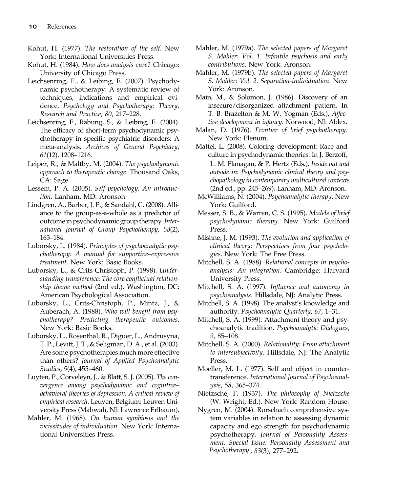- Kohut, H. (1977). The restoration of the self. New York: International Universities Press.
- Kohut, H. (1984). How does analysis cure? Chicago: University of Chicago Press.
- Leichsenring, F., & Leibing, E. (2007). Psychodynamic psychotherapy: A systematic review of techniques, indications and empirical evidence. Psychology and Psychotherapy: Theory, Research and Practice, 80, 217–228.
- Leichsenring, F., Rabung, S., & Leibing, E. (2004). The efficacy of short-term psychodynamic psychotherapy in specific psychiatric disorders: A meta-analysis. Archives of General Psychiatry, 61(12), 1208–1216.
- Leiper, R., & Maltby, M. (2004). The psychodynamic approach to therapeutic change. Thousand Oaks, CA: Sage.
- Lessem, P. A. (2005). Self psychology: An introduction. Lanham, MD: Aronson.
- Lindgren, A., Barber, J. P., & Sandahl, C. (2008). Alliance to the group-as-a-whole as a predictor of outcome in psychodynamic group therapy.International Journal of Group Psychotherapy, 58(2), 163–184.
- Luborsky, L. (1984). Principles of psychoanalytic psychotherapy: A manual for supportive–expressive treatment. New York: Basic Books.
- Luborsky, L., & Crits-Christoph, P. (1998). Understanding transference: The core conflictual relationship theme method (2nd ed.). Washington, DC: American Psychological Association.
- Luborsky, L., Crits-Christoph, P., Mintz, J., & Auberach, A. (1988). Who will benefit from psychotherapy? Predicting therapeutic outcomes. New York: Basic Books.
- Luborsky, L., Rosenthal, R., Diguer, L., Andrusyna, T. P., Levitt, J. T., & Seligman, D. A., et al. (2003). Are some psychotherapies much more effective than others? Journal of Applied Psychoanalytic Studies, 5(4), 455–460.
- Luyten, P., Corveleyn, J., & Blatt, S. J. (2005). The convergence among psychodynamic and cognitive– behavioral theories of depression: A critical review of empirical research. Leuven, Belgium: Leuven University Press (Mahwah, NJ: Lawrence Erlbaum).
- Mahler, M. (1968). On human symbiosis and the vicissitudes of individuation. New York: International Universities Press.
- Mahler, M. (1979a). The selected papers of Margaret S. Mahler: Vol. 1. Infantile psychosis and early contributions. New York: Aronson.
- Mahler, M. (1979b). The selected papers of Margaret S. Mahler: Vol. 2. Separation-individuation. New York: Aronson.
- Main, M., & Solomon, J. (1986). Discovery of an insecure/disorganized attachment pattern. In T. B. Brazelton & M. W. Yogman (Eds.), Affective development in infancy. Norwood, NJ: Ablex.
- Malan, D. (1976). Frontier of brief psychotherapy. New York: Plenum.
- Mattei, L. (2008). Coloring development: Race and culture in psychodynamic theories. In J. Berzoff, L. M. Flanagan, & P. Hertz (Eds.), Inside out and outside in: Psychodynamic clinical theory and psychopathology in contemporary multicultural contexts (2nd ed., pp. 245–269). Lanham, MD: Aronson.
- McWilliams, N. (2004). Psychoanalytic therapy. New York: Guilford.
- Messer, S. B., & Warren, C. S. (1995). Models of brief psychodynamic therapy. New York: Guilford Press.
- Mishne, J. M. (1993). The evolution and application of clinical theory: Perspectives from four psychologies. New York: The Free Press.
- Mitchell, S. A. (1988). Relational concepts in psychoanalysis: An integration. Cambridge: Harvard University Press.
- Mitchell, S. A. (1997). Influence and autonomy in psychoanalysis. Hillsdale, NJ: Analytic Press.
- Mitchell, S. A. (1998). The analyst's knowledge and authority. Psychoanalytic Quarterly, 67, 1–31.
- Mitchell, S. A. (1999). Attachment theory and psychoanalytic tradition. Psychoanalytic Dialogues, 9, 85–108.
- Mitchell, S. A. (2000). Relationality: From attachment to intersubjectivity. Hillsdale, NJ: The Analytic Press.
- Moeller, M. L. (1977). Self and object in countertransference. International Journal of Psychoanalysis, 58, 365–374.
- Nietzsche, F. (1937). The philosophy of Nietzsche (W. Wright, Ed.). New York: Random House.
- Nygren, M. (2004). Rorschach comprehensive system variables in relation to assessing dynamic capacity and ego strength for psychodynamic psychotherapy. Journal of Personality Assessment. Special Issue: Personality Assessment and Psychotherapy , 83(3), 277–292.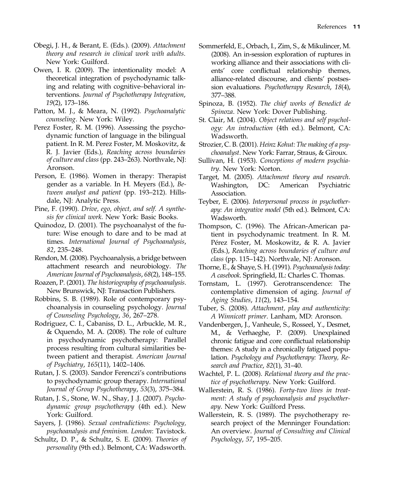- Obegi, J. H., & Berant, E. (Eds.). (2009). Attachment theory and research in clinical work with adults. New York: Guilford.
- Owen, I. R. (2009). The intentionality model: A theoretical integration of psychodynamic talking and relating with cognitive–behavioral interventions. Journal of Psychotherapy Integration, 19(2), 173–186.
- Patton, M. J., & Meara, N. (1992). Psychoanalytic counseling. New York: Wiley.
- Perez Foster, R. M. (1996). Assessing the psychodynamic function of language in the bilingual patient. In R. M. Perez Foster, M. Moskovitz, & R. J. Javier (Eds.), Reaching across boundaries of culture and class (pp. 243–263). Northvale, NJ: Aronson.
- Person, E. (1986). Women in therapy: Therapist gender as a variable. In H. Meyers (Ed.), Between analyst and patient (pp. 193–212). Hillsdale, NJ: Analytic Press.
- Pine, F. (1990). Drive, ego, object, and self. A synthesis for clinical work. New York: Basic Books.
- Quinodoz, D. (2001). The psychoanalyst of the future: Wise enough to dare and to be mad at times. International Journal of Psychoanalysis, 82, 235–248.
- Rendon, M. (2008). Psychoanalysis, a bridge between attachment research and neurobiology. The American Journal of Psychoanalysis, 68(2), 148–155.
- Roazen, P. (2001). The historiography of psychoanalysis. New Brunswick, NJ: Transaction Publishers.
- Robbins, S. B. (1989). Role of contemporary psychoanalysis in counseling psychology. Journal of Counseling Psychology, 36, 267–278.
- Rodriguez, C. I., Cabaniss, D. L., Arbuckle, M. R., & Oquendo, M. A. (2008). The role of culture in psychodynamic psychotherapy: Parallel process resulting from cultural similarities between patient and therapist. American Journal of Psychiatry, 165(11), 1402–1406.
- Rutan, J. S. (2003). Sandor Ferenczi's contributions to psychodynamic group therapy. International Journal of Group Psychotherapy, 53(3), 375–384.
- Rutan, J. S., Stone, W. N., Shay, J .J. (2007). Psychodynamic group psychotherapy (4th ed.). New York: Guilford.
- Sayers, J. (1986). Sexual contradictions: Psychology, psychoanalysis and feminism. London: Tavistock.
- Schultz, D. P., & Schultz, S. E. (2009). Theories of personality (9th ed.). Belmont, CA: Wadsworth.
- Sommerfeld, E., Orbach, I., Zim, S., & Mikulincer, M. (2008). An in-session exploration of ruptures in working alliance and their associations with clients' core conflictual relationship themes, alliance-related discourse, and clients' postsession evaluations. Psychotherapy Research, 18(4), 377–388.
- Spinoza, B. (1952). The chief works of Benedict de Spinoza. New York: Dover Publishing.
- St. Clair, M. (2004). Object relations and self psychology: An introduction (4th ed.). Belmont, CA: Wadsworth.
- Strozier, C. B. (2001). Heinz Kohut: The making of a psychoanalyst. New York: Farrar, Straus, & Giroux.
- Sullivan, H. (1953). Conceptions of modern psychiatry. New York: Norton.
- Target, M. (2005). Attachment theory and research. Washington, DC: American Psychiatric Association.
- Teyber, E. (2006). Interpersonal process in psychotherapy: An integrative model (5th ed.). Belmont, CA: Wadsworth.
- Thompson, C. (1996). The African-American patient in psychodynamic treatment. In R. M. Pérez Foster, M. Moskowitz, & R. A. Javier (Eds.), Reaching across boundaries of culture and class (pp. 115–142). Northvale, NJ: Aronson.
- Thorne, E., & Shaye, S. H. (1991). Psychoanalysis today: A casebook. Springfield, IL: Charles C. Thomas.
- Tornstam, L. (1997). Gerotranscendence: The contemplative dimension of aging. Journal of Aging Studies, 11(2), 143–154.
- Tuber, S. (2008). Attachment, play and authenticity: A Winnicott primer. Lanham, MD: Aronson.
- Vandenbergen, J., Vanheule, S., Rosseel, Y., Desmet, M., & Verhaeghe, P. (2009). Unexplained chronic fatigue and core conflictual relationship themes: A study in a chronically fatigued population. Psychology and Psychotherapy: Theory, Research and Practice, 82(1), 31–40.
- Wachtel, P. L. (2008). Relational theory and the practice of psychotherapy. New York: Guilford.
- Wallerstein, R. S. (1986). Forty-two lives in treatment: A study of psychoanalysis and psychotherapy. New York: Guilford Press.
- Wallerstein, R. S. (1989). The psychotherapy research project of the Menninger Foundation: An overview. Journal of Consulting and Clinical Psychology, 57, 195–205.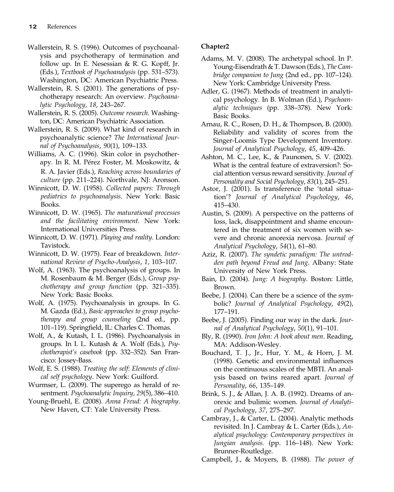- Wallerstein, R. S. (1996). Outcomes of psychoanalysis and psychotherapy of termination and follow up. In E. Nesessian & R. G. Kopff, Jr. (Eds.), Textbook of Psychoanalysis (pp. 531–573). Washington, DC: American Psychiatric Press.
- Wallerstein, R. S. (2001). The generations of psychotherapy research: An overview. Psychoanalytic Psychology, 18, 243–267.
- Wallerstein, R. S. (2005). Outcome research. Washington, DC: American Psychiatric Association.
- Wallerstein, R. S. (2009). What kind of research in psychoanalytic science? The International Journal of Psychoanalysis, 90(1), 109–133.
- Williams, A. C. (1996). Skin color in psychotherapy. In R. M. Pérez Foster, M. Moskowitz, & R. A. Javier (Eds.), Reaching across boundaries of culture (pp. 211–224). Northvale, NJ: Aronson.
- Winnicott, D. W. (1958). Collected papers: Through pediatrics to psychoanalysis. New York: Basic Books.
- Winnicott, D. W. (1965). The maturational processes and the facilitating environment. New York: International Universities Press.
- Winnicott, D. W. (1971). Playing and reality. London: Tavistock.
- Winnicott, D. W. (1975). Fear of breakdown. International Review of Psycho-Analysis, 1, 103–107.
- Wolf, A. (1963). The psychoanalysis of groups. In M. Rosenbaum & M. Berger (Eds.), Group psychotherapy and group function (pp. 321–335). New York: Basic Books.
- Wolf, A. (1975). Psychoanalysis in groups. In G. M. Gazda (Ed.), Basic approaches to group psychotherapy and group counseling (2nd ed., pp. 101–119). Springfield, IL: Charles C. Thomas.
- Wolf, A., & Kutash, I. L. (1986). Psychoanalysis in groups. In I. L. Kutash & A. Wolf (Eds.), Psychotherapist's casebook (pp. 332–352). San Francisco: Jossey-Bass.
- Wolf, E. S. (1988). Treating the self: Elements of clinical self psychology. New York: Guilford.
- Wurmser, L. (2009). The superego as herald of resentment. Psychoanalytic Inquiry, 29(5), 386–410.
- Young-Bruehl, E. (2008). Anna Freud: A biography. New Haven, CT: Yale University Press.

#### Chapter2

- Adams, M. V. (2008). The archetypal school. In P. Young-Eisendrath & T. Dawson (Eds.), The Cambridge companion to Jung (2nd ed., pp. 107–124). New York: Cambridge University Press.
- Adler, G. (1967). Methods of treatment in analytical psychology. In B. Wolman (Ed.), Psychoanalytic techniques (pp. 338–378). New York: Basic Books.
- Arnau, R. C., Rosen, D. H., & Thompson, B. (2000). Reliability and validity of scores from the Singer-Loomis Type Development Inventory. Journal of Analytical Psychology, 45, 409–426.
- Ashton, M. C., Lee, K., & Paunonen, S. V. (2002). What is the central feature of extraversion?: Social attention versus reward sensitivity. Journal of Personality and Social Psychology, 83(1), 245–251.
- Astor, J. (2001). Is transference the 'total situation'? Journal of Analytical Psychology, 46, 415–430.
- Austin, S. (2009). A perspective on the patterns of loss, lack, disappointment and shame encountered in the treatment of six women with severe and chronic anorexia nervosa. Journal of Analytical Psychology, 54(1), 61–80.
- Aziz, R. (2007). The syndetic paradigm: The untrodden path beyond Freud and Jung. Albany: State University of New York Press.
- Bain, D. (2004). Jung: A biography. Boston: Little, Brown.
- Beebe, J. (2004). Can there be a science of the symbolic? Journal of Analytical Psychology, 49(2), 177–191.
- Beebe, J. (2005). Finding our way in the dark. Journal of Analytical Psychology, 50(1), 91–101.
- Bly, R. (1990). Iron John: A book about men. Reading, MA: Addison-Wesley.
- Bouchard, T. J., Jr., Hur, Y. M., & Horn, J. M. (1998). Genetic and environmental influences on the continuous scales of the MBTI. An analysis based on twins reared apart. Journal of Personality, 66, 135–149.
- Brink, S. J., & Allan, J. A. B. (1992). Dreams of anorexic and bulimic women. Journal of Analytical Psychology, 37, 275–297.
- Cambray, J., & Carter, L. (2004). Analytic methods revisited. In J. Cambray & L. Carter (Eds.), Analytical psychology: Contemporary perspectives in Jungian analysis. (pp. 116–148). New York: Brunner-Routledge.

Campbell, J., & Moyers, B. (1988). The power of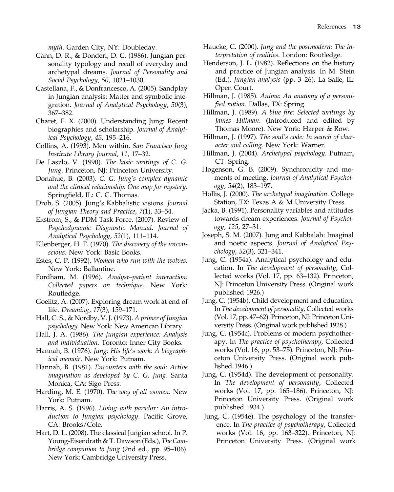myth. Garden City, NY: Doubleday.

- Cann, D. R., & Donderi, D. C. (1986). Jungian personality typology and recall of everyday and archetypal dreams. Journal of Personality and Social Psychology, 50, 1021–1030.
- Castellana, F., & Donfrancesco, A. (2005). Sandplay in Jungian analysis: Matter and symbolic integration. Journal of Analytical Psychology, 50(3), 367–382.
- Charet, F. X. (2000). Understanding Jung: Recent biographies and scholarship. Journal of Analytical Psychology, 45, 195–216.
- Collins, A. (1993). Men within. San Francisco Jung Institute Library Journal, 11, 17–32.
- De Laszlo, V. (1990). The basic writings of C. G. Jung. Princeton, NJ: Princeton University.
- Donahue, B. (2003). C. G. Jung's complex dynamic and the clinical relationship: One map for mystery. Springfield, IL: C. C. Thomas.
- Drob, S. (2005). Jung's Kabbalistic visions. Journal of Jungian Theory and Practice, 7(1), 33–54.
- Ekstrom, S., & PDM Task Force. (2007). Review of Psychodynamic Diagnostic Manual. Journal of Analytical Psychology, 52(1), 111–114.
- Ellenberger, H. F. (1970). The discovery of the unconscious. New York: Basic Books.
- Estes, C. P. (1992). Women who run with the wolves. New York: Ballantine.
- Fordham, M. (1996). Analyst–patient interaction: Collected papers on technique. New York: Routledge.
- Goelitz, A. (2007). Exploring dream work at end of life. Dreaming, 17(3), 159–171.
- Hall, C. S., & Nordby, V. J. (1973). A primer of Jungian psychology. New York: New American Library.
- Hall, J. A. (1986). The Jungian experience: Analysis and individuation. Toronto: Inner City Books.
- Hannah, B. (1976). Jung: His life's work: A biographical memoir. New York: Putnam.
- Hannah, B. (1981). Encounters with the soul: Active imagination as developed by C. G. Jung. Santa Monica, CA: Sigo Press.
- Harding, M. E. (1970). The way of all women. New York: Putnam.
- Harris, A. S. (1996). Living with paradox: An introduction to Jungian psychology. Pacific Grove, CA: Brooks/Cole.
- Hart, D. L. (2008). The classical Jungian school. In P. Young-Eisendrath & T. Dawson (Eds.), The Cambridge companion to Jung (2nd ed., pp. 95–106). New York: Cambridge University Press.
- Haucke, C. (2000). Jung and the postmodern: The interpretation of realities. London: Routledge.
- Henderson, J. L. (1982). Reflections on the history and practice of Jungian analysis. In M. Stein (Ed.), Jungian analysis (pp. 3–26). La Salle, IL: Open Court.
- Hillman, J. (1985). Anima: An anatomy of a personified notion. Dallas, TX: Spring.
- Hillman, J. (1989). A blue fire: Selected writings by James Hillman. (Introduced and edited by Thomas Moore). New York: Harper & Row.
- Hillman, J. (1997). The soul's code: In search of character and calling. New York: Warner.
- Hillman, J. (2004). Archetypal psychology. Putnam, CT: Spring.
- Hogenson, G. B. (2009). Synchronicity and moments of meeting. Journal of Analytical Psychology, 54(2), 183–197.
- Hollis, J. (2000). The archetypal imagination. College Station, TX: Texas A & M University Press.
- Jacka, B. (1991). Personality variables and attitudes towards dream experiences. Journal of Psychology, 125, 27–31.
- Joseph, S. M. (2007). Jung and Kabbalah: Imaginal and noetic aspects. Journal of Analytical Psychology, 52(3), 321–341.
- Jung, C. (1954a). Analytical psychology and education. In The development of personality, Collected works (Vol. 17, pp. 63–132). Princeton, NJ: Princeton University Press. (Original work published 1926.)
- Jung, C. (1954b). Child development and education. In The development of personality, Collected works (Vol. 17, pp. 47–62). Princeton, NJ: Princeton University Press. (Original work published 1928.)
- Jung, C. (1954c). Problems of modern psychotherapy. In The practice of psychotherapy, Collected works (Vol. 16, pp. 53–75). Princeton, NJ: Princeton University Press. (Original work published 1946.)
- Jung, C. (1954d). The development of personality. In The development of personality, Collected works (Vol. 17, pp. 165–186). Princeton, NJ: Princeton University Press. (Original work published 1934.)
- Jung, C. (1954e). The psychology of the transference. In The practice of psychotherapy, Collected works (Vol. 16, pp. 163–322). Princeton, NJ: Princeton University Press. (Original work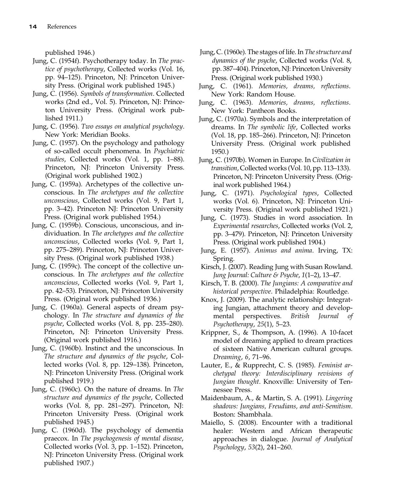published 1946.)

- Jung, C. (1954f). Psychotherapy today. In The practice of psychotherapy, Collected works (Vol. 16, pp. 94–125). Princeton, NJ: Princeton University Press. (Original work published 1945.)
- Jung, C. (1956). Symbols of transformation. Collected works (2nd ed., Vol. 5). Princeton, NJ: Princeton University Press. (Original work published 1911.)
- Jung, C. (1956). Two essays on analytical psychology. New York: Meridian Books.
- Jung, C. (1957). On the psychology and pathology of so-called occult phenomena. In Psychiatric studies, Collected works (Vol. 1, pp. 1–88). Princeton, NJ: Princeton University Press. (Original work published 1902.)
- Jung, C. (1959a). Archetypes of the collective unconscious. In The archetypes and the collective unconscious, Collected works (Vol. 9, Part 1, pp. 3–42). Princeton NJ: Princeton University Press. (Original work published 1954.)
- Jung, C. (1959b). Conscious, unconscious, and individuation. In The archetypes and the collective unconscious, Collected works (Vol. 9, Part 1, pp. 275–289). Princeton, NJ: Princeton University Press. (Original work published 1938.)
- Jung, C. (1959c). The concept of the collective unconscious. In The archetypes and the collective unconscious, Collected works (Vol. 9, Part 1, pp. 42–53). Princeton, NJ: Princeton University Press. (Original work published 1936.)
- Jung, C. (1960a). General aspects of dream psychology. In The structure and dynamics of the psyche, Collected works (Vol. 8, pp. 235–280). Princeton, NJ: Princeton University Press. (Original work published 1916.)
- Jung, C. (1960b). Instinct and the unconscious. In The structure and dynamics of the psyche, Collected works (Vol. 8, pp. 129–138). Princeton, NJ: Princeton University Press. (Original work published 1919.)
- Jung, C. (1960c). On the nature of dreams. In The structure and dynamics of the psyche, Collected works (Vol. 8, pp. 281–297). Princeton, NJ: Princeton University Press. (Original work published 1945.)
- Jung, C. (1960d). The psychology of dementia praecox. In The psychogenesis of mental disease, Collected works (Vol. 3, pp. 1–152). Princeton, NJ: Princeton University Press. (Original work published 1907.)
- Jung, C. (1960e). The stages of life. In The structure and dynamics of the psyche, Collected works (Vol. 8, pp. 387–404). Princeton, NJ: Princeton University Press. (Original work published 1930.)
- Jung, C. (1961). Memories, dreams, reflections. New York: Random House.
- Jung, C. (1963). Memories, dreams, reflections. New York: Pantheon Books.
- Jung, C. (1970a). Symbols and the interpretation of dreams. In The symbolic life, Collected works (Vol. 18, pp. 185–266). Princeton, NJ: Princeton University Press. (Original work published 1950.)
- Jung, C. (1970b). Women in Europe. In Civilization in transition, Collected works (Vol. 10, pp. 113–133). Princeton, NJ: Princeton University Press. (Original work published 1964.)
- Jung, C. (1971). Psychological types, Collected works (Vol. 6). Princeton, NJ: Princeton University Press. (Original work published 1921.)
- Jung, C. (1973). Studies in word association. In Experimental researches, Collected works (Vol. 2, pp. 3–479). Princeton, NJ: Princeton University Press. (Original work published 1904.)
- Jung, E. (1957). Animus and anima. Irving, TX: Spring.
- Kirsch, J. (2007). Reading Jung with Susan Rowland. Jung Journal: Culture & Psyche, 1(1–2), 13–47.
- Kirsch, T. B. (2000). The Jungians: A comparative and historical perspective. Philadelphia: Routledge.
- Knox, J. (2009). The analytic relationship: Integrating Jungian, attachment theory and developmental perspectives. British Journal of Psychotherapy, 25(1), 5–23.
- Krippner, S., & Thompson, A. (1996). A 10-facet model of dreaming applied to dream practices of sixteen Native American cultural groups. Dreaming, 6, 71–96.
- Lauter, E., & Rupprecht, C. S. (1985). Feminist archetypal theory: Interdisciplinary revisions of Jungian thought. Knoxville: University of Tennessee Press.
- Maidenbaum, A., & Martin, S. A. (1991). Lingering shadows: Jungians, Freudians, and anti-Semitism. Boston: Shambhala.
- Maiello, S. (2008). Encounter with a traditional healer: Western and African therapeutic approaches in dialogue. Journal of Analytical Psychology, 53(2), 241–260.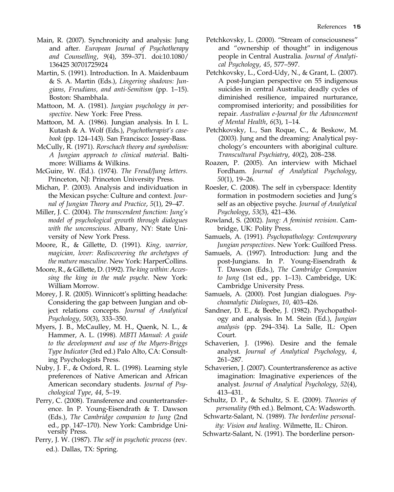- Main, R. (2007). Synchronicity and analysis: Jung and after. European Journal of Psychotherapy and Counselling, 9(4), 359–371. doi:10.1080/ 136425 30701725924
- Martin, S. (1991). Introduction. In A. Maidenbaum & S. A. Martin (Eds.), Lingering shadows: Jungians, Freudians, and anti-Semitism (pp. 1–15). Boston: Shambhala.
- Mattoon, M. A. (1981). Jungian psychology in perspective. New York: Free Press.
- Mattoon, M. A. (1986). Jungian analysis. In I. L. Kutash & A. Wolf (Eds.), Psychotherapist's casebook (pp. 124–143). San Francisco: Jossey-Bass.
- McCully, R. (1971). Rorschach theory and symbolism: A Jungian approach to clinical material. Baltimore: Williams & Wilkins.
- McGuire, W. (Ed.). (1974). The Freud/Jung letters. Princeton, NJ: Princeton University Press.
- Michan, P. (2003). Analysis and individuation in the Mexican psyche: Culture and context. Journal of Jungian Theory and Practice, 5(1), 29–47.
- Miller, J. C. (2004). The transcendent function: Jung's model of psychological growth through dialogues with the unconscious. Albany, NY: State University of New York Press.
- Moore, R., & Gillette, D. (1991). King, warrior, magician, lover: Rediscovering the archetypes of the mature masculine. New York: HarperCollins.
- Moore, R., & Gillette, D. (1992). The king within: Accessing the king in the male psyche. New York: William Morrow.
- Morey, J. R. (2005). Winnicott's splitting headache: Considering the gap between Jungian and object relations concepts. Journal of Analytical Psychology, 50(3), 333–350.
- Myers, J. B., McCaulley, M. H., Quenk, N. L., & Hammer, A. L. (1998). MBTI Manual: A guide to the development and use of the Myers-Briggs Type Indicator (3rd ed.) Palo Alto, CA: Consulting Psychologists Press.
- Nuby, J. F., & Oxford, R. L. (1998). Learning style preferences of Native American and African American secondary students. Journal of Psychological Type, 44, 5–19.
- Perry, C. (2008). Transference and countertransference. In P. Young-Eisendrath & T. Dawson (Eds.), The Cambridge companion to Jung (2nd ed., pp. 147–170). New York: Cambridge Uni- versity Press.
- Perry, J. W. (1987). The self in psychotic process (rev. ed.). Dallas, TX: Spring.
- Petchkovsky, L. (2000). "Stream of consciousness" and "ownership of thought" in indigenous people in Central Australia. Journal of Analytical Psychology, 45, 577–597.
- Petchkovsky, L., Cord-Udy, N., & Grant, L. (2007). A post-Jungian perspective on 55 indigenous suicides in central Australia; deadly cycles of diminished resilience, impaired nurturance, compromised interiority; and possibilities for repair. Australian e-Journal for the Advancement of Mental Health, 6(3), 1–14.
- Petchkovsky, L., San Roque, C., & Beskow, M. (2003). Jung and the dreaming: Analytical psychology's encounters with aboriginal culture. Transcultural Psychiatry, 40(2), 208–238.
- Roazen, P. (2005). An interview with Michael Fordham. Journal of Analytical Psychology, 50(1), 19–26.
- Roesler, C. (2008). The self in cyberspace: Identity formation in postmodern societies and Jung's self as an objective psyche. Journal of Analytical Psychology, 53(3), 421–436.
- Rowland, S. (2002). Jung: A feminist revision. Cambridge, UK: Polity Press.
- Samuels, A. (1991). Psychopathology: Contemporary Jungian perspectives. New York: Guilford Press.
- Samuels, A. (1997). Introduction: Jung and the post-Jungians. In P. Young-Eisendrath & T. Dawson (Eds.), The Cambridge Companion to Jung (1st ed., pp. 1–13). Cambridge, UK: Cambridge University Press.
- Samuels, A. (2000). Post Jungian dialogues. Psychoanalytic Dialogues, 10, 403–426.
- Sandner, D. E., & Beebe, J. (1982). Psychopathology and analysis. In M. Stein (Ed.), Jungian analysis (pp. 294–334). La Salle, IL: Open Court.
- Schaverien, J. (1996). Desire and the female analyst. Journal of Analytical Psychology, 4, 261–287.
- Schaverien, J. (2007). Countertransference as active imagination: Imaginative experiences of the analyst. Journal of Analytical Psychology, 52(4), 413–431.
- Schultz, D. P., & Schultz, S. E. (2009). Theories of personality (9th ed.). Belmont, CA: Wadsworth.
- Schwartz-Salant, N. (1989). The borderline personality: Vision and healing. Wilmette, IL: Chiron.
- Schwartz-Salant, N. (1991). The borderline person-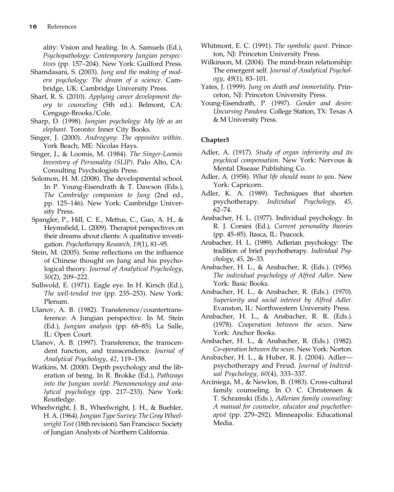ality: Vision and healing. In A. Samuels (Ed.), Psychopathology: Contemporary Jungian perspectives (pp. 157–204). New York: Guilford Press.

- Shamdasani, S. (2003). Jung and the making of modern psychology: The dream of a science. Cambridge, UK: Cambridge University Press.
- Sharf, R. S. (2010). Applying career development theory to counseling (5th ed.). Belmont, CA: Cengage-Brooks/Cole.
- Sharp, D. (1998). Jungian psychology: My life as an elephant. Toronto: Inner City Books.
- Singer, J. (2000). Androgyny: The opposites within. York Beach, ME: Nicolas Hays.
- Singer, J., & Loomis, M. (1984). The Singer-Loomis Inventory of Personality (SLIP). Palo Alto, CA: Consulting Psychologists Press.
- Solomon, H. M. (2008). The developmental school. In P. Young-Eisendrath & T. Dawson (Eds.), The Cambridge companion to Jung (2nd ed., pp. 125–146). New York: Cambridge University Press.
- Spangler, P., Hill, C. E., Mettus, C., Guo, A. H., & Heymsfield, L. (2009). Therapist perspectives on their dreams about clients: A qualitative investigation. Psychotherapy Research, 19(1), 81–95.
- Stein, M. (2005). Some reflections on the influence of Chinese thought on Jung and his psychological theory. Journal of Analytical Psychology, 50(2), 209–222.
- Sullwold, E. (1971). Eagle eye. In H. Kirsch (Ed.), The well-tended tree (pp. 235–253). New York: Plenum.
- Ulanov, A. B. (1982). Transference/countertransference: A Jungian perspective. In M. Stein (Ed.), Jungian analysis (pp. 68–85). La Salle, IL: Open Court.
- Ulanov, A. B. (1997). Transference, the transcendent function, and transcendence. Journal of Analytical Psychology, 42, 119–138.
- Watkins, M. (2000). Depth psychology and the liberation of being. In R. Brokke (Ed.), Pathways into the Jungian world: Phenomenology and analytical psychology (pp. 217–233). New York: Routledge.
- Wheelwright, J. B., Wheelwright, J. H., & Buehler, H. A. (1964). Jungian Type Survey: The Gray Wheelwright Test (18th revision). San Francisco: Society of Jungian Analysts of Northern California.
- Whitmont, E. C. (1991). The symbolic quest. Princeton, NJ: Princeton University Press.
- Wilkinson, M. (2004). The mind-brain relationship: The emergent self. Journal of Analytical Psychol $ogy, 49(1), 83-101.$
- Yates, J. (1999). Jung on death and immortality. Princeton, NJ: Princeton University Press.
- Young-Eisendrath, P. (1997). Gender and desire: Uncursing Pandora. College Station, TX: Texas A & M University Press.

- Adler, A. (1917). Study of organ inferiority and its psychical compensation. New York: Nervous & Mental Disease Publishing Co.
- Adler, A. (1958). What life should mean to you. New York: Capricorn.
- Adler, K. A. (1989). Techniques that shorten psychotherapy. Individual Psychology, 45, 62–74.
- Ansbacher, H. L. (1977). Individual psychology. In R. J. Corsini (Ed.), Current personality theories (pp. 45–85). Itasca, IL: Peacock.
- Ansbacher, H. L. (1989). Adlerian psychology: The tradition of brief psychotherapy. Individual Psychology, 45, 26–33.
- Ansbacher, H. L., & Ansbacher, R. (Eds.). (1956). The individual psychology of Alfred Adler. New York: Basic Books.
- Ansbacher, H. L., & Ansbacher, R. (Eds.). (1970). Superiority and social interest by Alfred Adler. Evanston, IL: Northwestern University Press.
- Ansbacher, H. L., & Ansbacher, R. R. (Eds.). (1978). Cooperation between the sexes. New York: Anchor Books.
- Ansbacher, H. L., & Ansbacher, R. (Eds.). (1982). Co-operation between the sexes. New York: Norton.
- Ansbacher, H. L., & Huber, R. J. (2004). Adler psychotherapy and Freud. Journal of Individual Psychology, 60(4), 333–337.
- Arciniega, M., & Newlon, B. (1983). Cross-cultural family counseling. In O. C. Christensen & T. Schramski (Eds.), Adlerian family counseling: A manual for counselor, educator and psychotherapist (pp. 279–292). Minneapolis: Educational Media.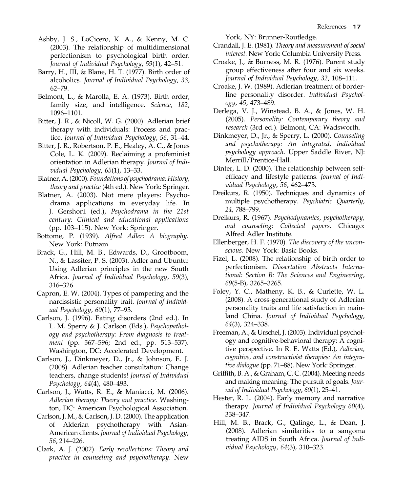- Ashby, J. S., LoCicero, K. A., & Kenny, M. C. (2003). The relationship of multidimensional perfectionism to psychological birth order. Journal of Individual Psychology, 59(1), 42–51.
- Barry, H., III, & Blane, H. T. (1977). Birth order of alcoholics. Journal of Individual Psychology, 33, 62–79.
- Belmont, L., & Marolla, E. A. (1973). Birth order, family size, and intelligence. Science, 182, 1096–1101.
- Bitter, J. R., & Nicoll, W. G. (2000). Adlerian brief therapy with individuals: Process and practice. Journal of Individual Psychology, 56, 31–44.
- Bitter, J. R., Robertson, P. E., Healey, A. C., & Jones Cole, L. K. (2009). Reclaiming a profeminist orientation in Adlerian therapy. Journal of Individual Psychology, 65(1), 13–33.
- Blatner, A. (2000). Foundations of psychodrama: History, theory and practice (4th ed.). New York: Springer.
- Blatner, A. (2003). Not mere players: Psychodrama applications in everyday life. In J. Gershoni (ed.), Psychodrama in the 21st century: Clinical and educational applications (pp. 103–115). New York: Springer.
- Bottome, P. (1939). Alfred Adler: A biography. New York: Putnam.
- Brack, G., Hill, M. B., Edwards, D., Grootboom, N., & Lassiter, P. S. (2003). Adler and Ubuntu: Using Adlerian principles in the new South Africa. Journal of Individual Psychology, 59(3), 316–326.
- Capron, E. W. (2004). Types of pampering and the narcissistic personality trait. Journal of Individual Psychology, 60(1), 77–93.
- Carlson, J. (1996). Eating disorders (2nd ed.). In L. M. Sperry & J. Carlson (Eds.), Psychopathology and psychotherapy: From diagnosis to treatment (pp. 567–596; 2nd ed., pp. 513–537). Washington, DC: Accelerated Development.
- Carlson, J., Dinkmeyer, D., Jr., & Johnson, E. J. (2008). Adlerian teacher consultation: Change teachers, change students! Journal of Individual Psychology, 64(4), 480–493.
- Carlson, J., Watts, R. E., & Maniacci, M. (2006). Adlerian therapy: Theory and practice. Washington, DC: American Psychological Association.
- Carlson, J. M., & Carlson, J. D. (2000). The application of Alderian psychotherapy with Asian-American clients. Journal of Individual Psychology, 56, 214–226.
- Clark, A. J. (2002). Early recollections: Theory and practice in counseling and psychotherapy. New

York, NY: Brunner-Routledge.

- Crandall, J. E. (1981). Theory and measurement of social interest. New York: Columbia University Press.
- Croake, J., & Burness, M. R. (1976). Parent study group effectiveness after four and six weeks. Journal of Individual Psychology, 32, 108–111.
- Croake, J. W. (1989). Adlerian treatment of borderline personality disorder. Individual Psychology, 45, 473–489.
- Derlega, V. J., Winstead, B. A., & Jones, W. H. (2005). Personality: Contemporary theory and research (3rd ed.). Belmont, CA: Wadsworth.
- Dinkmeyer, D., Jr., & Sperry, L. (2000). Counseling and psychotherapy: An integrated, individual psychology approach. Upper Saddle River, NJ: Merrill/Prentice-Hall.
- Dinter, L. D. (2000). The relationship between selfefficacy and lifestyle patterns. Journal of Individual Psychology, 56, 462–473.
- Dreikurs, R. (1950). Techniques and dynamics of multiple psychotherapy. Psychiatric Quarterly, 24, 788–799.
- Dreikurs, R. (1967). Psychodynamics, psychotherapy, and counseling: Collected papers. Chicago: Alfred Adler Institute.
- Ellenberger, H. F. (1970). The discovery of the unconscious. New York: Basic Books.
- Fizel, L. (2008). The relationship of birth order to perfectionism. Dissertation Abstracts International: Section B: The Sciences and Engineering, 69(5-B), 3265–3265.
- Foley, Y. C., Matheny, K. B., & Curlette, W. L. (2008). A cross-generational study of Adlerian personality traits and life satisfaction in mainland China. Journal of Individual Psychology, 64(3), 324–338.
- Freeman, A., & Urschel, J. (2003). Individual psychology and cognitive-behavioral therapy: A cognitive perspective. In R. E. Watts (Ed.), Adlerian, cognitive, and constructivist therapies: An integrative dialogue (pp. 71–88). New York: Springer.
- Griffith, B. A., & Graham, C. C. (2004). Meeting needs and making meaning: The pursuit of goals. Journal of Individual Psychology, 60(1), 25–41.
- Hester, R. L. (2004). Early memory and narrative therapy. Journal of Individual Psychology 60(4), 338–347.
- Hill, M. B., Brack, G., Qalinge, L., & Dean, J. (2008). Adlerian similarities to a sangoma treating AIDS in South Africa. Journal of Individual Psychology, 64(3), 310–323.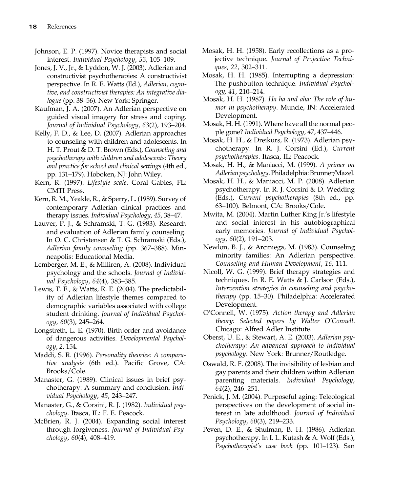- Johnson, E. P. (1997). Novice therapists and social interest. Individual Psychology, 53, 105–109.
- Jones, J. V., Jr., & Lyddon, W. J. (2003). Adlerian and constructivist psychotherapies: A constructivist perspective. In R. E. Watts (Ed.), Adlerian, cognitive, and constructivist therapies: An integrative dialogue (pp. 38–56). New York: Springer.
- Kaufman, J. A. (2007). An Adlerian perspective on guided visual imagery for stress and coping. Journal of Individual Psychology, 63(2), 193–204.
- Kelly, F. D., & Lee, D. (2007). Adlerian approaches to counseling with children and adolescents. In H. T. Prout & D. T. Brown (Eds.), Counseling and psychotherapy with children and adolescents: Theory and practice for school and clinical settings (4th ed., pp. 131–179). Hoboken, NJ: John Wiley.
- Kern, R. (1997). Lifestyle scale. Coral Gables, FL: CMTI Press.
- Kern, R. M., Yeakle, R., & Sperry, L. (1989). Survey of contemporary Adlerian clinical practices and therapy issues. Individual Psychology, 45, 38–47.
- Lauver, P. J., & Schramski, T. G. (1983). Research and evaluation of Adlerian family counseling. In O. C. Christensen & T. G. Schramski (Eds.), Adlerian family counseling (pp. 367–388). Minneapolis: Educational Media.
- Lemberger, M. E., & Milliren, A. (2008). Individual psychology and the schools. Journal of Individual Psychology, 64(4), 383–385.
- Lewis, T. F., & Watts, R. E. (2004). The predictability of Adlerian lifestyle themes compared to demographic variables associated with college student drinking. Journal of Individual Psychology, 60(3), 245–264.
- Longstreth, L. E. (1970). Birth order and avoidance of dangerous activities. Developmental Psychology, 2, 154.
- Maddi, S. R. (1996). Personality theories: A comparative analysis (6th ed.). Pacific Grove, CA: Brooks/Cole.
- Manaster, G. (1989). Clinical issues in brief psychotherapy: A summary and conclusion. Individual Psychology, 45, 243–247.
- Manaster, G., & Corsini, R. J. (1982). Individual psychology. Itasca, IL: F. E. Peacock.
- McBrien, R. J. (2004). Expanding social interest through forgiveness. Journal of Individual Psychology, 60(4), 408–419.
- Mosak, H. H. (1958). Early recollections as a projective technique. Journal of Projective Techniques, 22, 302–311.
- Mosak, H. H. (1985). Interrupting a depression: The pushbutton technique. Individual Psychology, 41, 210–214.
- Mosak, H. H. (1987). Ha ha and aha: The role of humor in psychotherapy. Muncie, IN: Accelerated Development.
- Mosak, H. H. (1991). Where have all the normal people gone? Individual Psychology, 47, 437–446.
- Mosak, H. H., & Dreikurs, R. (1973). Adlerian psychotherapy. In R. J. Corsini (Ed.), Current psychotherapies. Itasca, IL: Peacock.
- Mosak, H. H., & Maniacci, M. (1999). A primer on Adlerian psychology. Philadelphia: Brunner/Mazel.
- Mosak, H. H., & Maniacci, M. P. (2008). Adlerian psychotherapy. In R. J. Corsini & D. Wedding (Eds.), Current psychotherapies (8th ed., pp. 63–100). Belmont, CA: Brooks/Cole.
- Mwita, M. (2004). Martin Luther King Jr.'s lifestyle and social interest in his autobiographical early memories. Journal of Individual Psychology, 60(2), 191–203.
- Newlon, B. J., & Arciniega, M. (1983). Counseling minority families: An Adlerian perspective. Counseling and Human Development, 16, 111.
- Nicoll, W. G. (1999). Brief therapy strategies and techniques. In R. E. Watts & J. Carlson (Eds.), Intervention strategies in counseling and psychotherapy (pp. 15–30). Philadelphia: Accelerated Development.
- O'Connell, W. (1975). Action therapy and Adlerian theory: Selected papers by Walter O'Connell. Chicago: Alfred Adler Institute.
- Oberst, U. E., & Stewart, A. E. (2003). Adlerian psychotherapy: An advanced approach to individual psychology. New York: Brunner/Routledge.
- Oswald, R. F. (2008). The invisibility of lesbian and gay parents and their children within Adlerian parenting materials. Individual Psychology, 64(2), 246–251.
- Penick, J. M. (2004). Purposeful aging: Teleological perspectives on the development of social interest in late adulthood. Journal of Individual Psychology, 60(3), 219–233.
- Peven, D. E., & Shulman, B. H. (1986). Adlerian psychotherapy. In I. L. Kutash & A. Wolf (Eds.), Psychotherapist's case book (pp. 101–123). San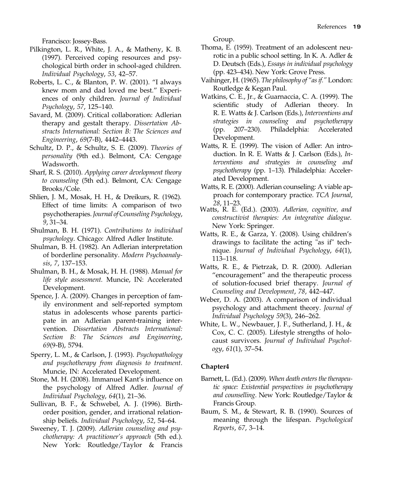Francisco: Jossey-Bass.

- Pilkington, L. R., White, J. A., & Matheny, K. B. (1997). Perceived coping resources and psychological birth order in school-aged children. Individual Psychology, 53, 42–57.
- Roberts, L. C., & Blanton, P. W. (2001). "I always knew mom and dad loved me best." Experiences of only children. Journal of Individual Psychology, 57, 125–140.
- Savard, M. (2009). Critical collaboration: Adlerian therapy and gestalt therapy. Dissertation Abstracts International: Section B: The Sciences and Engineering, 69(7-B), 4442–4443.
- Schultz, D. P., & Schultz, S. E. (2009). Theories of personality (9th ed.). Belmont, CA: Cengage Wadsworth.
- Sharf, R. S. (2010). Applying career development theory to counseling (5th ed.). Belmont, CA: Cengage Brooks/Cole.
- Shlien, J. M., Mosak, H. H., & Dreikurs, R. (1962). Effect of time limits: A comparison of two psychotherapies.Journal of Counseling Psychology, 9, 31–34.
- Shulman, B. H. (1971). Contributions to individual psychology. Chicago: Alfred Adler Institute.
- Shulman, B. H. (1982). An Adlerian interpretation of borderline personality. Modern Psychoanalysis, 7, 137–153.
- Shulman, B. H., & Mosak, H. H. (1988). Manual for life style assessment. Muncie, IN: Accelerated Development.
- Spence, J. A. (2009). Changes in perception of family environment and self-reported symptom status in adolescents whose parents participate in an Adlerian parent-training intervention. Dissertation Abstracts International: Section B: The Sciences and Engineering, 69(9-B), 5794.
- Sperry, L. M., & Carlson, J. (1993). Psychopathology and psychotherapy from diagnosis to treatment. Muncie, IN: Accelerated Development.
- Stone, M. H. (2008). Immanuel Kant's influence on the psychology of Alfred Adler. Journal of Individual Psychology, 64(1), 21–36.
- Sullivan, B. F., & Schwebel, A. J. (1996). Birthorder position, gender, and irrational relationship beliefs. Individual Psychology, 52, 54–64.
- Sweeney, T. J. (2009). Adlerian counseling and psychotherapy: A practitioner's approach (5th ed.). New York: Routledge/Taylor & Francis

Group.

- Thoma, E. (1959). Treatment of an adolescent neurotic in a public school setting. In K. A. Adler & D. Deutsch (Eds.), Essays in individual psychology (pp. 423–434). New York: Grove Press.
- Vaihinger, H. (1965). The philosophy of "as if." London: Routledge & Kegan Paul.
- Watkins, C. E., Jr., & Guarnaccia, C. A. (1999). The scientific study of Adlerian theory. In R. E. Watts & J. Carlson (Eds.), Interventions and strategies in counseling and psychotherapy (pp. 207–230). Philadelphia: Accelerated Development.
- Watts, R. E. (1999). The vision of Adler: An introduction. In R. E. Watts & J. Carlson (Eds.), Interventions and strategies in counseling and psychotherapy (pp. 1–13). Philadelphia: Accelerated Development.
- Watts, R. E. (2000). Adlerian counseling: A viable approach for contemporary practice. TCA Journal, 28, 11–23.
- Watts, R. E. (Ed.). (2003). Adlerian, cognitive, and constructivist therapies: An integrative dialogue. New York: Springer.
- Watts, R. E., & Garza, Y. (2008). Using children's drawings to facilitate the acting "as if" technique. Journal of Individual Psychology, 64(1), 113–118.
- Watts, R. E., & Pietrzak, D. R. (2000). Adlerian "encouragement" and the therapeutic process of solution-focused brief therapy. Journal of Counseling and Development, 78, 442–447.
- Weber, D. A. (2003). A comparison of individual psychology and attachment theory. Journal of Individual Psychology 59(3), 246–262.
- White, L. W., Newbauer, J. F., Sutherland, J. H., & Cox, C. C. (2005). Lifestyle strengths of holocaust survivors. Journal of Individual Psychology, 61(1), 37–54.

- Barnett, L. (Ed.). (2009). When death enters the therapeutic space: Existential perspectives in psychotherapy and counselling. New York: Routledge/Taylor & Francis Group.
- Baum, S. M., & Stewart, R. B. (1990). Sources of meaning through the lifespan. Psychological Reports, 67, 3–14.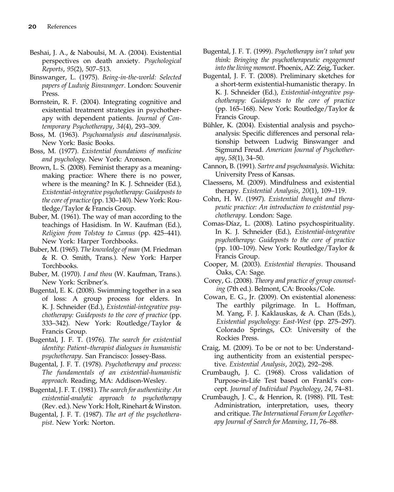- Beshai, J. A., & Naboulsi, M. A. (2004). Existential perspectives on death anxiety. Psychological Reports, 95(2), 507–513.
- Binswanger, L. (1975). Being-in-the-world: Selected papers of Ludwig Binswanger. London: Souvenir Press.
- Bornstein, R. F. (2004). Integrating cognitive and existential treatment strategies in psychotherapy with dependent patients. Journal of Contemporary Psychotherapy, 34(4), 293–309.
- Boss, M. (1963). Psychoanalysis and daseinanalysis. New York: Basic Books.
- Boss, M. (1977). Existential foundations of medicine and psychology. New York: Aronson.
- Brown, L. S. (2008). Feminist therapy as a meaningmaking practice: Where there is no power, where is the meaning? In K. J. Schneider (Ed.), Existential-integrative psychotherapy: Guideposts to the core of practice (pp. 130–140). New York: Routledge/Taylor & Francis Group.
- Buber, M. (1961). The way of man according to the teachings of Hasidism. In W. Kaufman (Ed.), Religion from Tolstoy to Camus (pp. 425–441). New York: Harper Torchbooks.
- Buber, M. (1965). The knowledge of man (M. Friedman & R. O. Smith, Trans.). New York: Harper Torchbooks.
- Buber, M. (1970). I and thou (W. Kaufman, Trans.). New York: Scribner's.
- Bugental, E. K. (2008). Swimming together in a sea of loss: A group process for elders. In K. J. Schneider (Ed.), Existential-integrative psychotherapy: Guideposts to the core of practice (pp. 333–342). New York: Routledge/Taylor & Francis Group.
- Bugental, J. F. T. (1976). The search for existential identity: Patient–therapist dialogues in humanistic psychotherapy. San Francisco: Jossey-Bass.
- Bugental, J. F. T. (1978). Psychotherapy and process: The fundamentals of an existential-humanistic approach. Reading, MA: Addison-Wesley.
- Bugental, J. F. T. (1981). The search for authenticity: An existential-analytic approach to psychotherapy (Rev. ed.). New York: Holt, Rinehart & Winston.
- Bugental, J. F. T. (1987). The art of the psychotherapist. New York: Norton.
- Bugental, J. F. T. (1999). Psychotherapy isn't what you think: Bringing the psychotherapeutic engagement into the living moment. Phoenix, AZ: Zeig, Tucker.
- Bugental, J. F. T. (2008). Preliminary sketches for a short-term existential-humanistic therapy. In K. J. Schneider (Ed.), Existential-integrative psychotherapy: Guideposts to the core of practice (pp. 165–168). New York: Routledge/Taylor & Francis Group.
- Bühler, K. (2004). Existential analysis and psychoanalysis: Specific differences and personal relationship between Ludwig Binswanger and Sigmund Freud. American Journal of Psychotherapy, 58(1), 34–50.
- Cannon, B. (1991). Sartre and psychoanalysis. Wichita: University Press of Kansas.
- Claessens, M. (2009). Mindfulness and existential therapy. Existential Analysis, 20(1), 109–119.
- Cohn, H. W. (1997). Existential thought and therapeutic practice: An introduction to existential psychotherapy. London: Sage.
- Comas-Díaz, L. (2008). Latino psychospirituality. In K. J. Schneider (Ed.), Existential-integrative psychotherapy: Guideposts to the core of practice (pp. 100–109). New York: Routledge/Taylor & Francis Group.
- Cooper, M. (2003). Existential therapies. Thousand Oaks, CA: Sage.
- Corey, G. (2008). Theory and practice of group counseling (7th ed.). Belmont, CA: Brooks/Cole.
- Cowan, E. G., Jr. (2009). On existential aloneness: The earthly pilgrimage. In L. Hoffman, M. Yang, F. J. Kaklauskas, & A. Chan (Eds.), Existential psychology: East-West (pp. 275–297). Colorado Springs, CO: University of the Rockies Press.
- Craig, M. (2009). To be or not to be: Understanding authenticity from an existential perspective. Existential Analysis, 20(2), 292–298.
- Crumbaugh, J. C. (1968). Cross validation of Purpose-in-Life Test based on Frankl's concept. Journal of Individual Psychology, 24, 74–81.
- Crumbaugh, J. C., & Henrion, R. (1988). PIL Test: Administration, interpretation, uses, theory and critique. The International Forum for Logotherapy Journal of Search for Meaning, 11, 76–88.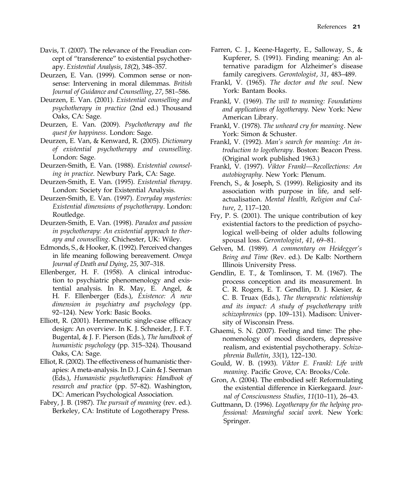- Davis, T. (2007). The relevance of the Freudian concept of "transference" to existential psychotherapy. Existential Analysis, 18(2), 348–357.
- Deurzen, E. Van. (1999). Common sense or nonsense: Intervening in moral dilemmas. British Journal of Guidance and Counselling, 27, 581–586.
- Deurzen, E. Van. (2001). Existential counselling and psychotherapy in practice (2nd ed.) Thousand Oaks, CA: Sage.
- Deurzen, E. Van. (2009). Psychotherapy and the quest for happiness. London: Sage.
- Deurzen, E. Van, & Kenward, R. (2005). Dictionary of existential psychotherapy and counselling. London: Sage.
- Deurzen-Smith, E. Van. (1988). Existential counseling in practice. Newbury Park, CA: Sage.
- Deurzen-Smith, E. Van. (1995). Existential therapy. London: Society for Existential Analysis.
- Deurzen-Smith, E. Van. (1997). Everyday mysteries: Existential dimensions of psychotherapy. London: Routledge.
- Deurzen-Smith, E. Van. (1998). Paradox and passion in psychotherapy: An existential approach to therapy and counselling. Chichester, UK: Wiley.
- Edmonds, S., & Hooker, K. (1992). Perceived changes in life meaning following bereavement. Omega Journal of Death and Dying, 25, 307–318.
- Ellenberger, H. F. (1958). A clinical introduction to psychiatric phenomenology and existential analysis. In R. May, E. Angel, & H. F. Ellenberger (Eds.), Existence: A new dimension in psychiatry and psychology (pp. 92–124). New York: Basic Books.
- Elliott, R. (2001). Hermeneutic single-case efficacy design: An overview. In K. J. Schneider, J. F.T. Bugental, & J. F. Pierson (Eds.), The handbook of humanistic psychology (pp. 315–324). Thousand Oaks, CA: Sage.
- Elliot, R. (2002). The effectiveness of humanistic therapies: A meta-analysis. In D. J. Cain & J. Seeman (Eds.), Humanistic psychotherapies: Handbook of research and practice (pp. 57–82). Washington, DC: American Psychological Association.
- Fabry, J. B. (1987). The pursuit of meaning (rev. ed.). Berkeley, CA: Institute of Logotherapy Press.
- Farren, C. J., Keene-Hagerty, E., Salloway, S., & Kupferer, S. (1991). Finding meaning: An alternative paradigm for Alzheimer's disease family caregivers. Gerontologist, 31, 483–489.
- Frankl, V. (1965). The doctor and the soul. New York: Bantam Books.
- Frankl, V. (1969). The will to meaning: Foundations and applications of logotherapy. New York: New American Library.
- Frankl, V. (1978). The unheard cry for meaning. New York: Simon & Schuster.
- Frankl, V. (1992). Man's search for meaning: An introduction to logotherapy. Boston: Beacon Press. (Original work published 1963.)
- Frankl, V. (1997). Viktor Frankl—Recollections: An autobiography. New York: Plenum.
- French, S., & Joseph, S. (1999). Religiosity and its association with purpose in life, and selfactualisation. Mental Health, Religion and Culture, 2, 117–120.
- Fry, P. S. (2001). The unique contribution of key existential factors to the prediction of psychological well-being of older adults following spousal loss. Gerontologist, 41, 69–81.
- Gelven, M. (1989). A commentary on Heidegger's Being and Time (Rev. ed.). De Kalb: Northern Illinois University Press.
- Gendlin, E. T., & Tomlinson, T. M. (1967). The process conception and its measurement. In C. R. Rogers, E. T. Gendlin, D. J. Kiesier, & C. B. Truax (Eds.), The therapeutic relationship and its impact: A study of psychotherapy with schizophrenics (pp. 109–131). Madison: University of Wisconsin Press.
- Ghaemi, S. N. (2007). Feeling and time: The phenomenology of mood disorders, depressive realism, and existential psychotherapy. Schizophrenia Bulletin, 33(1), 122–130.
- Gould, W. B. (1993). Viktor E. Frankl: Life with meaning. Pacific Grove, CA: Brooks/Cole.
- Gron, A. (2004). The embodied self: Reformulating the existential difference in Kierkegaard. Journal of Consciousness Studies, 11(10–11), 26–43.
- Guttmann, D. (1996). Logotherapy for the helping professional: Meaningful social work. New York: Springer.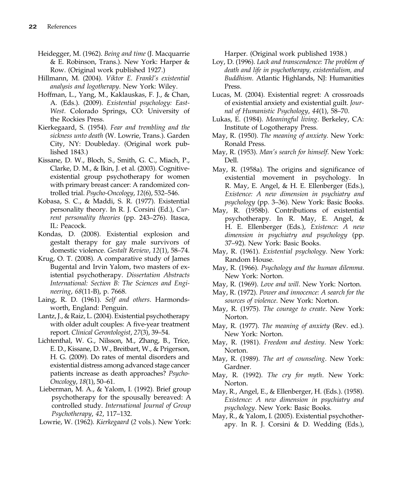- Heidegger, M. (1962). Being and time (J. Macquarrie & E. Robinson, Trans.). New York: Harper & Row. (Original work published 1927.)
- Hillmann, M. (2004). Viktor E. Frankl's existential analysis and logotherapy. New York: Wiley.
- Hoffman, L., Yang, M., Kaklauskas, F. J., & Chan, A. (Eds.). (2009). Existential psychology: East-West. Colorado Springs, CO: University of the Rockies Press.
- Kierkegaard, S. (1954). Fear and trembling and the sickness unto death (W. Lowrie, Trans.). Garden City, NY: Doubleday. (Original work published 1843.)
- Kissane, D. W., Bloch, S., Smith, G. C., Miach, P., Clarke, D. M., & Ikin, J. et al. (2003). Cognitiveexistential group psychotherapy for women with primary breast cancer: A randomized controlled trial. Psycho-Oncology, 12(6), 532–546.
- Kobasa, S. C., & Maddi, S. R. (1977). Existential personality theory. In R. J. Corsini (Ed.), Current personality theories (pp. 243–276). Itasca, IL: Peacock.
- Kondas, D. (2008). Existential explosion and gestalt therapy for gay male survivors of domestic violence. Gestalt Review, 12(1), 58–74.
- Krug, O. T. (2008). A comparative study of James Bugental and Irvin Yalom, two masters of existential psychotherapy. Dissertation Abstracts International: Section B: The Sciences and Engineering, 68(11-B), p. 7668.
- Laing, R. D. (1961). Self and others. Harmondsworth, England: Penguin.
- Lantz, J., & Raiz, L. (2004). Existential psychotherapy with older adult couples: A five-year treatment report. Clinical Gerontologist, 27(3), 39–54.
- Lichtenthal, W. G., Nilsson, M., Zhang, B., Trice, E. D., Kissane, D. W., Breitbart, W., & Prigerson, H. G. (2009). Do rates of mental disorders and existential distress among advanced stage cancer patients increase as death approaches? Psycho-Oncology, 18(1), 50–61.
- Lieberman, M. A., & Yalom, I. (1992). Brief group psychotherapy for the spousally bereaved: A controlled study. International Journal of Group Psychotherapy, 42, 117–132.
- Lowrie, W. (1962). Kierkegaard (2 vols.). New York:

Harper. (Original work published 1938.)

- Loy, D. (1996). Lack and transcendence: The problem of death and life in psychotherapy, existentialism, and Buddhism. Atlantic Highlands, NJ: Humanities Press.
- Lucas, M. (2004). Existential regret: A crossroads of existential anxiety and existential guilt. Journal of Humanistic Psychology, 44(1), 58–70.
- Lukas, E. (1984). Meaningful living. Berkeley, CA: Institute of Logotherapy Press.
- May, R. (1950). The meaning of anxiety. New York: Ronald Press.
- May, R. (1953). Man's search for himself. New York: Dell.
- May, R. (1958a). The origins and significance of existential movement in psychology. In R. May, E. Angel, & H. E. Ellenberger (Eds.), Existence: A new dimension in psychiatry and psychology (pp. 3–36). New York: Basic Books.
- May, R. (1958b). Contributions of existential psychotherapy. In R. May, E. Angel, & H. E. Ellenberger (Eds.), Existence: A new dimension in psychiatry and psychology (pp. 37–92). New York: Basic Books.
- May, R. (1961). Existential psychology. New York: Random House.
- May, R. (1966). Psychology and the human dilemma. New York: Norton.
- May, R. (1969). Love and will. New York: Norton.
- May, R. (1972). Power and innocence: A search for the sources of violence. New York: Norton.
- May, R. (1975). The courage to create. New York: Norton.
- May, R. (1977). The meaning of anxiety (Rev. ed.). New York: Norton.
- May, R. (1981). Freedom and destiny. New York: Norton.
- May, R. (1989). The art of counseling. New York: Gardner.
- May, R. (1992). The cry for myth. New York: Norton.
- May, R., Angel, E., & Ellenberger, H. (Eds.). (1958). Existence: A new dimension in psychiatry and psychology. New York: Basic Books.
- May, R., & Yalom, I. (2005). Existential psychotherapy. In R. J. Corsini & D. Wedding (Eds.),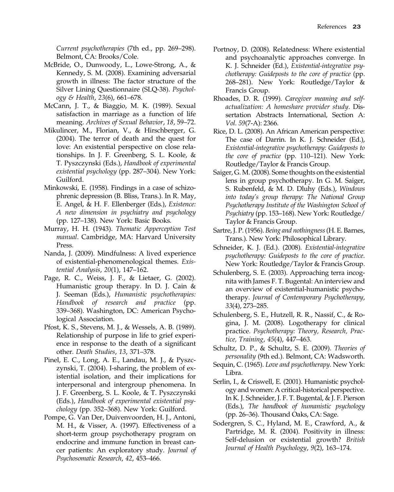Current psychotherapies (7th ed., pp. 269–298). Belmont, CA: Brooks/Cole.

- McBride, O., Dunwoody, L., Lowe-Strong, A., & Kennedy, S. M. (2008). Examining adversarial growth in illness: The factor structure of the Silver Lining Questionnaire (SLQ-38). Psychology & Health, 23(6), 661–678.
- McCann, J. T., & Biaggio, M. K. (1989). Sexual satisfaction in marriage as a function of life meaning. Archives of Sexual Behavior, 18, 59–72.
- Mikulincer, M., Florian, V., & Hirschberger, G. (2004). The terror of death and the quest for love: An existential perspective on close relationships. In J. F. Greenberg, S. L. Koole, & T. Pyszczynski (Eds.), Handbook of experimental existential psychology (pp. 287–304). New York: Guilford.
- Minkowski, E. (1958). Findings in a case of schizophrenic depression (B. Bliss, Trans.). In R. May, E. Angel, & H. F. Ellenberger (Eds.), Existence: A new dimension in psychiatry and psychology (pp. 127–138). New York: Basic Books.
- Murray, H. H. (1943). Thematic Apperception Test manual. Cambridge, MA: Harvard University Press.
- Nanda, J. (2009). Mindfulness: A lived experience of existential-phenomenological themes. Existential Analysis, 20(1), 147–162.
- Page, R. C., Weiss, J. F., & Lietaer, G. (2002). Humanistic group therapy. In D. J. Cain & J. Seeman (Eds.), Humanistic psychotherapies: Handbook of research and practice (pp. 339–368). Washington, DC: American Psychological Association.
- Pfost, K. S., Stevens, M. J., & Wessels, A. B. (1989). Relationship of purpose in life to grief experience in response to the death of a significant other. Death Studies, 13, 371–378.
- Pinel, E. C., Long, A. E., Landau, M. J., & Pyszczynski, T. (2004). I-sharing, the problem of existential isolation, and their implications for interpersonal and intergroup phenomena. In J. F. Greenberg, S. L. Koole, & T. Pyszczynski (Eds.), Handbook of experimental existential psychology (pp. 352–368). New York: Guilford.
- Pompe, G. Van Der, Duivenvoorden, H. J., Antoni, M. H., & Visser, A. (1997). Effectiveness of a short-term group psychotherapy program on endocrine and immune function in breast cancer patients: An exploratory study. Journal of Psychosomatic Research, 42, 453–466.
- Portnoy, D. (2008). Relatedness: Where existential and psychoanalytic approaches converge. In K. J. Schneider (Ed.), Existential-integrative psychotherapy: Guideposts to the core of practice (pp. 268–281). New York: Routledge/Taylor & Francis Group.
- Rhoades, D. R. (1999). Caregiver meaning and selfactualization: A homeshare provider study. Dissertation Abstracts International, Section A: Vol. 59(7-A): 2366.
- Rice, D. L. (2008). An African American perspective: The case of Darrin. In K. J. Schneider (Ed.), Existential-integrative psychotherapy: Guideposts to the core of practice (pp. 110–121). New York: Routledge/Taylor & Francis Group.
- Saiger, G. M. (2008). Some thoughts on the existential lens in group psychotherapy. In G. M. Saiger, S. Rubenfeld, & M. D. Dluhy (Eds.), Windows into today's group therapy: The National Group Psychotherapy Institute of the Washington School of Psychiatry (pp. 153–168). New York: Routledge/ Taylor & Francis Group.
- Sartre, J. P. (1956). Being and nothingness(H. E. Barnes, Trans.). New York: Philosophical Library.
- Schneider, K. J. (Ed.). (2008). Existential-integrative psychotherapy: Guideposts to the core of practice. New York: Routledge/Taylor & Francis Group.
- Schulenberg, S. E. (2003). Approaching terra incognita with James F. T. Bugental: An interview and an overview of existential-humanistic psychotherapy. Journal of Contemporary Psychotherapy, 33(4), 273–285.
- Schulenberg, S. E., Hutzell, R. R., Nassif, C., & Rogina, J. M. (2008). Logotherapy for clinical practice. Psychotherapy: Theory, Research, Practice, Training, 45(4), 447–463.
- Schultz, D. P., & Schultz, S. E. (2009). Theories of personality (9th ed.). Belmont, CA: Wadsworth.
- Sequin, C. (1965). Love and psychotherapy. New York: Libra.
- Serlin, I., & Criswell, E. (2001). Humanistic psychology and women: A critical-historical perspective. In K. J. Schneider, J. F. T. Bugental, & J. F. Pierson (Eds.), The handbook of humanistic psychology (pp. 26–36). Thousand Oaks, CA: Sage.
- Sodergren, S. C., Hyland, M. E., Crawford, A., & Partridge, M. R. (2004). Positivity in illness: Self-delusion or existential growth? British Journal of Health Psychology, 9(2), 163–174.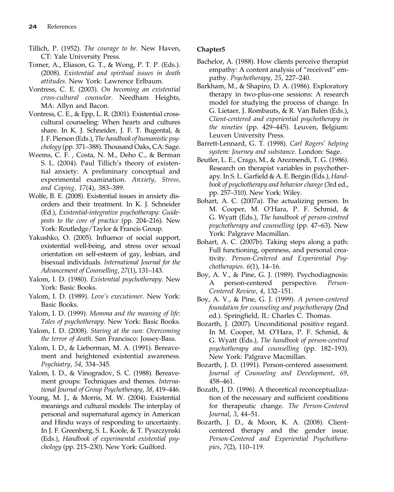- Tillich, P. (1952). The courage to be. New Haven, CT: Yale University Press.
- Tomer, A., Eliason, G. T., & Wong, P. T. P. (Eds.). (2008). Existential and spiritual issues in death attitudes. New York: Lawrence Erlbaum.
- Vontress, C. E. (2003). On becoming an existential cross-cultural counselor. Needham Heights, MA: Allyn and Bacon.
- Vontress, C. E., & Epp, L. R. (2001). Existential crosscultural counseling: When hearts and cultures share. In K. J. Schneider, J. F. T. Bugental, & J. F. Pierson (Eds.), The handbook of humanistic psychology (pp. 371–388). Thousand Oaks, CA: Sage.
- Weems, C. F. , Costa, N. M., Deho C., & Berman S. L. (2004). Paul Tillich's theory of existential anxiety: A preliminary conceptual and experimental examination. Anxiety, Stress, and Coping, 17(4), 383–389.
- Wolfe, B. E. (2008). Existential issues in anxiety disorders and their treatment. In K. J. Schneider (Ed.), Existential-integrative psychotherapy: Guideposts to the core of practice (pp. 204–216). New York: Routledge/Taylor & Francis Group.
- Yakushko, O. (2005). Influence of social support, existential well-being, and stress over sexual orientation on self-esteem of gay, lesbian, and bisexual individuals. International Journal for the Advancement of Counselling, 27(1), 131–143.
- Yalom, I. D. (1980). Existential psychotherapy. New York: Basic Books.
- Yalom, I. D. (1989). Love's executioner. New York: Basic Books.
- Yalom, I. D. (1999). Momma and the meaning of life: Tales of psychotherapy. New York: Basic Books.
- Yalom, I. D. (2008). Staring at the sun: Overcoming the terror of death. San Francisco: Jossey-Bass.
- Yalom, I. D., & Lieberman, M. A. (1991). Bereavement and heightened existential awareness. Psychiatry, 54, 334–345.
- Yalom, I. D., & Vinogradov, S. C. (1988). Bereavement groups: Techniques and themes. International Journal of Group Psychotherapy, 38, 419–446.
- Young, M. J., & Morris, M. W. (2004). Existential meanings and cultural models: The interplay of personal and supernatural agency in American and Hindu ways of responding to uncertainty. In J. F. Greenberg, S. L. Koole, & T. Pyszczynski (Eds.), Handbook of experimental existential psychology (pp. 215–230). New York: Guilford.

- Bachelor, A. (1988). How clients perceive therapist empathy: A content analysis of "received" empathy. Psychotherapy, 25, 227–240.
- Barkham, M., & Shapiro, D. A. (1986). Exploratory therapy in two-plus-one sessions: A research model for studying the process of change. In G. Lietaer, J. Rombauts, & R. Van Balen (Eds.), Client-centered and experiential psychotherapy in the nineties (pp. 429–445). Leuven, Belgium: Leuven University Press.
- Barrett-Lennard, G. T. (1998). Carl Rogers' helping system: Journey and substance. London: Sage.
- Beutler, L. E., Crago, M., & Arezmendi, T. G. (1986). Research on therapist variables in psychotherapy. In S. L. Garfield & A. E. Bergin (Eds.), Handbook of psychotherapy and behavior change (3rd ed., pp. 257–310). New York: Wiley.
- Bohart, A. C. (2007a). The actualizing person. In M. Cooper, M. O'Hara, P. F. Schmid, & G. Wyatt (Eds.), The handbook of person-centred psychotherapy and counselling (pp. 47–63). New York: Palgrave Macmillan.
- Bohart, A. C. (2007b). Taking steps along a path: Full functioning, openness, and personal creativity. Person-Centered and Experiential Psychotherapies. 6(1), 14–16.
- Boy, A. V., & Pine, G. J. (1989). Psychodiagnosis: A person-centered perspective. Person-Centered Review, 4, 132–151.
- Boy, A. V., & Pine, G. J. (1999). A person-centered foundation for counseling and psychotherapy (2nd ed.). Springfield, IL: Charles C. Thomas.
- Bozarth, J. (2007). Unconditional positive regard. In M. Cooper, M. O'Hara, P. F. Schmid, & G. Wyatt (Eds.), The handbook of person-centred psychotherapy and counselling (pp. 182–193). New York: Palgrave Macmillan.
- Bozarth, J. D. (1991). Person-centered assessment. Journal of Counseling and Development, 69, 458–461.
- Bozath, J. D. (1996). A theoretical reconceptualization of the necessary and sufficient conditions for therapeutic change. The Person-Centered Journal, 3, 44–51.
- Bozarth, J. D., & Moon, K. A. (2008). Clientcentered therapy and the gender issue. Person-Centered and Experiential Psychotherapies, 7(2), 110–119.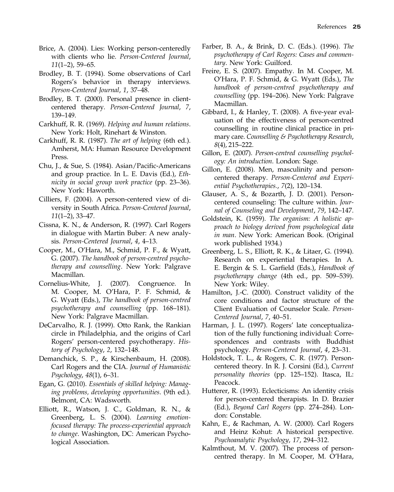- Brice, A. (2004). Lies: Working person-centeredly with clients who lie. Person-Centered Journal, 11(1–2), 59–65.
- Brodley, B. T. (1994). Some observations of Carl Rogers's behavior in therapy interviews. Person-Centered Journal, 1, 37–48.
- Brodley, B. T. (2000). Personal presence in clientcentered therapy. Person-Centered Journal, 7, 139–149.
- Carkhuff, R. R. (1969). Helping and human relations. New York: Holt, Rinehart & Winston.
- Carkhuff, R. R. (1987). The art of helping (6th ed.). Amherst, MA: Human Resource Development Press.
- Chu, J., & Sue, S. (1984). Asian/Pacific-Americans and group practice. In L. E. Davis (Ed.), Ethnicity in social group work practice (pp. 23–36). New York: Haworth.
- Cilliers, F. (2004). A person-centered view of diversity in South Africa. Person-Centered Journal, 11(1–2), 33–47.
- Cissna, K. N., & Anderson, R. (1997). Carl Rogers in dialogue with Martin Buber: A new analysis. Person-Centered Journal, 4, 4–13.
- Cooper, M., O'Hara, M., Schmid, P. F., & Wyatt, G. (2007). The handbook of person-centred psychotherapy and counselling. New York: Palgrave Macmillan.
- Cornelius-White, J. (2007). Congruence. In M. Cooper, M. O'Hara, P. F. Schmid, & G. Wyatt (Eds.), The handbook of person-centred psychotherapy and counselling (pp. 168–181). New York: Palgrave Macmillan.
- DeCarvalho, R. J. (1999). Otto Rank, the Rankian circle in Philadelphia, and the origins of Carl Rogers' person-centered psychotherapy. History of Psychology, 2, 132–148.
- Demanchick, S. P., & Kirschenbaum, H. (2008). Carl Rogers and the CIA. Journal of Humanistic Psychology, 48(1), 6–31.
- Egan, G. (2010). Essentials of skilled helping: Managing problems, developing opportunities. (9th ed.). Belmont, CA: Wadsworth.
- Elliott, R., Watson, J. C., Goldman, R. N., & Greenberg, L. S. (2004). Learning emotionfocused therapy: The process-experiential approach to change. Washington, DC: American Psychological Association.
- Farber, B. A., & Brink, D. C. (Eds.). (1996). The psychotherapy of Carl Rogers: Cases and commentary. New York: Guilford.
- Freire, E. S. (2007). Empathy. In M. Cooper, M. O'Hara, P. F. Schmid, & G. Wyatt (Eds.), The handbook of person-centred psychotherapy and counselling (pp. 194–206). New York: Palgrave Macmillan.
- Gibbard, I., & Hanley, T. (2008). A five-year evaluation of the effectiveness of person-centred counselling in routine clinical practice in primary care. Counselling & Psychotherapy Research, 8(4), 215–222.
- Gillon, E. (2007). Person-centred counselling psychology: An introduction. London: Sage.
- Gillon, E. (2008). Men, masculinity and personcentered therapy. Person-Centered and Experiential Psychotherapies., 7(2), 120–134.
- Glauser, A. S., & Bozarth, J. D. (2001). Personcentered counseling: The culture within. Journal of Counseling and Development, 79, 142–147.
- Goldstein, K. (1959). The organism: A holistic approach to biology derived from psychological data in man. New York: American Book. (Original work published 1934.)
- Greenberg, L. S., Elliott, R. K., & Litaer, G. (1994). Research on experiential therapies. In A. E. Bergin & S. L. Garfield (Eds.), Handbook of psychotherapy change (4th ed., pp. 509–539). New York: Wiley.
- Hamilton, J.-C. (2000). Construct validity of the core conditions and factor structure of the Client Evaluation of Counselor Scale. Person-Centered Journal, 7, 40–51.
- Harman, J. L. (1997). Rogers' late conceptualization of the fully functioning individual: Correspondences and contrasts with Buddhist psychology. Person-Centered Journal, 4, 23–31.
- Holdstock, T. L., & Rogers, C. R. (1977). Personcentered theory. In R. J. Corsini (Ed.), Current personality theories (pp. 125–152). Itasca, IL: Peacock.
- Hutterer, R. (1993). Eclecticisms: An identity crisis for person-centered therapists. In D. Brazier (Ed.), Beyond Carl Rogers (pp. 274–284). London: Constable.
- Kahn, E., & Rachman, A. W. (2000). Carl Rogers and Heinz Kohut: A historical perspective. Psychoanalytic Psychology, 17, 294–312.
- Kalmthout, M. V. (2007). The process of personcentred therapy. In M. Cooper, M. O'Hara,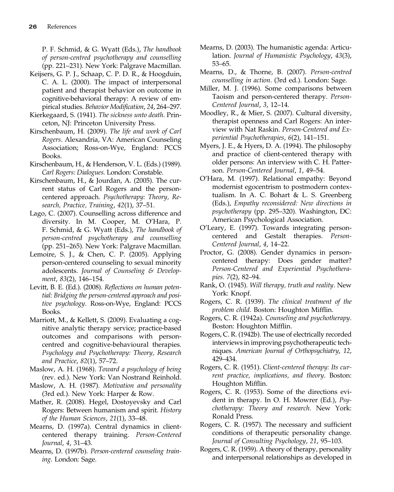P. F. Schmid, & G. Wyatt (Eds.), The handbook of person-centred psychotherapy and counselling (pp. 221–231). New York: Palgrave Macmillan.

- Keijsers, G. P. J., Schaap, C. P. D. R., & Hoogduin, C. A. L. (2000). The impact of interpersonal patient and therapist behavior on outcome in cognitive-behavioral therapy: A review of empirical studies. Behavior Modification, 24, 264–297.
- Kierkegaard, S. (1941). The sickness unto death. Princeton, NJ: Princeton University Press.
- Kirschenbaum, H. (2009). The life and work of Carl Rogers. Alexandria, VA: American Counseling Association; Ross-on-Wye, England: PCCS Books.
- Kirschenbaum, H., & Henderson, V. L. (Eds.) (1989). Carl Rogers: Dialogues. London: Constable.
- Kirschenbaum, H., & Jourdan, A. (2005). The current status of Carl Rogers and the personcentered approach. Psychotherapy: Theory, Research, Practice, Training, 42(1), 37–51.
- Lago, C. (2007). Counselling across difference and diversity. In M. Cooper, M. O'Hara, P. F. Schmid, & G. Wyatt (Eds.), The handbook of person-centred psychotherapy and counselling (pp. 251–265). New York: Palgrave Macmillan.
- Lemoire, S. J., & Chen, C. P. (2005). Applying person-centered counseling to sexual minority adolescents. Journal of Counseling & Development, 83(2), 146–154.
- Levitt, B. E. (Ed.). (2008). Reflections on human potential: Bridging the person-centered approach and positive psychology. Ross-on-Wye, England: PCCS Books.
- Marriott, M., & Kellett, S. (2009). Evaluating a cognitive analytic therapy service; practice-based outcomes and comparisons with personcentred and cognitive-behavioural therapies. Psychology and Psychotherapy: Theory, Research and Practice, 82(1), 57–72.
- Maslow, A. H. (1968). Toward a psychology of being (rev. ed.). New York: Van Nostrand Reinhold.
- Maslow, A. H. (1987). Motivation and personality (3rd ed.). New York: Harper & Row.
- Mather, R. (2008). Hegel, Dostoyevsky and Carl Rogers: Between humanism and spirit. History of the Human Sciences, 21(1), 33–48.
- Mearns, D. (1997a). Central dynamics in clientcentered therapy training. Person-Centered Journal, 4, 31–43.
- Mearns, D. (1997b). Person-centered counseling training. London: Sage.
- Mearns, D. (2003). The humanistic agenda: Articulation. Journal of Humanistic Psychology, 43(3), 53–65.
- Mearns, D., & Thorne, B. (2007). Person-centred counselling in action. (3rd ed.). London: Sage.
- Miller, M. J. (1996). Some comparisons between Taoism and person-centered therapy. Person-Centered Journal, 3, 12–14.
- Moodley, R., & Mier, S. (2007). Cultural diversity, therapist openness and Carl Rogers: An interview with Nat Raskin. Person-Centered and Experiential Psychotherapies, 6(2), 141–151.
- Myers, J. E., & Hyers, D. A. (1994). The philosophy and practice of client-centered therapy with older persons: An interview with C. H. Patterson. Person-Centered Journal, 1, 49–54.
- O'Hara, M. (1997). Relational empathy: Beyond modernist egocentrism to postmodern contextualism. In A. C. Bohart & L. S. Greenberg (Eds.), Empathy reconsidered: New directions in psychotherapy (pp. 295–320). Washington, DC: American Psychological Association.
- O'Leary, E. (1997). Towards integrating personcentered and Gestalt therapies. Person-Centered Journal, 4, 14–22.
- Proctor, G. (2008). Gender dynamics in personcentered therapy: Does gender matter? Person-Centered and Experiential Psychotherapies. 7(2), 82–94.
- Rank, O. (1945). Will therapy, truth and reality. New York: Knopf.
- Rogers, C. R. (1939). The clinical treatment of the problem child. Boston: Houghton Mifflin.
- Rogers, C. R. (1942a). Counseling and psychotherapy. Boston: Houghton Mifflin.
- Rogers, C. R. (1942b). The use of electrically recorded interviews in improving psychotherapeutic techniques. American Journal of Orthopsychiatry, 12, 429–434.
- Rogers, C. R. (1951). Client-centered therapy: Its current practice, implications, and theory. Boston: Houghton Mifflin.
- Rogers, C. R. (1953). Some of the directions evident in therapy. In O. H. Mowrer (Ed.), Psychotherapy: Theory and research. New York: Ronald Press.
- Rogers, C. R. (1957). The necessary and sufficient conditions of therapeutic personality change. Journal of Consulting Psychology, 21, 95–103.
- Rogers, C. R. (1959). A theory of therapy, personality and interpersonal relationships as developed in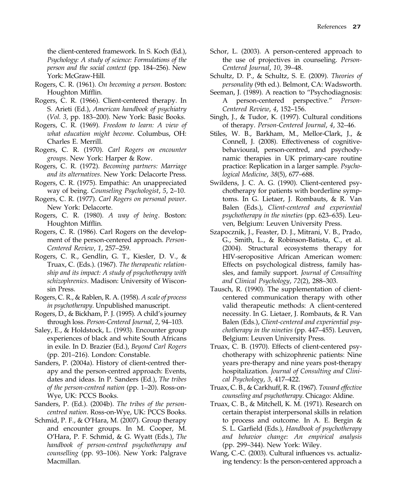the client-centered framework. In S. Koch (Ed.), Psychology: A study of science: Formulations of the person and the social context (pp. 184–256). New York: McGraw-Hill.

- Rogers, C. R. (1961). On becoming a person. Boston: Houghton Mifflin.
- Rogers, C. R. (1966). Client-centered therapy. In S. Arieti (Ed.), American handbook of psychiatry (Vol. 3, pp. 183–200). New York: Basic Books.
- Rogers, C. R. (1969). Freedom to learn: A view of what education might become. Columbus, OH: Charles E. Merrill.
- Rogers, C. R. (1970). Carl Rogers on encounter groups. New York: Harper & Row.
- Rogers, C. R. (1972). Becoming partners: Marriage and its alternatives. New York: Delacorte Press.
- Rogers, C. R. (1975). Empathic: An unappreciated way of being. Counseling Psychologist, 5, 2–10.
- Rogers, C. R. (1977). Carl Rogers on personal power. New York: Delacorte.
- Rogers, C. R. (1980). A way of being. Boston: Houghton Mifflin.
- Rogers, C. R. (1986). Carl Rogers on the development of the person-centered approach. Person-Centered Review, 1, 257–259.
- Rogers, C. R., Gendlin, G. T., Kiesler, D. V., & Truax, C. (Eds.). (1967). The therapeutic relationship and its impact: A study of psychotherapy with schizophrenics. Madison: University of Wisconsin Press.
- Rogers, C. R., & Rablen, R. A. (1958). A scale of process in psychotherapy. Unpublished manuscript.
- Rogers, D., & Bickham, P. J. (1995). A child's journey through loss. Person-Centered Journal, 2, 94–103.
- Saley, E., & Holdstock, L. (1993). Encounter group experiences of black and white South Africans in exile. In D. Brazier (Ed.), Beyond Carl Rogers (pp. 201–216). London: Constable.
- Sanders, P. (2004a). History of client-centred therapy and the person-centred approach: Events, dates and ideas. In P. Sanders (Ed.), The tribes of the person-centred nation (pp. 1–20). Ross-on-Wye, UK: PCCS Books.
- Sanders, P. (Ed.). (2004b). The tribes of the personcentred nation. Ross-on-Wye, UK: PCCS Books.
- Schmid, P. F., & O'Hara, M. (2007). Group therapy and encounter groups. In M. Cooper, M. O'Hara, P. F. Schmid, & G. Wyatt (Eds.), The handbook of person-centred psychotherapy and counselling (pp. 93–106). New York: Palgrave Macmillan.
- Schor, L. (2003). A person-centered approach to the use of projectives in counseling. Person-Centered Journal, 10, 39–48.
- Schultz, D. P., & Schultz, S. E. (2009). Theories of personality (9th ed.). Belmont, CA: Wadsworth.
- Seeman, J. (1989). A reaction to "Psychodiagnosis: A person-centered perspective." Person-Centered Review, 4, 152–156.
- Singh, J., & Tudor, K. (1997). Cultural conditions of therapy. Person-Centered Journal, 4, 32–46.
- Stiles, W. B., Barkham, M., Mellor-Clark, J., & Connell, J. (2008). Effectiveness of cognitivebehavioural, person-centred, and psychodynamic therapies in UK primary-care routine practice: Replication in a larger sample. Psychological Medicine, 38(5), 677–688.
- Swildens, J. C. A. G. (1990). Client-centered psychotherapy for patients with borderline symptoms. In G. Lietaer, J. Rombauts, & R. Van Balen (Eds.), Client-centered and experiential psychotherapy in the nineties (pp. 623–635). Leuven, Belgium: Leuven University Press.
- Szapocznik, J., Feaster, D. J., Mitrani, V. B., Prado, G., Smith, L., & Robinson-Batista, C., et al. (2004). Structural ecosystems therapy for HIV-seropositive African American women: Effects on psychological distress, family hassles, and family support. Journal of Consulting and Clinical Psychology, 72(2), 288–303.
- Tausch, R. (1990). The supplementation of clientcentered communication therapy with other valid therapeutic methods: A client-centered necessity. In G. Lietaer, J. Rombauts, & R. Van Balen (Eds.), Client-centered and experiential psychotherapy in the nineties (pp. 447–455). Leuven, Belgium: Leuven University Press.
- Truax, C. B. (1970). Effects of client-centered psychotherapy with schizophrenic patients: Nine years pre-therapy and nine years post-therapy hospitalization. Journal of Consulting and Clinical Psychology, 3, 417–422.
- Truax, C. B., & Carkhuff, R. R. (1967). Toward effective counseling and psychotherapy. Chicago: Aldine.
- Truax, C. B., & Mitchell, K. M. (1971). Research on certain therapist interpersonal skills in relation to process and outcome. In A. E. Bergin & S. L. Garfield (Eds.), Handbook of psychotherapy and behavior change: An empirical analysis (pp. 299–344). New York: Wiley.
- Wang, C.-C. (2003). Cultural influences vs. actualizing tendency: Is the person-centered approach a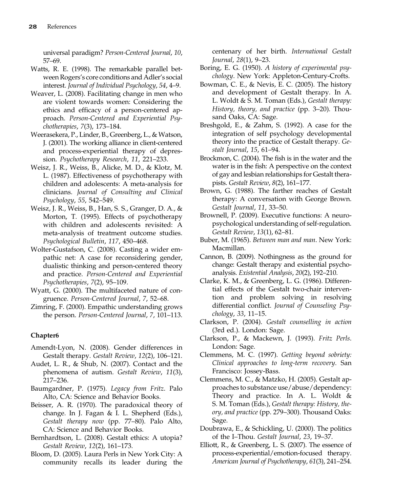universal paradigm? Person-Centered Journal, 10, 57–69.

- Watts, R. E. (1998). The remarkable parallel between Rogers's core conditions and Adler's social interest. Journal of Individual Psychology, 54, 4–9.
- Weaver, L. (2008). Facilitating change in men who are violent towards women: Considering the ethics and efficacy of a person-centered approach. Person-Centered and Experiential Psychotherapies, 7(3), 173–184.
- Weerasekera, P., Linder, B., Greenberg, L., & Watson, J. (2001). The working alliance in client-centered and process-experiential therapy of depression. Psychotherapy Research, 11, 221–233.
- Weisz, J. R., Weiss, B., Alicke, M. D., & Klotz, M. L. (1987). Effectiveness of psychotherapy with children and adolescents: A meta-analysis for clinicians. Journal of Consulting and Clinical Psychology, 55, 542–549.
- Weisz, J. R., Weiss, B., Han, S. S., Granger, D. A., & Morton, T. (1995). Effects of psychotherapy with children and adolescents revisited: A meta-analysis of treatment outcome studies. Psychological Bulletin, 117, 450–468.
- Wolter-Gustafson, C. (2008). Casting a wider empathic net: A case for reconsidering gender, dualistic thinking and person-centered theory and practice. Person-Centered and Experiential Psychotherapies, 7(2), 95–109.
- Wyatt, G. (2000). The multifaceted nature of congruence. Person-Centered Journal, 7, 52–68.
- Zimring, F. (2000). Empathic understanding grows the person. Person-Centered Journal, 7, 101–113.

#### Chapter6

- Amendt-Lyon, N. (2008). Gender differences in Gestalt therapy. Gestalt Review, 12(2), 106–121.
- Audet, L. R., & Shub, N. (2007). Contact and the phenomena of autism. Gestalt Review, 11(3), 217–236.
- Baumgardner, P. (1975). Legacy from Fritz. Palo Alto, CA: Science and Behavior Books.
- Beisser, A. R. (1970). The paradoxical theory of change. In J. Fagan & I. L. Shepherd (Eds.), Gestalt therapy now (pp. 77–80). Palo Alto, CA: Science and Behavior Books.
- Bernhardtson, L. (2008). Gestalt ethics: A utopia? Gestalt Review, 12(2), 161–173.
- Bloom, D. (2005). Laura Perls in New York City: A community recalls its leader during the

centenary of her birth. International Gestalt Journal, 28(1), 9–23.

- Boring, E. G. (1950). A history of experimental psychology. New York: Appleton-Century-Crofts.
- Bowman, C. E., & Nevis, E. C. (2005). The history and development of Gestalt therapy. In A. L. Woldt & S. M. Toman (Eds.), Gestalt therapy: History, theory, and practice (pp. 3–20). Thousand Oaks, CA: Sage.
- Breshgold, E., & Zahm, S. (1992). A case for the integration of self psychology developmental theory into the practice of Gestalt therapy. Gestalt Journal, 15, 61–94.
- Brockmon, C. (2004). The fish is in the water and the water is in the fish: A perspective on the context of gay and lesbian relationships for Gestalt therapists. Gestalt Review, 8(2), 161–177.
- Brown, G. (1988). The farther reaches of Gestalt therapy: A conversation with George Brown. Gestalt Journal, 11, 33–50.
- Brownell, P. (2009). Executive functions: A neuropsychological understanding of self-regulation. Gestalt Review, 13(1), 62–81.
- Buber, M. (1965). Between man and man. New York: Macmillan.
- Cannon, B. (2009). Nothingness as the ground for change: Gestalt therapy and existential psychoanalysis. Existential Analysis, 20(2), 192–210.
- Clarke, K. M., & Greenberg, L. G. (1986). Differential effects of the Gestalt two-chair intervention and problem solving in resolving differential conflict. Journal of Counseling Psychology, 33, 11–15.
- Clarkson, P. (2004). Gestalt counselling in action (3rd ed.). London: Sage.
- Clarkson, P., & Mackewn, J. (1993). Fritz Perls. London: Sage.
- Clemmens, M. C. (1997). Getting beyond sobriety: Clinical approaches to long-term recovery. San Francisco: Jossey-Bass.
- Clemmens, M. C., & Matzko, H. (2005). Gestalt approaches to substance use/abuse/dependency: Theory and practice. In A. L. Woldt & S. M. Toman (Eds.), Gestalt therapy: History, theory, and practice (pp. 279–300). Thousand Oaks: Sage.
- Doubrawa, E., & Schickling, U. (2000). The politics of the I–Thou. Gestalt Journal, 23, 19–37.
- Elliott, R., & Greenberg, L. S. (2007). The essence of process-experiential/emotion-focused therapy. American Journal of Psychotherapy, 61(3), 241–254.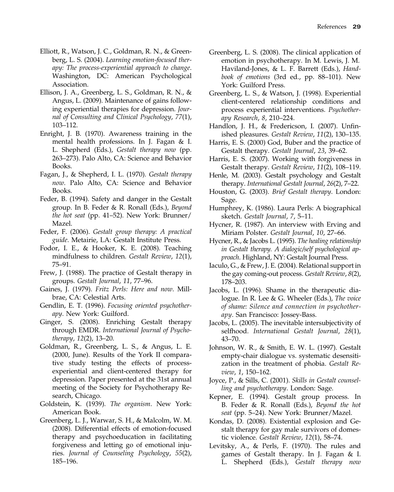- Elliott, R., Watson, J. C., Goldman, R. N., & Greenberg, L. S. (2004). Learning emotion-focused therapy: The process-experiential approach to change. Washington, DC: American Psychological Association.
- Ellison, J. A., Greenberg, L. S., Goldman, R. N., & Angus, L. (2009). Maintenance of gains following experiential therapies for depression. Journal of Consulting and Clinical Psychology, 77(1), 103–112.
- Enright, J. B. (1970). Awareness training in the mental health professions. In J. Fagan & I. L. Shepherd (Eds.), Gestalt therapy now (pp. 263–273). Palo Alto, CA: Science and Behavior Books.
- Fagan, J., & Shepherd, I. L. (1970). Gestalt therapy now. Palo Alto, CA: Science and Behavior Books.
- Feder, B. (1994). Safety and danger in the Gestalt group. In B. Feder & R. Ronall (Eds.), Beyond the hot seat (pp. 41–52). New York: Brunner/ Mazel.
- Feder, F. (2006). Gestalt group therapy: A practical guide. Metairie, LA: Gestalt Institute Press.
- Fodor, I. E., & Hooker, K. E. (2008). Teaching mindfulness to children. Gestalt Review, 12(1), 75–91.
- Frew, J. (1988). The practice of Gestalt therapy in groups. Gestalt Journal, 11, 77–96.
- Gaines, J. (1979). Fritz Perls: Here and now. Millbrae, CA: Celestial Arts.
- Gendlin, E. T. (1996). Focusing oriented psychotherapy. New York: Guilford.
- Ginger, S. (2008). Enriching Gestalt therapy through EMDR. International Journal of Psychotherapy, 12(2), 13–20.
- Goldman, R., Greenberg, L. S., & Angus, L. E. (2000, June). Results of the York II comparative study testing the effects of processexperiential and client-centered therapy for depression. Paper presented at the 31st annual meeting of the Society for Psychotherapy Research, Chicago.
- Goldstein, K. (1939). The organism. New York: American Book.
- Greenberg, L. J., Warwar, S. H., & Malcolm, W. M. (2008). Differential effects of emotion-focused therapy and psychoeducation in facilitating forgiveness and letting go of emotional injuries. Journal of Counseling Psychology, 55(2), 185–196.
- Greenberg, L. S. (2008). The clinical application of emotion in psychotherapy. In M. Lewis, J. M. Haviland-Jones, & L. F. Barrett (Eds.), Handbook of emotions (3rd ed., pp. 88–101). New York: Guilford Press.
- Greenberg, L. S., & Watson, J. (1998). Experiential client-centered relationship conditions and process experiential interventions. Psychotherapy Research, 8, 210–224.
- Handlon, J. H., & Fredericson, I. (2007). Unfinished pleasures. Gestalt Review, 11(2), 130–135.
- Harris, E. S. (2000) God, Buber and the practice of Gestalt therapy. Gestalt Journal, 23, 39–62.
- Harris, E. S. (2007). Working with forgiveness in Gestalt therapy. Gestalt Review, 11(2), 108–119.
- Henle, M. (2003). Gestalt psychology and Gestalt therapy. International Gestalt Journal, 26(2), 7–22.
- Houston, G. (2003). Brief Gestalt therapy. London: Sage.
- Humphrey, K. (1986). Laura Perls: A biographical sketch. Gestalt Journal, 7, 5–11.
- Hycner, R. (1987). An interview with Erving and Miriam Polster. Gestalt Journal, 10, 27–66.
- Hycner, R., & Jacobs L. (1995). The healing relationship in Gestalt therapy. A dialogic/self psychological approach. Highland, NY: Gestalt Journal Press.
- Iaculo, G., & Frew, J. E. (2004). Relational support in the gay coming-out process. Gestalt Review, 8(2), 178–203.
- Jacobs, L. (1996). Shame in the therapeutic dialogue. In R. Lee & G. Wheeler (Eds.), The voice of shame: Silence and connection in psychotherapy. San Francisco: Jossey-Bass.
- Jacobs, L. (2005). The inevitable intersubjectivity of selfhood. International Gestalt Journal, 28(1), 43–70.
- Johnson, W. R., & Smith, E. W. L. (1997). Gestalt empty-chair dialogue vs. systematic desensitization in the treatment of phobia. Gestalt Review, 1, 150–162.
- Joyce, P., & Sills, C. (2001). Skills in Gestalt counselling and psychotherapy. London: Sage.
- Kepner, E. (1994). Gestalt group process. In B. Feder & R. Ronall (Eds.), Beyond the hot seat (pp. 5–24). New York: Brunner/Mazel.
- Kondas, D. (2008). Existential explosion and Gestalt therapy for gay male survivors of domestic violence. Gestalt Review, 12(1), 58–74.
- Levitsky, A., & Perls, F. (1970). The rules and games of Gestalt therapy. In J. Fagan & I. L. Shepherd (Eds.), Gestalt therapy now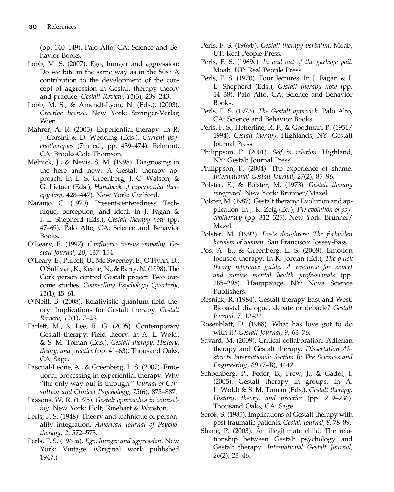(pp. 140–149). Palo Alto, CA: Science and Behavior Books.

- Lobb, M. S. (2007). Ego, hunger and aggression: Do we bite in the same way as in the 50s? A contribution to the development of the concept of aggression in Gestalt therapy theory and practice. Gestalt Review, 11(3), 239–243.
- Lobb, M. S., & Amendt-Lyon, N. (Eds.). (2003). Creative license. New York: Springer-Verlag Wien.
- Mahrer, A. R. (2005). Experiential therapy. In R. J. Corsini & D. Wedding (Eds.), Current psychotherapies (7th ed., pp. 439–474). Belmont, CA: Brooks-Cole Thomson.
- Melnick, J., & Nevis, S. M. (1998). Diagnosing in the here and now: A Gestalt therapy approach. In L. S. Greenberg, J. C. Watson, & G. Lietaer (Eds.), Handbook of experiential therapy (pp. 428–447). New York: Guilford.
- Naranjo, C. (1970). Present-centeredness: Technique, perception, and ideal. In J. Fagan & I. L. Shepherd (Eds.), Gestalt therapy now (pp. 47–69). Palo Alto, CA: Science and Behavior Books.
- O'Leary, E. (1997). Confluence versus empathy. Gestalt Journal, 20, 137–154.
- O'Leary, E., Purcell, U., Mc Sweeney, E., O'Flynn, D., O'Sullivan, K., Keane, N., & Barry, N. (1998). The Cork person centred Gestalt project: Two outcome studies. Counselling Psychology Quarterly, 11(1), 45–61.
- O'Neill, B. (2008). Relativistic quantum field theory: Implications for Gestalt therapy. Gestalt Review, 12(1), 7–23.
- Parlett, M., & Lee, R. G. (2005). Contemporary Gestalt therapy: Field theory. In A. L. Woldt & S. M. Toman (Eds.), Gestalt therapy: History, theory, and practice (pp. 41–63). Thousand Oaks, CA: Sage.
- Pascual-Leone, A., & Greenberg, L. S. (2007). Emotional processing in experiential therapy: Why "the only way out is through." Journal of Consulting and Clinical Psychology, 75(6), 875–887.
- Passons, W. R. (1975). Gestalt approaches in counseling. New York: Holt, Rinehart & Winston.
- Perls, F. S. (1948). Theory and technique of personality integration. American Journal of Psychotherapy, 2, 572–573.
- Perls, F. S. (1969a). Ego, hunger and aggression. New York: Vintage. (Original work published 1947.)
- Perls, F. S. (1969b). Gestalt therapy verbatim. Moab, UT: Real People Press.
- Perls, F. S. (1969c). In and out of the garbage pail. Moab, UT: Real People Press.
- Perls, F. S. (1970). Four lectures. In J. Fagan & I. L. Shepherd (Eds.), Gestalt therapy now (pp. 14–38). Palo Alto, CA: Science and Behavior Books.
- Perls, F. S. (1973). The Gestalt approach. Palo Alto, CA: Science and Behavior Books.
- Perls, F. S., Hefferline, R. F., & Goodman, P. (1951/ 1994). Gestalt therapy. Highlands, NY: Gestalt Journal Press.
- Philippson, P. (2001). Self in relation. Highland, NY: Gestalt Journal Press.
- Philippson, P. (2004). The experience of shame. International Gestalt Journal, 27(2), 85–96.
- Polster, E., & Polster, M. (1973). Gestalt therapy integrated. New York: Brunner/Mazel.
- Polster, M. (1987). Gestalt therapy: Evolution and application. In J. K. Zeig (Ed.), The evolution of psychotherapy (pp. 312–325). New York: Brunner/ Mazel.
- Polster, M. (1992). Eve's daughters: The forbidden heroism of women. San Francisco: Jossey-Bass.
- Pos, A. E., & Greenberg, L. S. (2008). Emotion focused therapy. In K. Jordan (Ed.), The quick theory reference guide: A resource for expert and novice mental health professionals (pp. 285–298). Hauppauge, NY: Nova Science Publishers.
- Resnick, R. (1984). Gestalt therapy East and West: Bicoastal dialogue, debate or debacle? Gestalt Journal, 7, 13–32.
- Rosenblatt, D. (1988). What has love got to do with it? Gestalt Journal, 9, 63–76.
- Savard, M. (2009). Critical collaboration: Adlerian therapy and Gestalt therapy. Dissertation Abstracts International: Section B: The Sciences and Engineering, 69 (7–B), 4442.
- Schoenberg, P., Feder, B., Frew, J., & Gadol, I. (2005). Gestalt therapy in groups. In A. L. Woldt & S. M. Toman (Eds.), Gestalt therapy: History, theory, and practice (pp. 219–236). Thousand Oaks, CA: Sage.
- Serok, S. (1985). Implications of Gestalt therapy with post traumatic patients. Gestalt Journal, 8, 78–89.
- Shane, P. (2003). An illegitimate child: The relationship between Gestalt psychology and Gestalt therapy. International Gestalt Journal, 26(2), 23–46.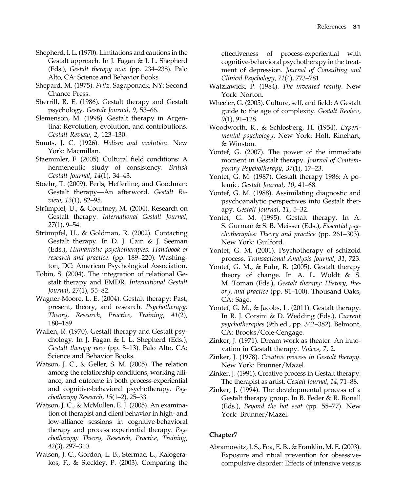- Shepherd, I. L. (1970). Limitations and cautions in the Gestalt approach. In J. Fagan & I. L. Shepherd (Eds.), Gestalt therapy now (pp. 234–238). Palo Alto, CA: Science and Behavior Books.
- Shepard, M. (1975). Fritz. Sagaponack, NY: Second Chance Press.
- Sherrill, R. E. (1986). Gestalt therapy and Gestalt psychology. Gestalt Journal, 9, 53–66.
- Slemenson, M. (1998). Gestalt therapy in Argentina: Revolution, evolution, and contributions. Gestalt Review, 2, 123–130.
- Smuts, J. C. (1926). Holism and evolution. New York: Macmillan.
- Staemmler, F. (2005). Cultural field conditions: A hermeneutic study of consistency. British Gestalt Journal, 14(1), 34–43.
- Stoehr, T. (2009). Perls, Hefferline, and Goodman: Gestalt therapy—An afterword. Gestalt Review, 13(1), 82–95.
- Strümpfel, U., & Courtney, M. (2004). Research on Gestalt therapy. International Gestalt Journal, 27(1), 9–54.
- Strümpfel, U., & Goldman, R. (2002). Contacting Gestalt therapy. In D. J. Cain & J. Seeman (Eds.), Humanistic psychotherapies: Handbook of research and practice. (pp. 189–220). Washington, DC: American Psychological Association.
- Tobin, S. (2004). The integration of relational Gestalt therapy and EMDR. International Gestalt Journal, 27(1), 55–82.
- Wagner-Moore, L. E. (2004). Gestalt therapy: Past, present, theory, and research. Psychotherapy: Theory, Research, Practice, Training, 41(2), 180–189.
- Wallen, R. (1970). Gestalt therapy and Gestalt psychology. In J. Fagan & I. L. Shepherd (Eds.), Gestalt therapy now (pp. 8–13). Palo Alto, CA: Science and Behavior Books.
- Watson, J. C., & Geller, S. M. (2005). The relation among the relationship conditions, working alliance, and outcome in both process-experiential and cognitive-behavioral psychotherapy. Psychotherapy Research, 15(1–2), 25–33.
- Watson, J. C., & McMullen, E. J. (2005). An examination of therapist and client behavior in high- and low-alliance sessions in cognitive-behavioral therapy and process experiential therapy. Psychotherapy: Theory, Research, Practice, Training, 42(3), 297–310.
- Watson, J. C., Gordon, L. B., Stermac, L., Kalogerakos, F., & Steckley, P. (2003). Comparing the

effectiveness of process-experiential with cognitive-behavioral psychotherapy in the treatment of depression. Journal of Consulting and Clinical Psychology, 71(4), 773–781.

- Watzlawick, P. (1984). The invented reality. New York: Norton.
- Wheeler, G. (2005). Culture, self, and field: A Gestalt guide to the age of complexity. Gestalt Review, 9(1), 91–128.
- Woodworth, R., & Schlosberg, H. (1954). Experimental psychology. New York: Holt, Rinehart, & Winston.
- Yontef, G. (2007). The power of the immediate moment in Gestalt therapy. Journal of Contemporary Psychotherapy, 37(1), 17–23.
- Yontef, G. M. (1987). Gestalt therapy 1986: A polemic. Gestalt Journal, 10, 41–68.
- Yontef, G. M. (1988). Assimilating diagnostic and psychoanalytic perspectives into Gestalt therapy. Gestalt Journal, 11, 5–32.
- Yontef, G. M. (1995). Gestalt therapy. In A. S. Gurman & S. B. Meisser (Eds.), Essential psychotherapies: Theory and practice (pp. 261–303). New York: Guilford.
- Yontef, G. M. (2001). Psychotherapy of schizoid process. Transactional Analysis Journal, 31, 723.
- Yontef, G. M., & Fuhr, R. (2005). Gestalt therapy theory of change. In A. L. Woldt & S. M. Toman (Eds.), Gestalt therapy: History, theory, and practice (pp. 81–100). Thousand Oaks, CA: Sage.
- Yontef, G. M., & Jacobs, L. (2011). Gestalt therapy. In R. J. Corsini & D. Wedding (Eds.), Current psychotherapies (9th ed., pp. 342–382). Belmont, CA: Brooks/Cole-Cengage.
- Zinker, J. (1971). Dream work as theater: An innovation in Gestalt therapy. Voices, 7, 2.
- Zinker, J. (1978). Creative process in Gestalt therapy. New York: Brunner/Mazel.
- Zinker, J. (1991). Creative process in Gestalt therapy: The therapist as artist. Gestalt Journal, 14, 71–88.
- Zinker, J. (1994). The developmental process of a Gestalt therapy group. In B. Feder & R. Ronall (Eds.), Beyond the hot seat (pp. 55–77). New York: Brunner/Mazel.

#### Chapter7

Abramowitz, J. S., Foa, E. B., & Franklin, M. E. (2003). Exposure and ritual prevention for obsessivecompulsive disorder: Effects of intensive versus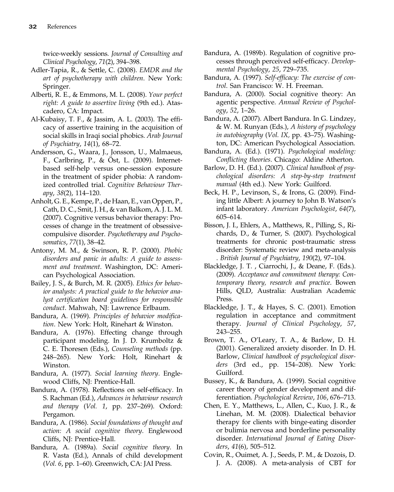twice-weekly sessions. Journal of Consulting and Clinical Psychology, 71(2), 394–398.

- Adler-Tapia, R., & Settle, C. (2008). EMDR and the art of psychotherapy with children. New York: Springer.
- Alberti, R. E., & Emmons, M. L. (2008). Your perfect right: A guide to assertive living (9th ed.). Atascadero, CA: Impact.
- Al-Kubaisy, T. F., & Jassim, A. L. (2003). The efficacy of assertive training in the acquisition of social skills in Iraqi social phobics. Arab Journal of Psychiatry, 14(1), 68–72.
- Andersson, G., Waara, J., Jonsson, U., Malmaeus, F., Carlbring, P., & Öst, L. (2009). Internetbased self-help versus one-session exposure in the treatment of spider phobia: A randomized controlled trial. Cognitive Behaviour Therapy, 38(2), 114–120.
- Anholt, G. E., Kempe, P., de Haan, E., van Oppen, P., Cath, D. C., Smit, J. H., & van Balkom, A. J. L. M. (2007). Cognitive versus behavior therapy: Processes of change in the treatment of obsessivecompulsive disorder. Psychotherapy and Psychosomatics, 77(1), 38–42.
- Antony, M. M., & Swinson, R. P. (2000). Phobic disorders and panic in adults: A guide to assessment and treatment. Washington, DC: American Psychological Association.
- Bailey, J. S., & Burch, M. R. (2005). Ethics for behavior analysts: A practical guide to the behavior analyst certification board guidelines for responsible conduct. Mahwah, NJ: Lawrence Erlbaum.
- Bandura, A. (1969). Principles of behavior modification. New York: Holt, Rinehart & Winston.
- Bandura, A. (1976). Effecting change through participant modeling. In J. D. Krumboltz & C. E. Thoresen (Eds.), Counseling methods (pp. 248–265). New York: Holt, Rinehart & Winston.
- Bandura, A. (1977). Social learning theory. Englewood Cliffs, NJ: Prentice-Hall.
- Bandura, A. (1978). Reflections on self-efficacy. In S. Rachman (Ed.), Advances in behaviour research and therapy (Vol. 1, pp. 237–269). Oxford: Pergamon.
- Bandura, A. (1986). Social foundations of thought and action: A social cognitive theory. Englewood Cliffs, NJ: Prentice-Hall.
- Bandura, A. (1989a). Social cognitive theory. In R. Vasta (Ed.), Annals of child development (Vol. 6, pp. 1–60). Greenwich, CA: JAI Press.
- Bandura, A. (1989b). Regulation of cognitive processes through perceived self-efficacy. Developmental Psychology, 25, 729–735.
- Bandura, A. (1997). Self-efficacy: The exercise of control. San Francisco: W. H. Freeman.
- Bandura, A. (2000). Social cognitive theory: An agentic perspective. Annual Review of Psychology, 52, 1–26.
- Bandura, A. (2007). Albert Bandura. In G. Lindzey, & W. M. Runyan (Eds.), A history of psychology in autobiography (Vol. IX, pp. 43–75). Washington, DC: American Psychological Association.
- Bandura, A. (Ed.). (1971). Psychological modeling: Conflicting theories. Chicago: Aldine Atherton.
- Barlow, D. H. (Ed.). (2007). Clinical handbook of psychological disorders: A step-by-step treatment manual (4th ed.). New York: Guilford.
- Beck, H. P., Levinson, S., & Irons, G. (2009). Finding little Albert: A journey to John B. Watson's infant laboratory. American Psychologist, 64(7), 605–614.
- Bisson, J. I., Ehlers, A., Matthews, R., Pilling, S., Richards, D., & Turner, S. (2007). Psychological treatments for chronic post-traumatic stress disorder: Systematic review and meta-analysis . British Journal of Psychiatry, 190(2), 97–104.
- Blackledge, J. T. , Ciarrochi, J., & Deane, F. (Eds.). (2009). Acceptance and commitment therapy: Contemporary theory, research and practice. Bowen Hills, QLD, Australia: Australian Academic Press.
- Blackledge, J. T., & Hayes, S. C. (2001). Emotion regulation in acceptance and commitment therapy. Journal of Clinical Psychology, 57, 243–255.
- Brown, T. A., O'Leary, T. A., & Barlow, D. H. (2001). Generalized anxiety disorder. In D. H. Barlow, Clinical handbook of psychological disorders (3rd ed., pp. 154–208). New York: Guilford.
- Bussey, K., & Bandura, A. (1999). Social cognitive career theory of gender development and differentiation. Psychological Review, 106, 676–713.
- Chen, E. Y., Matthews, L., Allen, C., Kuo, J. R., & Linehan, M. M. (2008). Dialectical behavior therapy for clients with binge-eating disorder or bulimia nervosa and borderline personality disorder. International Journal of Eating Disorders, 41(6), 505–512.
- Covin, R., Ouimet, A. J., Seeds, P. M., & Dozois, D. J. A. (2008). A meta-analysis of CBT for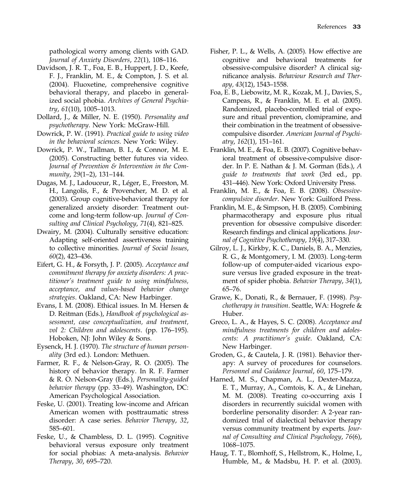pathological worry among clients with GAD. Journal of Anxiety Disorders, 22(1), 108–116.

- Davidson, J. R. T., Foa, E. B., Huppert, J. D., Keefe, F. J., Franklin, M. E., & Compton, J. S. et al. (2004). Fluoxetine, comprehensive cognitive behavioral therapy, and placebo in generalized social phobia. Archives of General Psychiatry, 61(10), 1005–1013.
- Dollard, J., & Miller, N. E. (1950). Personality and psychotherapy. New York: McGraw-Hill.
- Dowrick, P. W. (1991). Practical guide to using video in the behavioral sciences. New York: Wiley.
- Dowrick, P. W., Tallman, B. I., & Connor, M. E. (2005). Constructing better futures via video. Journal of Prevention & Intervention in the Community, 29(1–2), 131–144.
- Dugas, M. J., Ladouceur, R., Léger, E., Freeston, M. H., Langolis, F., & Provencher, M. D. et al. (2003). Group cognitive-behavioral therapy for generalized anxiety disorder: Treatment outcome and long-term follow-up. Journal of Consulting and Clinical Psychology, 71(4), 821–825.
- Dwairy, M. (2004). Culturally sensitive education: Adapting self-oriented assertiveness training to collective minorities. Journal of Social Issues, 60(2), 423–436.
- Eifert, G. H., & Forsyth, J. P. (2005). Acceptance and commitment therapy for anxiety disorders: A practitioner's treatment guide to using mindfulness, acceptance, and values-based behavior change strategies. Oakland, CA: New Harbinger.
- Evans, I. M. (2008). Ethical issues. In M. Hersen & D. Reitman (Eds.), Handbook of psychological assessment, case conceptualization, and treatment, vol 2: Children and adolescents. (pp. 176–195). Hoboken, NJ: John Wiley & Sons.
- Eysenck, H. J. (1970). The structure of human personality (3rd ed.). London: Methuen.
- Farmer, R. F., & Nelson-Gray, R. O. (2005). The history of behavior therapy. In R. F. Farmer & R. O. Nelson-Gray (Eds.), Personality-guided behavior therapy (pp. 33–49). Washington, DC: American Psychological Association.
- Feske, U. (2001). Treating low-income and African American women with posttraumatic stress disorder: A case series. Behavior Therapy, 32, 585–601.
- Feske, U., & Chambless, D. L. (1995). Cognitive behavioral versus exposure only treatment for social phobias: A meta-analysis. Behavior Therapy, 30, 695–720.
- Fisher, P. L., & Wells, A. (2005). How effective are cognitive and behavioral treatments for obsessive-compulsive disorder? A clinical significance analysis. Behaviour Research and Therapy, 43(12), 1543–1558.
- Foa, E. B., Liebowitz, M. R., Kozak, M. J., Davies, S., Campeas, R., & Franklin, M. E. et al. (2005). Randomized, placebo-controlled trial of exposure and ritual prevention, clomipramine, and their combination in the treatment of obsessivecompulsive disorder. American Journal of Psychiatry, 162(1), 151–161.
- Franklin, M. E., & Foa, E. B. (2007). Cognitive behavioral treatment of obsessive-compulsive disorder. In P. E. Nathan & J. M. Gorman (Eds.), A guide to treatments that work (3rd ed., pp. 431–446). New York: Oxford University Press.
- Franklin, M. E., & Foa, E. B. (2008). Obsessivecompulsive disorder. New York: Guilford Press.
- Franklin, M. E., & Simpson, H. B. (2005). Combining pharmacotherapy and exposure plus ritual prevention for obsessive compulsive disorder: Research findings and clinical applications. Journal of Cognitive Psychotherapy, 19(4), 317–330.
- Gilroy, L. J., Kirkby, K. C., Daniels, B. A., Menzies, R. G., & Montgomery, I. M. (2003). Long-term follow-up of computer-aided vicarious exposure versus live graded exposure in the treatment of spider phobia. Behavior Therapy, 34(1), 65–76.
- Grawe, K., Donati, R., & Bernauer, F. (1998). Psychotherapy in transition. Seattle, WA: Hogrefe & Huber.
- Greco, L. A., & Hayes, S. C. (2008). Acceptance and mindfulness treatments for children and adolescents: A practitioner's guide. Oakland, CA: New Harbinger.
- Groden, G., & Cautela, J. R. (1981). Behavior therapy: A survey of procedures for counselors. Personnel and Guidance Journal, 60, 175–179.
- Harned, M. S., Chapman, A. L., Dexter-Mazza, E. T., Murray, A., Comtois, K. A., & Linehan, M. M. (2008). Treating co-occurring axis I disorders in recurrently suicidal women with borderline personality disorder: A 2-year randomized trial of dialectical behavior therapy versus community treatment by experts. Journal of Consulting and Clinical Psychology, 76(6), 1068–1075.
- Haug, T. T., Blomhoff, S., Hellstrom, K., Holme, I., Humble, M., & Madsbu, H. P. et al. (2003).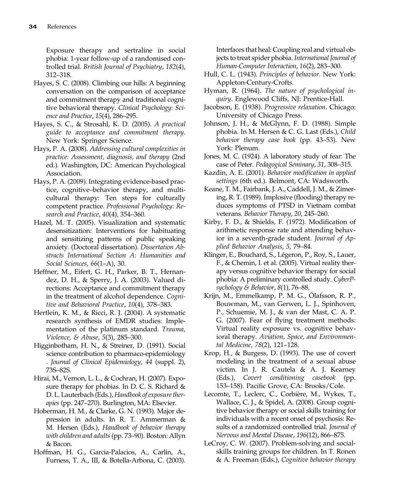Exposure therapy and sertraline in social phobia: 1-year follow-up of a randomised controlled trial. British Journal of Psychiatry, 182(4), 312–318.

- Hayes, S. C. (2008). Climbing our hills: A beginning conversation on the comparison of acceptance and commitment therapy and traditional cognitive behavioral therapy. Clinical Psychology: Science and Practice, 15(4), 286–295.
- Hayes, S. C., & Strosahl, K. D. (2005). A practical guide to acceptance and commitment therapy. New York: Springer Science.
- Hays, P. A. (2008). Addressing cultural complexities in practice: Assessment, diagnosis, and therapy (2nd ed.). Washington, DC: American Psychological Association.
- Hays, P. A. (2009). Integrating evidence-based practice, cognitive–behavior therapy, and multicultural therapy: Ten steps for culturally competent practice. Professional Psychology: Research and Practice, 40(4), 354–360.
- Hazel, M. T. (2005). Visualization and systematic desensitization: Interventions for habituating and sensitizing patterns of public speaking anxiety. (Doctoral dissertation). Dissertation Abstracts International Section A: Humanities and Social Sciences, 66(1–A), 30.
- Heffner, M., Eifert, G. H., Parker, B. T., Hernandez, D. H., & Sperry, J. A. (2003). Valued directions: Acceptance and commitment therapy in the treatment of alcohol dependence. Cognitive and Behavioral Practice, 10(4), 378–383.
- Hertlein, K. M., & Ricci, R. J. (2004). A systematic research synthesis of EMDR studies: Implementation of the platinum standard. Trauma, Violence, & Abuse, 5(3), 285–300.
- Higginbotham, H. N., & Streiner, D. (1991). Social science contribution to pharmaco-epidemiology . Journal of Clinical Epidemiology, 44 (suppl. 2), 73S–82S.
- Hirai, M., Vernon, L. L., & Cochran, H. (2007). Exposure therapy for phobias. In D. C. S. Richard & D. L. Lauterbach (Eds.), Handbook of exposure therapies (pp. 247–270). Burlington, MA: Elsevier.
- Hoberman, H. M., & Clarke, G. N. (1993). Major depression in adults. In R. T. Ammerman & M. Hersen (Eds.), Handbook of behavior therapy with children and adults (pp. 73–90). Boston: Allyn & Bacon.
- Hoffman, H. G., Garcia-Palacios, A., Carlin, A., Furness, T. A., III, & Botella-Arbona, C. (2003).

Interfaces that heal: Coupling real and virtual objects to treat spider phobia. International Journal of Human-Computer Interaction, 16(2), 283–300.

- Hull, C. L. (1943). Principles of behavior. New York: Appleton-Century-Crofts.
- Hyman, R. (1964). The nature of psychological inquiry. Englewood Cliffs, NJ: Prentice-Hall.
- Jacobson, E. (1938). Progressive relaxation. Chicago: University of Chicago Press.
- Johnson, J. H., & McGlynn, F. D. (1988). Simple phobia. In M. Hersen & C. G. Last (Eds.), Child behavior therapy case book (pp. 43–53). New York: Plenum.
- Jones, M. C. (1924). A laboratory study of fear: The case of Peter. Pedagogical Seminary, 31, 308–315.
- Kazdin, A. E. (2001). Behavior modification in applied settings (6th ed.). Belmont, CA: Wadsworth.
- Keane, T. M., Fairbank, J. A., Caddell, J. M., & Zimering, R. T. (1989). Implosive (flooding) therapy reduces symptoms of PTSD in Vietnam combat veterans. Behavior Therapy, 20, 245–260.
- Kirby, F. D., & Shields, F. (1972). Modification of arithmetic response rate and attending behavior in a seventh-grade student. Journal of Applied Behavior Analysis, 5, 79–84.
- Klinger, E., Bouchard, S., Légeron, P., Roy, S., Lauer, F., & Chemin, I. et al. (2005). Virtual reality therapy versus cognitive behavior therapy for social phobia: A preliminary controlled study. CyberPsychology & Behavior, 8(1), 76–88.
- Krijn, M., Emmelkamp, P. M. G., Ólafsson, R. P., Bouwman, M., van Gerwen, L. J., Spinhoven, P., Schuemie, M. J., & van der Mast, C. A. P. G. (2007). Fear of flying treatment methods: Virtual reality exposure vs. cognitive behavioral therapy. Aviation, Space, and Environmental Medicine, 78(2), 121–128.
- Krop, H., & Burgess, D. (1993). The use of covert modeling in the treatment of a sexual abuse victim. In J. R. Cautela & A. J. Kearney (Eds.), Covert conditioning casebook (pp. 153–158). Pacific Grove, CA: Brooks/Cole.
- Lecomte, T., Leclerc, C., Corbière, M., Wykes, T., Wallace, C. J., & Spidel, A. (2008). Group cognitive behavior therapy or social skills training for individuals with a recent onset of psychosis: Results of a randomized controlled trial. Journal of Nervous and Mental Disease, 196(12), 866–875.
- LeCroy, C. W. (2007). Problem-solving and socialskills training groups for children. In T. Ronen & A. Freeman (Eds.), Cognitive behavior therapy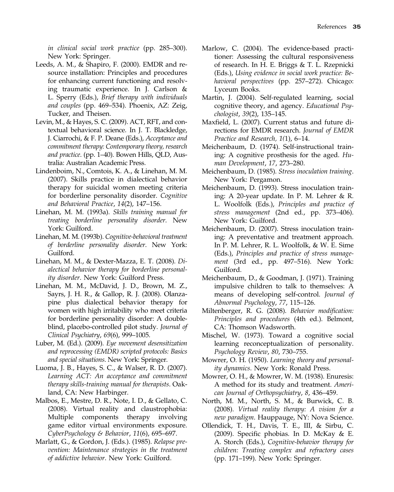in clinical social work practice (pp. 285–300). New York: Springer.

- Leeds, A. M., & Shapiro, F. (2000). EMDR and resource installation: Principles and procedures for enhancing current functioning and resolving traumatic experience. In J. Carlson & L. Sperry (Eds.), Brief therapy with individuals and couples (pp. 469–534). Phoenix, AZ: Zeig, Tucker, and Theisen.
- Levin, M., & Hayes, S. C. (2009). ACT, RFT, and contextual behavioral science. In J. T. Blackledge, J. Ciarrochi, & F. P. Deane (Eds.), Acceptance and commitment therapy: Contemporary theory, research and practice. (pp. 1–40). Bowen Hills, QLD, Australia: Australian Academic Press.
- Lindenboim, N., Comtois, K. A., & Linehan, M. M. (2007). Skills practice in dialectical behavior therapy for suicidal women meeting criteria for borderline personality disorder. Cognitive and Behavioral Practice, 14(2), 147–156.
- Linehan, M. M. (1993a). Skills training manual for treating borderline personality disorder. New York: Guilford.
- Linehan, M. M. (1993b). Cognitive-behavioral treatment of borderline personality disorder. New York: Guilford.
- Linehan, M. M., & Dexter-Mazza, E. T. (2008). Dialectical behavior therapy for borderline personality disorder. New York: Guilford Press.
- Linehan, M. M., McDavid, J. D., Brown, M. Z., Sayrs, J. H. R., & Gallop, R. J. (2008). Olanzapine plus dialectical behavior therapy for women with high irritability who meet criteria for borderline personality disorder: A doubleblind, placebo-controlled pilot study. Journal of Clinical Psychiatry, 69(6), 999–1005.
- Luber, M. (Ed.). (2009). Eye movement desensitization and reprocessing (EMDR) scripted protocols: Basics and special situations. New York: Springer.
- Luoma, J. B., Hayes, S. C., & Walser, R. D. (2007). Learning ACT: An acceptance and commitment therapy skills-training manual for therapists. Oakland, CA: New Harbinger.
- Malbos, E., Mestre, D. R., Note, I. D., & Gellato, C. (2008). Virtual reality and claustrophobia: Multiple components therapy involving game editor virtual environments exposure. CyberPsychology & Behavior, 11(6), 695–697.
- Marlatt, G., & Gordon, J. (Eds.). (1985). Relapse prevention: Maintenance strategies in the treatment of addictive behavior. New York: Guilford.
- Marlow, C. (2004). The evidence-based practitioner: Assessing the cultural responsiveness of research. In H. E. Briggs & T. L. Rzepnicki (Eds.), Using evidence in social work practice: Behavioral perspectives (pp. 257–272). Chicago: Lyceum Books.
- Martin, J. (2004). Self-regulated learning, social cognitive theory, and agency. Educational Psychologist, 39(2), 135–145.
- Maxfield, L. (2007). Current status and future directions for EMDR research. Journal of EMDR Practice and Research, 1(1), 6–14.
- Meichenbaum, D. (1974). Self-instructional training: A cognitive prosthesis for the aged. Human Development, 17, 273–280.
- Meichenbaum, D. (1985). Stress inoculation training. New York: Pergamon.
- Meichenbaum, D. (1993). Stress inoculation training: A 20-year update. In P. M. Lehrer & R. L. Woolfolk (Eds.), Principles and practice of stress management (2nd ed., pp. 373–406). New York: Guilford.
- Meichenbaum, D. (2007). Stress inoculation training: A preventative and treatment approach. In P. M. Lehrer, R. L. Woolfolk, & W. E. Sime (Eds.), Principles and practice of stress management (3rd ed., pp. 497–516). New York: Guilford.
- Meichenbaum, D., & Goodman, J. (1971). Training impulsive children to talk to themselves: A means of developing self-control. Journal of Abnormal Psychology, 77, 115–126.
- Miltenberger, R. G. (2008). Behavior modification: Principles and procedures (4th ed.). Belmont, CA: Thomson Wadsworth.
- Mischel, W. (1973). Toward a cognitive social learning reconceptualization of personality. Psychology Review, 80, 730–755.
- Mowrer, O. H. (1950). Learning theory and personality dynamics. New York: Ronald Press.
- Mowrer, O. H., & Mowrer, W. M. (1938). Enuresis: A method for its study and treatment. American Journal of Orthopsychiatry, 8, 436–459.
- North, M. M., North, S. M., & Burwick, C. B. (2008). Virtual reality therapy: A vision for a new paradigm. Hauppauge, NY: Nova Science.
- Ollendick, T. H., Davis, T. E., III, & Sirbu, C. (2009). Specific phobias. In D. McKay & E. A. Storch (Eds.), Cognitive-behavior therapy for children: Treating complex and refractory cases (pp. 171–199). New York: Springer.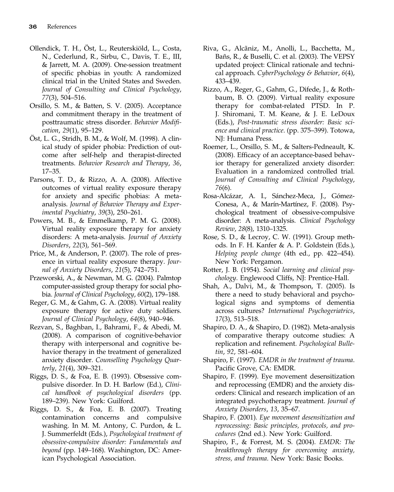- Ollendick, T. H., Öst, L., Reuterskiöld, L., Costa, N., Cederlund, R., Sirbu, C., Davis, T. E., III, & Jarrett, M. A. (2009). One-session treatment of specific phobias in youth: A randomized clinical trial in the United States and Sweden. Journal of Consulting and Clinical Psychology, 77(3), 504–516.
- Orsillo, S. M., & Batten, S. V. (2005). Acceptance and commitment therapy in the treatment of posttraumatic stress disorder. Behavior Modification, 29(1), 95–129.
- Öst, L. G., Stridh, B. M., & Wolf, M. (1998). A clinical study of spider phobia: Prediction of outcome after self-help and therapist-directed treatments. Behavior Research and Therapy, 36, 17–35.
- Parsons, T. D., & Rizzo, A. A. (2008). Affective outcomes of virtual reality exposure therapy for anxiety and specific phobias: A metaanalysis. Journal of Behavior Therapy and Experimental Psychiatry, 39(3), 250–261.
- Powers, M. B., & Emmelkamp, P. M. G. (2008). Virtual reality exposure therapy for anxiety disorders: A meta-analysis. Journal of Anxiety Disorders, 22(3), 561–569.
- Price, M., & Anderson, P. (2007). The role of presence in virtual reality exposure therapy. Journal of Anxiety Disorders, 21(5), 742–751.
- Przeworski, A., & Newman, M. G. (2004). Palmtop computer-assisted group therapy for social phobia. Journal of Clinical Psychology, 60(2), 179–188.
- Reger, G. M., & Gahm, G. A. (2008). Virtual reality exposure therapy for active duty soldiers. Journal of Clinical Psychology, 64(8), 940–946.
- Rezvan, S., Baghban, I., Bahrami, F., & Abedi, M. (2008). A comparison of cognitive-behavior therapy with interpersonal and cognitive behavior therapy in the treatment of generalized anxiety disorder. Counselling Psychology Quarterly, 21(4), 309–321.
- Riggs, D. S., & Foa, E. B. (1993). Obsessive compulsive disorder. In D. H. Barlow (Ed.), Clinical handbook of psychological disorders (pp. 189–239). New York: Guilford.
- Riggs, D. S., & Foa, E. B. (2007). Treating contamination concerns and compulsive washing. In M. M. Antony, C. Purdon, & L. J. Summerfeldt (Eds.), Psychological treatment of obsessive-compulsive disorder: Fundamentals and beyond (pp. 149–168). Washington, DC: American Psychological Association.
- Riva, G., Alcãniz, M., Anolli, L., Bacchetta, M., Bañs, R., & Buselli, C. et al. (2003). The VEPSY updated project: Clinical rationale and technical approach. CyberPsychology & Behavior, 6(4), 433–439.
- Rizzo, A., Reger, G., Gahm, G., Difede, J., & Rothbaum, B. O. (2009). Virtual reality exposure therapy for combat-related PTSD. In P. J. Shiromani, T. M. Keane, & J. E. LeDoux (Eds.), Post-traumatic stress disorder: Basic science and clinical practice. (pp. 375–399). Totowa, NJ: Humana Press.
- Roemer, L., Orsillo, S. M., & Salters-Pedneault, K. (2008). Efficacy of an acceptance-based behavior therapy for generalized anxiety disorder: Evaluation in a randomized controlled trial. Journal of Consulting and Clinical Psychology, 76(6).
- Rosa-Alcázar, A. I., Sánchez-Meca, J., Gómez-Conesa, A., & Marín-Martínez, F. (2008). Psychological treatment of obsessive-compulsive disorder: A meta-analysis. Clinical Psychology Review, 28(8), 1310–1325.
- Rose, S. D., & Lecroy, C. W. (1991). Group methods. In F. H. Kanfer & A. P. Goldstein (Eds.), Helping people change (4th ed., pp. 422–454). New York: Pergamon.
- Rotter, J. B. (1954). Social learning and clinical psychology. Englewood Cliffs, NJ: Prentice-Hall.
- Shah, A., Dalvi, M., & Thompson, T. (2005). Is there a need to study behavioral and psychological signs and symptoms of dementia across cultures? International Psychogeriatrics, 17(3), 513–518.
- Shapiro, D. A., & Shapiro, D. (1982). Meta-analysis of comparative therapy outcome studies: A replication and refinement. Psychological Bulletin, 92, 581–604.
- Shapiro, F. (1997). EMDR in the treatment of trauma. Pacific Grove, CA: EMDR.
- Shapiro, F. (1999). Eye movement desensitization and reprocessing (EMDR) and the anxiety disorders: Clinical and research implication of an integrated psychotherapy treatment. Journal of Anxiety Disorders, 13, 35–67.
- Shapiro, F. (2001). Eye movement desensitization and reprocessing: Basic principles, protocols, and procedures (2nd ed.). New York: Guilford.
- Shapiro, F., & Forrest, M. S. (2004). EMDR: The breakthrough therapy for overcoming anxiety, stress, and trauma. New York: Basic Books.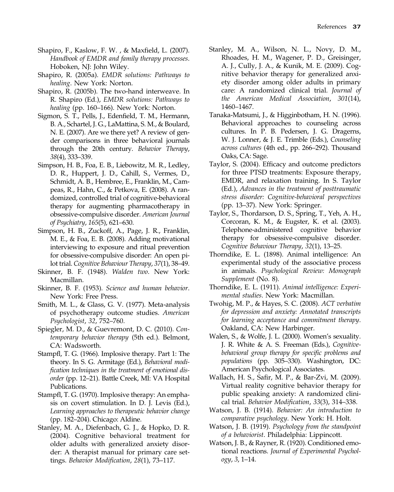- Shapiro, F., Kaslow, F. W. , & Maxfield, L. (2007). Handbook of EMDR and family therapy processes. Hoboken, NJ: John Wiley.
- Shapiro, R. (2005a). EMDR solutions: Pathways to healing. New York: Norton.
- Shapiro, R. (2005b). The two-hand interweave. In R. Shapiro (Ed.), EMDR solutions: Pathways to healing (pp. 160–166). New York: Norton.
- Sigmon, S. T., Pells, J., Edenfield, T. M., Hermann, B. A., Schartel, J. G., LaMattina, S. M., & Boulard, N. E. (2007). Are we there yet? A review of gender comparisons in three behavioral journals through the 20th century. Behavior Therapy, 38(4), 333–339.
- Simpson, H. B., Foa, E. B., Liebowitz, M. R., Ledley, D. R., Huppert, J. D., Cahill, S., Vermes, D., Schmidt, A. B., Hembree, E., Franklin, M., Campeas, R., Hahn, C., & Petkova, E. (2008). A randomized, controlled trial of cognitive-behavioral therapy for augmenting pharmacotherapy in obsessive-compulsive disorder. American Journal of Psychiatry, 165(5), 621–630.
- Simpson, H. B., Zuckoff, A., Page, J. R., Franklin, M. E., & Foa, E. B. (2008). Adding motivational interviewing to exposure and ritual prevention for obsessive-compulsive disorder: An open pilot trial. Cognitive Behaviour Therapy, 37(1), 38–49.
- Skinner, B. F. (1948). Walden two. New York: Macmillan.
- Skinner, B. F. (1953). Science and human behavior. New York: Free Press.
- Smith, M. L., & Glass, G. V. (1977). Meta-analysis of psychotherapy outcome studies. American Psychologist, 32, 752–760.
- Spiegler, M. D., & Guevremont, D. C. (2010). Contemporary behavior therapy (5th ed.). Belmont, CA: Wadsworth.
- Stampfl, T. G. (1966). Implosive therapy. Part 1: The theory. In S. G. Armitage (Ed.), Behavioral modification techniques in the treatment of emotional disorder (pp. 12–21). Battle Creek, MI: VA Hospital Publications.
- Stampfl, T. G. (1970). Implosive therapy: An emphasis on covert stimulation. In D. J. Levis (Ed.), Learning approaches to therapeutic behavior change (pp. 182–204). Chicago: Aldine.
- Stanley, M. A., Diefenbach, G. J., & Hopko, D. R. (2004). Cognitive behavioral treatment for older adults with generalized anxiety disorder: A therapist manual for primary care settings. Behavior Modification, 28(1), 73–117.
- Stanley, M. A., Wilson, N. L., Novy, D. M., Rhoades, H. M., Wagener, P. D., Greisinger, A. J., Cully, J. A., & Kunik, M. E. (2009). Cognitive behavior therapy for generalized anxiety disorder among older adults in primary care: A randomized clinical trial. Journal of the American Medical Association, 301(14), 1460–1467.
- Tanaka-Matsumi, J., & Higginbotham, H. N. (1996). Behavioral approaches to counseling across cultures. In P. B. Pedersen, J. G. Dragerns, W. J. Lonner, & J. E. Trimble (Eds.), Counseling across cultures (4th ed., pp. 266–292). Thousand Oaks, CA: Sage.
- Taylor, S. (2004). Efficacy and outcome predictors for three PTSD treatments: Exposure therapy, EMDR, and relaxation training. In S. Taylor (Ed.), Advances in the treatment of posttraumatic stress disorder: Cognitive-behavioral perspectives (pp. 13–37). New York: Springer.
- Taylor, S., Thordarson, D. S., Spring, T., Yeh, A. H., Corcoran, K. M., & Eugster, K. et al. (2003). Telephone-administered cognitive behavior therapy for obsessive-compulsive disorder. Cognitive Behaviour Therapy, 32(1), 13–25.
- Thorndike, E. L. (1898). Animal intelligence: An experimental study of the associative process in animals. Psychological Review: Monograph Supplement (No. 8).
- Thorndike, E. L. (1911). Animal intelligence: Experimental studies. New York: Macmillan.
- Twohig, M. P., & Hayes, S. C. (2008). ACT verbatim for depression and anxiety: Annotated transcripts for learning acceptance and commitment therapy. Oakland, CA: New Harbinger.
- Walen, S., & Wolfe, J. L. (2000). Women's sexuality. J. R. White & A. S. Freeman (Eds.), Cognitivebehavioral group therapy for specific problems and populations (pp. 305–330). Washington, DC: American Psychological Associates.
- Wallach, H. S., Safir, M. P., & Bar-Zvi, M. (2009). Virtual reality cognitive behavior therapy for public speaking anxiety: A randomized clinical trial. Behavior Modification, 33(3), 314–338.
- Watson, J. B. (1914). Behavior: An introduction to comparative psychology. New York: H. Holt.
- Watson, J. B. (1919). Psychology from the standpoint of a behaviorist. Philadelphia: Lippincott.
- Watson, J. B., & Rayner, R. (1920). Conditioned emotional reactions. Journal of Experimental Psychology, 3, 1–14.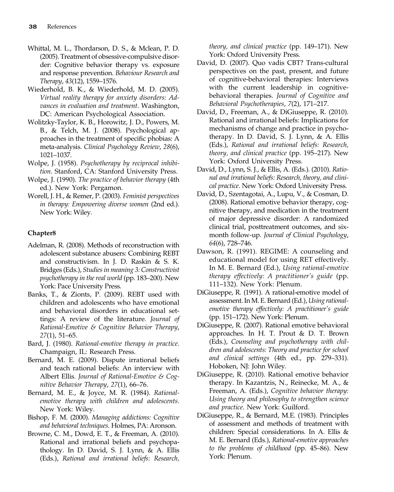- Whittal, M. L., Thordarson, D. S., & Mclean, P. D. (2005). Treatment of obsessive-compulsive disorder: Cognitive behavior therapy vs. exposure and response prevention. Behaviour Research and Therapy, 43(12), 1559–1576.
- Wiederhold, B. K., & Wiederhold, M. D. (2005). Virtual reality therapy for anxiety disorders: Advances in evaluation and treatment. Washington, DC: American Psychological Association.
- Wolitzky-Taylor, K. B., Horowitz, J. D., Powers, M. B., & Telch, M. J. (2008). Psychological approaches in the treatment of specific phobias: A meta-analysis. Clinical Psychology Review, 28(6), 1021–1037.
- Wolpe, J. (1958). Psychotherapy by reciprocal inhibition. Stanford, CA: Stanford University Press.
- Wolpe, J. (1990). The practice of behavior therapy (4th ed.). New York: Pergamon.
- Worell, J. H., & Remer, P. (2003). Feminist perspectives in therapy: Empowering diverse women (2nd ed.). New York: Wiley.

- Adelman, R. (2008). Methods of reconstruction with adolescent substance abusers: Combining REBT and constructivism. In J. D. Raskin & S. K. Bridges (Eds.), Studies in meaning 3: Constructivist psychotherapy in the real world (pp. 183–200). New York: Pace University Press.
- Banks, T., & Zionts, P. (2009). REBT used with children and adolescents who have emotional and behavioral disorders in educational settings: A review of the literature. Journal of Rational-Emotive & Cognitive Behavior Therapy, 27(1), 51–65.
- Bard, J. (1980). Rational-emotive therapy in practice. Champaign, IL: Research Press.
- Bernard, M. E. (2009). Dispute irrational beliefs and teach rational beliefs: An interview with Albert Ellis. Journal of Rational-Emotive & Cognitive Behavior Therapy, 27(1), 66–76.
- Bernard, M. E., & Joyce, M. R. (1984). Rationalemotive therapy with children and adolescents. New York: Wiley.
- Bishop, F. M. (2000). Managing addictions: Cognitive and behavioral techniques. Holmes, PA: Aronson.
- Browne, C. M., Dowd, E. T., & Freeman, A. (2010). Rational and irrational beliefs and psychopathology. In D. David, S. J. Lynn, & A. Ellis (Eds.), Rational and irrational beliefs: Research,

theory, and clinical practice (pp. 149–171). New York: Oxford University Press.

- David, D. (2007). Quo vadis CBT? Trans-cultural perspectives on the past, present, and future of cognitive-behavioral therapies: Interviews with the current leadership in cognitivebehavioral therapies. Journal of Cognitive and Behavioral Psychotherapies, 7(2), 171–217.
- David, D., Freeman, A., & DiGiuseppe, R. (2010). Rational and irrational beliefs: Implications for mechanisms of change and practice in psychotherapy. In D. David, S. J. Lynn, & A. Ellis (Eds.), Rational and irrational beliefs: Research, theory, and clinical practice (pp. 195–217). New York: Oxford University Press.
- David, D., Lynn, S. J., & Ellis, A. (Eds.). (2010). Rational and irrational beliefs: Research, theory, and clinical practice. New York: Oxford University Press.
- David, D., Szentagotai, A., Lupu, V., & Cosman, D. (2008). Rational emotive behavior therapy, cognitive therapy, and medication in the treatment of major depressive disorder: A randomized clinical trial, posttreatment outcomes, and sixmonth follow-up. Journal of Clinical Psychology, 64(6), 728–746.
- Dawson, R. (1991). REGIME: A counseling and educational model for using RET effectively. In M. E. Bernard (Ed.), Using rational-emotive therapy effectively: A practitioner's guide (pp. 111–132). New York: Plenum.
- DiGiuseppe, R. (1991). A rational-emotive model of assessment. In M. E. Bernard (Ed.), Using rationalemotive therapy effectively: A practitioner's guide (pp. 151–172). New York: Plenum.
- DiGiuseppe, R. (2007). Rational emotive behavioral approaches. In H. T. Prout & D. T. Brown (Eds.), Counseling and psychotherapy with children and adolescents: Theory and practice for school and clinical settings (4th ed., pp. 279–331). Hoboken, NJ: John Wiley.
- DiGiuseppe, R. (2010). Rational emotive behavior therapy. In Kazantzis, N., Reinecke, M. A., & Freeman, A. (Eds.), Cognitive behavior therapy: Using theory and philosophy to strengthen science and practice. New York: Guilford.
- DiGiuseppe, R., & Bernard, M.E. (1983). Principles of assessment and methods of treatment with children: Special considerations. In A. Ellis & M. E. Bernard (Eds.), Rational-emotive approaches to the problems of childhood (pp. 45–86). New York: Plenum.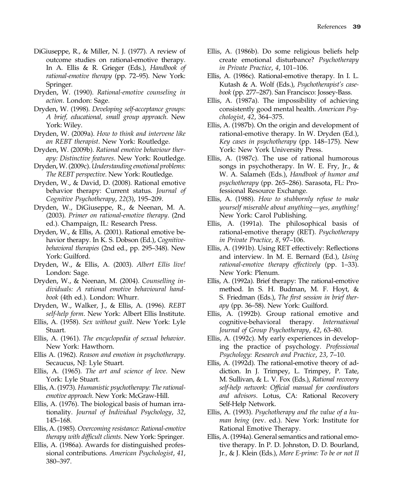- DiGiuseppe, R., & Miller, N. J. (1977). A review of outcome studies on rational-emotive therapy. In A. Ellis & R. Grieger (Eds.), Handbook of rational-emotive therapy (pp. 72–95). New York: Springer.
- Dryden, W. (1990). Rational-emotive counseling in action. London: Sage.
- Dryden, W. (1998). Developing self-acceptance groups: A brief, educational, small group approach. New York: Wiley.
- Dryden, W. (2009a). How to think and intervene like an REBT therapist. New York: Routledge.
- Dryden, W. (2009b). Rational emotive behaviour therapy: Distinctive features. New York: Routledge.
- Dryden,W. (2009c).Understanding emotional problems: The REBT perspective. New York: Routledge.
- Dryden, W., & David, D. (2008). Rational emotive behavior therapy: Current status. Journal of Cognitive Psychotherapy, 22(3), 195–209.
- Dryden, W., DiGiuseppe, R., & Neenan, M. A. (2003). Primer on rational-emotive therapy. (2nd ed.). Champaign, IL: Research Press.
- Dryden, W., & Ellis, A. (2001). Rational emotive behavior therapy. In K. S. Dobson (Ed.), Cognitivebehavioral therapies (2nd ed., pp. 295–348). New York: Guilford.
- Dryden, W., & Ellis, A. (2003). Albert Ellis live! London: Sage.
- Dryden, W., & Neenan, M. (2004). Counselling individuals: A rational emotive behavioural handbook (4th ed.). London: Whurr.
- Dryden, W., Walker, J., & Ellis, A. (1996). REBT self-help form. New York: Albert Ellis Institute.
- Ellis, A. (1958). Sex without guilt. New York: Lyle Stuart.
- Ellis, A. (1961). The encyclopedia of sexual behavior. New York: Hawthorn.
- Ellis A. (1962). Reason and emotion in psychotherapy. Secaucus, NJ: Lyle Stuart.
- Ellis, A. (1965). The art and science of love. New York: Lyle Stuart.
- Ellis, A. (1973). Humanistic psychotherapy: The rationalemotive approach. New York: McGraw-Hill.
- Ellis, A. (1976). The biological basis of human irrationality. Journal of Individual Psychology, 32, 145–168.
- Ellis, A. (1985). Overcoming resistance: Rational-emotive therapy with difficult clients. New York: Springer.
- Ellis, A. (1986a). Awards for distinguished professional contributions. American Psychologist, 41, 380–397.
- Ellis, A. (1986b). Do some religious beliefs help create emotional disturbance? Psychotherapy in Private Practice, 4, 101–106.
- Ellis, A. (1986c). Rational-emotive therapy. In I. L. Kutash & A. Wolf (Eds.), Psychotherapist's casebook (pp. 277–287). San Francisco: Jossey-Bass.
- Ellis, A. (1987a). The impossibility of achieving consistently good mental health. American Psychologist, 42, 364–375.
- Ellis, A. (1987b). On the origin and development of rational-emotive therapy. In W. Dryden (Ed.), Key cases in psychotherapy (pp. 148–175). New York: New York University Press.
- Ellis, A. (1987c). The use of rational humorous songs in psychotherapy. In W. E. Fry, Jr., & W. A. Salameh (Eds.), Handbook of humor and psychotherapy (pp. 265–286). Sarasota, FL: Professional Resource Exchange.
- Ellis, A. (1988). How to stubbornly refuse to make yourself miserable about anything—yes, anything! New York: Carol Publishing.
- Ellis, A. (1991a). The philosophical basis of rational-emotive therapy (RET). Psychotherapy in Private Practice, 8, 97–106.
- Ellis, A. (1991b). Using RET effectively: Reflections and interview. In M. E. Bernard (Ed.), Using rational-emotive therapy effectively (pp. 1–33). New York: Plenum.
- Ellis, A. (1992a). Brief therapy: The rational-emotive method. In S. H. Budman, M. F. Hoyt, & S. Friedman (Eds.), The first session in brief therapy (pp. 36–58). New York: Guilford.
- Ellis, A. (1992b). Group rational emotive and cognitive-behavioral therapy. International Journal of Group Psychotherapy, 42, 63–80.
- Ellis, A. (1992c). My early experiences in developing the practice of psychology. Professional Psychology: Research and Practice, 23, 7–10.
- Ellis, A. (1992d). The rational-emotive theory of addiction. In J. Trimpey, L. Trimpey, P. Tate, M. Sullivan, & L. V. Fox (Eds.), Rational recovery self-help network: Official manual for coordinators and advisors. Lotus, CA: Rational Recovery Self-Help Network.
- Ellis, A. (1993). Psychotherapy and the value of a human being (rev. ed.). New York: Institute for Rational Emotive Therapy.
- Ellis, A. (1994a). General semantics and rational emotive therapy. In P. D. Johnston, D. D. Bourland, Jr., & J. Klein (Eds.), More E-prime: To be or not II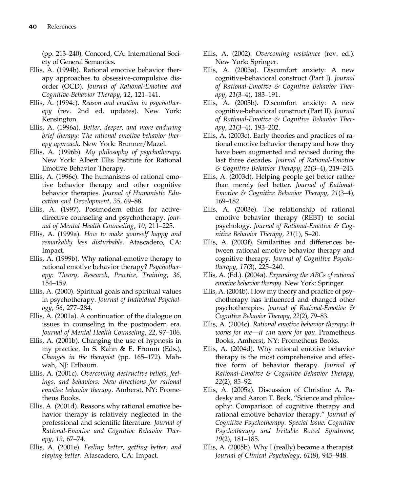(pp. 213–240). Concord, CA: International Society of General Semantics.

- Ellis, A. (1994b). Rational emotive behavior therapy approaches to obsessive-compulsive disorder (OCD). Journal of Rational-Emotive and Cognitive-Behavior Therapy, 12, 121–141.
- Ellis, A. (1994c). Reason and emotion in psychotherapy (rev. 2nd ed. updates). New York: Kensington.
- Ellis, A. (1996a). Better, deeper, and more enduring brief therapy: The rational emotive behavior therapy approach. New York: Brunner/Mazel.
- Ellis, A. (1996b). My philosophy of psychotherapy. New York: Albert Ellis Institute for Rational Emotive Behavior Therapy.
- Ellis, A. (1996c). The humanisms of rational emotive behavior therapy and other cognitive behavior therapies. Journal of Humanistic Education and Development, 35, 69–88.
- Ellis, A. (1997). Postmodern ethics for activedirective counseling and psychotherapy. Journal of Mental Health Counseling, 10, 211–225.
- Ellis, A. (1999a). How to make yourself happy and remarkably less disturbable. Atascadero, CA: Impact.
- Ellis, A. (1999b). Why rational-emotive therapy to rational emotive behavior therapy? Psychotherapy: Theory, Research, Practice, Training, 36, 154–159.
- Ellis, A. (2000). Spiritual goals and spiritual values in psychotherapy. Journal of Individual Psychology, 56, 277–284.
- Ellis, A. (2001a). A continuation of the dialogue on issues in counseling in the postmodern era. Journal of Mental Health Counseling, 22, 97–106.
- Ellis, A. (2001b). Changing the use of hypnosis in my practice. In S. Kahn & E. Fromm (Eds.), Changes in the therapist (pp. 165–172). Mahwah, NJ: Erlbaum.
- Ellis, A. (2001c). Overcoming destructive beliefs, feelings, and behaviors: New directions for rational emotive behavior therapy. Amherst, NY: Prometheus Books.
- Ellis, A. (2001d). Reasons why rational emotive behavior therapy is relatively neglected in the professional and scientific literature. Journal of Rational-Emotive and Cognitive Behavior Therapy, 19, 67–74.
- Ellis, A. (2001e). Feeling better, getting better, and staying better. Atascadero, CA: Impact.
- Ellis, A. (2002). Overcoming resistance (rev. ed.). New York: Springer.
- Ellis, A. (2003a). Discomfort anxiety: A new cognitive-behavioral construct (Part I). Journal of Rational-Emotive & Cognitive Behavior Therapy, 21(3–4), 183–191.
- Ellis, A. (2003b). Discomfort anxiety: A new cognitive-behavioral construct (Part II). Journal of Rational-Emotive & Cognitive Behavior Therapy, 21(3–4), 193–202.
- Ellis, A. (2003c). Early theories and practices of rational emotive behavior therapy and how they have been augmented and revised during the last three decades. Journal of Rational-Emotive & Cognitive Behavior Therapy, 21(3–4), 219–243.
- Ellis, A. (2003d). Helping people get better rather than merely feel better. Journal of Rational-Emotive & Cognitive Behavior Therapy, 21(3–4), 169–182.
- Ellis, A. (2003e). The relationship of rational emotive behavior therapy (REBT) to social psychology. Journal of Rational-Emotive & Cognitive Behavior Therapy, 21(1), 5–20.
- Ellis, A. (2003f). Similarities and differences between rational emotive behavior therapy and cognitive therapy. Journal of Cognitive Psychotherapy, 17(3), 225–240.
- Ellis, A. (Ed.). (2004a). Expanding the ABCs of rational emotive behavior therapy. New York: Springer.
- Ellis, A. (2004b). How my theory and practice of psychotherapy has influenced and changed other psychotherapies. Journal of Rational-Emotive & Cognitive Behavior Therapy, 22(2), 79–83.
- Ellis, A. (2004c). Rational emotive behavior therapy: It works for me—it can work for you. Prometheus Books, Amherst, NY: Prometheus Books.
- Ellis, A. (2004d). Why rational emotive behavior therapy is the most comprehensive and effective form of behavior therapy. Journal of Rational-Emotive & Cognitive Behavior Therapy, 22(2), 85–92.
- Ellis, A. (2005a). Discussion of Christine A. Padesky and Aaron T. Beck, "Science and philosophy: Comparison of cognitive therapy and rational emotive behavior therapy." Journal of Cognitive Psychotherapy. Special Issue: Cognitive Psychotherapy and Irritable Bowel Syndrome, 19(2), 181–185.
- Ellis, A. (2005b). Why I (really) became a therapist. Journal of Clinical Psychology, 61(8), 945–948.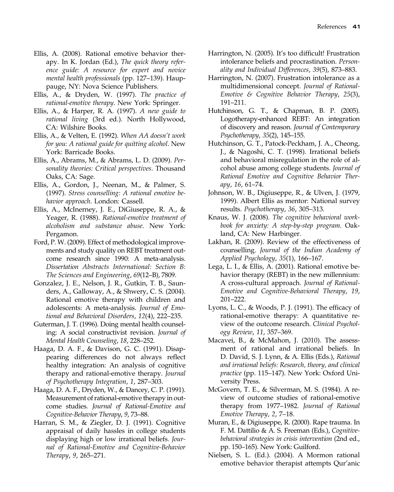- Ellis, A. (2008). Rational emotive behavior therapy. In K. Jordan (Ed.), The quick theory reference guide: A resource for expert and novice mental health professionals (pp. 127–139). Hauppauge, NY: Nova Science Publishers.
- Ellis, A., & Dryden, W. (1997). The practice of rational-emotive therapy. New York: Springer.
- Ellis, A., & Harper, R. A. (1997). A new guide to rational living (3rd ed.). North Hollywood, CA: Wilshire Books.
- Ellis, A., & Velten, E. (1992). When AA doesn't work for you: A rational guide for quitting alcohol. New York: Barricade Books.
- Ellis, A., Abrams, M., & Abrams, L. D. (2009). Personality theories: Critical perspectives. Thousand Oaks, CA: Sage.
- Ellis, A., Gordon, J., Neenan, M., & Palmer, S. (1997). Stress counselling: A rational emotive behavior approach. London: Cassell.
- Ellis, A., McInerney, J. E., DiGiuseppe, R. A., & Yeager, R. (1988). Rational-emotive treatment of alcoholism and substance abuse. New York: Pergamon.
- Ford, P. W. (2009). Effect of methodological improvements and study quality on REBT treatment outcome research since 1990: A meta-analysis. Dissertation Abstracts International: Section B: The Sciences and Engineering, 69(12–B), 7809.
- Gonzalez, J. E., Nelson, J. R., Gutkin, T. B., Saunders, A., Galloway, A., & Shwery, C. S. (2004). Rational emotive therapy with children and adolescents: A meta-analysis. Journal of Emotional and Behavioral Disorders, 12(4), 222–235.
- Guterman, J. T. (1996). Doing mental health counseling: A social constructivist revision. Journal of Mental Health Counseling, 18, 228–252.
- Haaga, D. A. F., & Davison, G. C. (1991). Disappearing differences do not always reflect healthy integration: An analysis of cognitive therapy and rational-emotive therapy. Journal of Psychotherapy Integration, 1, 287–303.
- Haaga, D. A. F., Dryden, W., & Dancey, C. P. (1991). Measurement of rational-emotive therapy in outcome studies. Journal of Rational-Emotive and Cognitive-Behavior Therapy, 9, 73–88.
- Harran, S. M., & Ziegler, D. J. (1991). Cognitive appraisal of daily hassles in college students displaying high or low irrational beliefs. Journal of Rational-Emotive and Cognitive-Behavior Therapy, 9, 265–271.
- Harrington, N. (2005). It's too difficult! Frustration intolerance beliefs and procrastination. Personality and Individual Differences, 39(5), 873–883.
- Harrington, N. (2007). Frustration intolerance as a multidimensional concept. Journal of Rational-Emotive & Cognitive Behavior Therapy, 25(3), 191–211.
- Hutchinson, G. T., & Chapman, B. P. (2005). Logotherapy-enhanced REBT: An integration of discovery and reason. Journal of Contemporary Psychotherapy, 35(2), 145–155.
- Hutchinson, G. T., Patock-Peckham, J. A., Cheong, J., & Nagoshi, C. T. (1998). Irrational beliefs and behavioral misregulation in the role of alcohol abuse among college students. Journal of Rational Emotive and Cognitive Behavior Therapy, 16, 61–74.
- Johnson, W. B., Digiuseppe, R., & Ulven, J. (1979, 1999). Albert Ellis as mentor: National survey results. Psychotherapy, 36, 305–313.
- Knaus, W. J. (2008). The cognitive behavioral workbook for anxiety: A step-by-step program. Oakland, CA: New Harbinger.
- Lakhan, R. (2009). Review of the effectiveness of counselling. Journal of the Indian Academy of Applied Psychology, 35(1), 166–167.
- Lega, L. I., & Ellis, A. (2001). Rational emotive behavior therapy (REBT) in the new millennium: A cross-cultural approach. Journal of Rational-Emotive and Cognitive-Behavioral Therapy, 19, 201–222.
- Lyons, L. C., & Woods, P. J. (1991). The efficacy of rational-emotive therapy: A quantitative review of the outcome research. Clinical Psychology Review, 11, 357–369.
- Macavei, B., & McMahon, J. (2010). The assessment of rational and irrational beliefs. In D. David, S. J. Lynn, & A. Ellis (Eds.), Rational and irrational beliefs: Research, theory, and clinical practice (pp. 115–147). New York: Oxford University Press.
- McGovern, T. E., & Silverman, M. S. (1984). A review of outcome studies of rational-emotive therapy from 1977–1982. Journal of Rational Emotive Therapy, 2, 7–18.
- Muran, E., & Digiuseppe, R. (2000). Rape trauma. In F. M. Dattilio & A. S. Freeman (Eds.), Cognitivebehavioral strategies in crisis intervention (2nd ed., pp. 150–165). New York: Guilford.
- Nielsen, S. L. (Ed.). (2004). A Mormon rational emotive behavior therapist attempts Qur'anic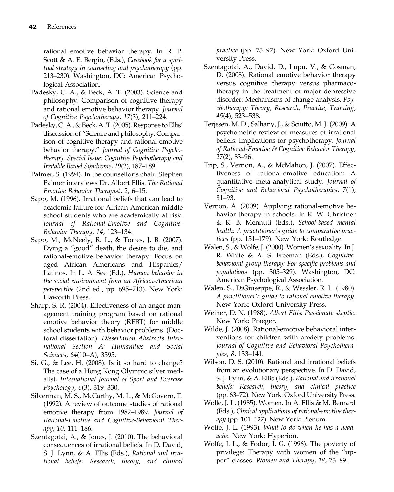rational emotive behavior therapy. In R. P. Scott & A. E. Bergin, (Eds.), Casebook for a spiritual strategy in counseling and psychotherapy (pp. 213–230). Washington, DC: American Psychological Association.

- Padesky, C. A., & Beck, A. T. (2003). Science and philosophy: Comparison of cognitive therapy and rational emotive behavior therapy. Journal of Cognitive Psychotherapy, 17(3), 211–224.
- Padesky, C. A., & Beck, A. T. (2005). Response to Ellis' discussion of "Science and philosophy: Comparison of cognitive therapy and rational emotive behavior therapy." Journal of Cognitive Psychotherapy. Special Issue: Cognitive Psychotherapy and Irritable Bowel Syndrome, 19(2), 187–189.
- Palmer, S. (1994). In the counsellor's chair: Stephen Palmer interviews Dr. Albert Ellis. The Rational Emotive Behavior Therapist, 2, 6–15.
- Sapp, M. (1996). Irrational beliefs that can lead to academic failure for African American middle school students who are academically at risk. Journal of Rational-Emotive and Cognitive-Behavior Therapy, 14, 123–134.
- Sapp, M., McNeely, R. L., & Torres, J. B. (2007). Dying a "good" death, the desire to die, and rational-emotive behavior therapy: Focus on aged African Americans and Hispanics/ Latinos. In L. A. See (Ed.), Human behavior in the social environment from an African-American perspective (2nd ed., pp. 695–713). New York: Haworth Press.
- Sharp, S. R. (2004). Effectiveness of an anger management training program based on rational emotive behavior theory (REBT) for middle school students with behavior problems. (Doctoral dissertation). Dissertation Abstracts International Section A: Humanities and Social Sciences, 64(10–A), 3595.
- Si, G., & Lee, H. (2008). Is it so hard to change? The case of a Hong Kong Olympic silver medalist. International Journal of Sport and Exercise Psychology, 6(3), 319–330.
- Silverman, M. S., McCarthy, M. L., & McGovern, T. (1992). A review of outcome studies of rational emotive therapy from 1982–1989. Journal of Rational-Emotive and Cognitive-Behavioral Therapy, 10, 111–186.
- Szentagotai, A., & Jones, J. (2010). The behavioral consequences of irrational beliefs. In D. David, S. J. Lynn, & A. Ellis (Eds.), Rational and irrational beliefs: Research, theory, and clinical

practice (pp. 75–97). New York: Oxford University Press.

- Szentagotai, A., David, D., Lupu, V., & Cosman, D. (2008). Rational emotive behavior therapy versus cognitive therapy versus pharmacotherapy in the treatment of major depressive disorder: Mechanisms of change analysis. Psychotherapy: Theory, Research, Practice, Training, 45(4), 523–538.
- Terjesen, M. D., Salhany, J., & Sciutto, M. J. (2009). A psychometric review of measures of irrational beliefs: Implications for psychotherapy. Journal of Rational-Emotive & Cognitive Behavior Therapy, 27(2), 83–96.
- Trip, S., Vernon, A., & McMahon, J. (2007). Effectiveness of rational-emotive education: A quantitative meta-analytical study. Journal of Cognitive and Behavioral Psychotherapies, 7(1), 81–93.
- Vernon, A. (2009). Applying rational-emotive behavior therapy in schools. In R. W. Christner & R. B. Mennuti (Eds.), School-based mental health: A practitioner's guide to comparative practices (pp. 151–179). New York: Routledge.
- Walen, S., & Wolfe, J. (2000). Women's sexuality. In J. R. White & A. S. Freeman (Eds.), Cognitivebehavioral group therapy: For specific problems and populations (pp. 305–329). Washington, DC: American Psychological Association.
- Walen, S., DiGiuseppe, R., & Wessler, R. L. (1980). A practitioner's guide to rational-emotive therapy. New York: Oxford University Press.
- Weiner, D. N. (1988). Albert Ellis: Passionate skeptic. New York: Praeger.
- Wilde, J. (2008). Rational-emotive behavioral interventions for children with anxiety problems. Journal of Cognitive and Behavioral Psychotherapies, 8, 133–141.
- Wilson, D. S. (2010). Rational and irrational beliefs from an evolutionary perspective. In D. David, S. J. Lynn, & A. Ellis (Eds.), Rational and irrational beliefs: Research, theory, and clinical practice (pp. 63–72). New York: Oxford University Press.
- Wolfe, J. L. (1985). Women. In A. Ellis & M. Bernard (Eds.), Clinical applications of rational-emotive therapy (pp. 101–127). New York: Plenum.
- Wolfe, J. L. (1993). What to do when he has a headache. New York: Hyperion.
- Wolfe, J. L., & Fodor, I. G. (1996). The poverty of privilege: Therapy with women of the "upper" classes. Women and Therapy, 18, 73–89.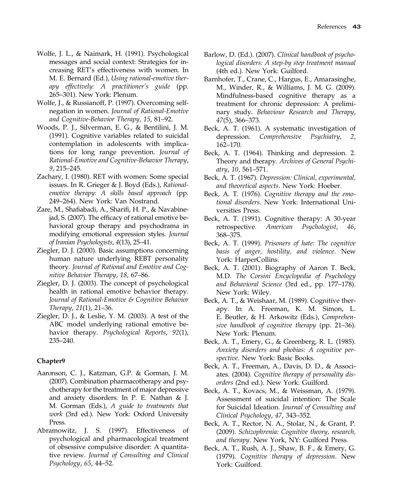- Wolfe, J. L., & Naimark, H. (1991). Psychological messages and social context: Strategies for increasing RET's effectiveness with women. In M. E. Bernard (Ed.), Using rational-emotive therapy effectively: A practitioner's guide (pp. 265–301). New York: Plenum.
- Wolfe, J., & Russianoff, P. (1997). Overcoming selfnegation in women. Journal of Rational-Emotive and Cognitive-Behavior Therapy, 15, 81–92.
- Woods, P. J., Silverman, E. G., & Bentilini, J. M. (1991). Cognitive variables related to suicidal contemplation in adolescents with implications for long range prevention. Journal of Rational-Emotive and Cognitive-Behavior Therapy, 9, 215–245.
- Zachary, I. (1980). RET with women: Some special issues. In R. Grieger & J. Boyd (Eds.), Rationalemotive therapy: A skills based approach (pp. 249–264). New York: Van Nostrand.
- Zare, M., Shafiabadi, A., Sharifi, H. P., & Navabinejad, S. (2007). The efficacy of rational emotive behavioral group therapy and psychodrama in modifying emotional expression styles. Journal of Iranian Psychologists, 4(13), 25–41.
- Ziegler, D. J. (2000). Basic assumptions concerning human nature underlying REBT personality theory. Journal of Rational and Emotive and Cognitive Behavior Therapy, 18, 67–86.
- Ziegler, D. J. (2003). The concept of psychological health in rational emotive behavior therapy. Journal of Rational-Emotive & Cognitive Behavior Therapy, 21(1), 21–36.
- Ziegler, D. J., & Leslie, Y. M. (2003). A test of the ABC model underlying rational emotive behavior therapy. Psychological Reports, 92(1), 235–240.

- Aaronson, C. J., Katzman, G.P. & Gorman, J. M. (2007). Combination pharmacotherapy and psychotherapy for the treatment of major depressive and anxiety disorders. In P. E. Nathan & J. M. Gorman (Eds.), A guide to treatments that work (3rd ed.). New York: Oxford University Press.
- Abramowitz, J. S. (1997). Effectiveness of psychological and pharmacological treatment of obsessive compulsive disorder: A quantitative review. Journal of Consulting and Clinical Psychology, 65, 44–52.
- Barlow, D. (Ed.). (2007). Clinical handbook of psychological disorders: A step-by step treatment manual (4th ed.). New York: Guilford.
- Barnhofer, T., Crane, C., Hargus, E., Amarasinghe, M., Winder, R., & Williams, J. M. G. (2009). Mindfulness-based cognitive therapy as a treatment for chronic depression: A preliminary study. Behaviour Research and Therapy, 47(5), 366–373.
- Beck, A. T. (1961). A systematic investigation of depression. Comprehensive Psychiatry, 2, 162–170.
- Beck, A. T. (1964). Thinking and depression. 2. Theory and therapy. Archives of General Psychiatry, 10, 561–571.
- Beck, A. T. (1967). Depression: Clinical, experimental, and theoretical aspects. New York: Hoeber.
- Beck, A. T. (1976). Cognitive therapy and the emotional disorders. New York: International Universities Press.
- Beck, A. T. (1991). Cognitive therapy: A 30-year retrospective. American Psychologist, 46, 368–375.
- Beck, A. T. (1999). Prisoners of hate: The cognitive basis of anger, hostility, and violence. New York: HarperCollins.
- Beck, A. T. (2001). Biography of Aaron T. Beck, M.D. The Corsini Encyclopedia of Psychology and Behavioral Science (3rd ed., pp. 177–178). New York: Wiley.
- Beck, A. T., & Weishaar, M. (1989). Cognitive therapy. In A. Freeman, K. M. Simon, L. E. Beutler, & H. Arkowitz (Eds.), Comprehensive handbook of cognitive therapy (pp. 21–36). New York: Plenum.
- Beck, A. T., Emery, G., & Greenberg, R. L. (1985). Anxiety disorders and phobias: A cognitive perspective. New York: Basic Books.
- Beck, A. T., Freeman, A., Davis, D. D., & Associates. (2004). Cognitive therapy of personality disorders (2nd ed.). New York: Guilford.
- Beck, A. T., Kovacs, M., & Weissman, A. (1979). Assessment of suicidal intention: The Scale for Suicidal Ideation. Journal of Consulting and Clinical Psychology, 47, 343–352.
- Beck, A. T., Rector, N. A., Stolar, N., & Grant, P. (2009). Schizophrenia: Cognitive theory, research, and therapy. New York, NY: Guilford Press.
- Beck, A. T., Rush, A. J., Shaw, B. F., & Emery, G. (1979). Cognitive therapy of depression. New York: Guilford.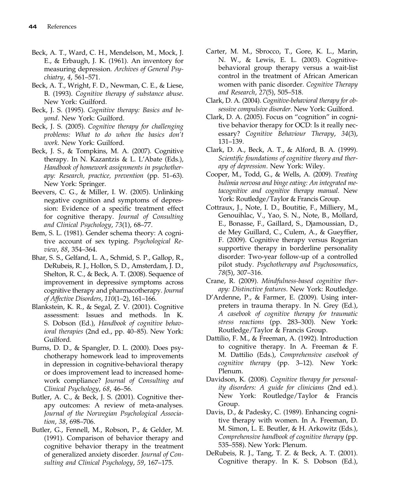- Beck, A. T., Ward, C. H., Mendelson, M., Mock, J. E., & Erbaugh, J. K. (1961). An inventory for measuring depression. Archives of General Psychiatry, 4, 561–571.
- Beck, A. T., Wright, F. D., Newman, C. E., & Liese, B. (1993). Cognitive therapy of substance abuse. New York: Guilford.
- Beck, J. S. (1995). Cognitive therapy: Basics and beyond. New York: Guilford.
- Beck, J. S. (2005). Cognitive therapy for challenging problems: What to do when the basics don't work. New York: Guilford.
- Beck, J. S., & Tompkins, M. A. (2007). Cognitive therapy. In N. Kazantzis & L. L'Abate (Eds.), Handbook of homework assignments in psychotherapy: Research, practice, prevention (pp. 51–63). New York: Springer.
- Beevers, C. G., & Miller, I. W. (2005). Unlinking negative cognition and symptoms of depression: Evidence of a specific treatment effect for cognitive therapy. Journal of Consulting and Clinical Psychology, 73(1), 68–77.
- Bem, S. L. (1981). Gender schema theory: A cognitive account of sex typing. Psychological Review, 88, 354–364.
- Bhar, S. S., Gelfand, L. A., Schmid, S. P., Gallop, R., DeRubeis, R. J., Hollon, S. D., Amsterdam, J. D., Shelton, R. C., & Beck, A. T. (2008). Sequence of improvement in depressive symptoms across cognitive therapy and pharmacotherapy. Journal of Affective Disorders, 110(1–2), 161–166.
- Blankstein, K. R., & Segal, Z. V. (2001). Cognitive assessment: Issues and methods. In K. S. Dobson (Ed.), Handbook of cognitive behavioral therapies (2nd ed., pp. 40–85). New York: Guilford.
- Burns, D. D., & Spangler, D. L. (2000). Does psychotherapy homework lead to improvements in depression in cognitive-behavioral therapy or does improvement lead to increased homework compliance? Journal of Consulting and Clinical Psychology, 68, 46–56.
- Butler, A. C., & Beck, J. S. (2001). Cognitive therapy outcomes: A review of meta-analyses. Journal of the Norwegian Psychological Association, 38, 698–706.
- Butler, G., Fennell, M., Robson, P., & Gelder, M. (1991). Comparison of behavior therapy and cognitive behavior therapy in the treatment of generalized anxiety disorder. Journal of Consulting and Clinical Psychology, 59, 167–175.
- Carter, M. M., Sbrocco, T., Gore, K. L., Marin, N. W., & Lewis, E. L. (2003). Cognitivebehavioral group therapy versus a wait-list control in the treatment of African American women with panic disorder. Cognitive Therapy and Research, 27(5), 505–518.
- Clark, D. A. (2004). Cognitive-behavioral therapy for obsessive compulsive disorder. New York: Guilford.
- Clark, D. A. (2005). Focus on "cognition" in cognitive behavior therapy for OCD: Is it really necessary? Cognitive Behaviour Therapy, 34(3), 131–139.
- Clark, D. A., Beck, A. T., & Alford, B. A. (1999). Scientific foundations of cognitive theory and therapy of depression. New York: Wiley.
- Cooper, M., Todd, G., & Wells, A. (2009). Treating bulimia nervosa and binge eating: An integrated metacognitive and cognitive therapy manual. New York: Routledge/Taylor & Francis Group.
- Cottraux, J., Note, I. D., Boutitie, F., Milliery, M., Genouihlac, V., Yao, S. N., Note, B., Mollard, E., Bonasse, F., Gaillard, S., Djamoussian, D., de Mey Guillard, C., Culem, A., & Gueyffier, F. (2009). Cognitive therapy versus Rogerian supportive therapy in borderline personality disorder: Two-year follow-up of a controlled pilot study. Psychotherapy and Psychosomatics, 78(5), 307–316.
- Crane, R. (2009). Mindfulness-based cognitive therapy: Distinctive features. New York: Routledge.
- D'Ardenne, P., & Farmer, E. (2009). Using interpreters in trauma therapy. In N. Grey (Ed.), A casebook of cognitive therapy for traumatic stress reactions (pp. 283–300). New York: Routledge/Taylor & Francis Group.
- Dattilio, F. M., & Freeman, A. (1992). Introduction to cognitive therapy. In A. Freeman & F. M. Dattilio (Eds.), Comprehensive casebook of cognitive therapy (pp. 3–12). New York: Plenum.
- Davidson, K. (2008). Cognitive therapy for personality disorders: A guide for clinicians (2nd ed.). New York: Routledge/Taylor & Francis Group.
- Davis, D., & Padesky, C. (1989). Enhancing cognitive therapy with women. In A. Freeman, D. M. Simon, L. E. Beutler, & H. Arkowitz (Eds.), Comprehensive handbook of cognitive therapy (pp. 535–558). New York: Plenum.
- DeRubeis, R. J., Tang, T. Z. & Beck, A. T. (2001). Cognitive therapy. In K. S. Dobson (Ed.),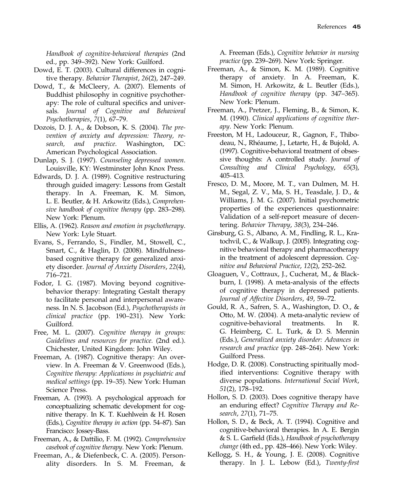Handbook of cognitive-behavioral therapies (2nd ed., pp. 349–392). New York: Guilford.

- Dowd, E. T. (2003). Cultural differences in cognitive therapy. Behavior Therapist, 26(2), 247–249.
- Dowd, T., & McCleery, A. (2007). Elements of Buddhist philosophy in cognitive psychotherapy: The role of cultural specifics and universals. Journal of Cognitive and Behavioral Psychotherapies, 7(1), 67–79.
- Dozois, D. J. A., & Dobson, K. S. (2004). The prevention of anxiety and depression: Theory, research, and practice. Washington, DC: American Psychological Association.
- Dunlap, S. J. (1997). Counseling depressed women. Louisville, KY: Westminster John Knox Press.
- Edwards, D. J. A. (1989). Cognitive restructuring through guided imagery: Lessons from Gestalt therapy. In A. Freeman, K. M. Simon, L. E. Beutler, & H. Arkowitz (Eds.), Comprehensive handbook of cognitive therapy (pp. 283–298). New York: Plenum.
- Ellis, A. (1962). Reason and emotion in psychotherapy. New York: Lyle Stuart.
- Evans, S., Ferrando, S., Findler, M., Stowell, C., Smart, C., & Haglin, D. (2008). Mindfulnessbased cognitive therapy for generalized anxiety disorder. Journal of Anxiety Disorders, 22(4), 716–721.
- Fodor, I. G. (1987). Moving beyond cognitivebehavior therapy: Integrating Gestalt therapy to facilitate personal and interpersonal awareness. In N. S. Jacobson (Ed.), Psychotherapists in clinical practice (pp. 190–231). New York: Guilford.
- Free, M. L. (2007). Cognitive therapy in groups: Guidelines and resources for practice. (2nd ed.). Chichester, United Kingdom: John Wiley.
- Freeman, A. (1987). Cognitive therapy: An overview. In A. Freeman & V. Greenwood (Eds.), Cognitive therapy: Applications in psychiatric and medical settings (pp. 19–35). New York: Human Science Press.
- Freeman, A. (1993). A psychological approach for conceptualizing schematic development for cognitive therapy. In K. T. Kuehlwein & H. Rosen (Eds.), Cognitive therapy in action (pp. 54–87). San Francisco: Jossey-Bass.
- Freeman, A., & Dattilio, F. M. (1992). Comprehensive casebook of cognitive therapy. New York: Plenum.
- Freeman, A., & Diefenbeck, C. A. (2005). Personality disorders. In S. M. Freeman, &

A. Freeman (Eds.), Cognitive behavior in nursing practice (pp. 239–269). New York: Springer.

- Freeman, A., & Simon, K. M. (1989). Cognitive therapy of anxiety. In A. Freeman, K. M. Simon, H. Arkowitz, & L. Beutler (Eds.), Handbook of cognitive therapy (pp. 347–365). New York: Plenum.
- Freeman, A., Pretzer, J., Fleming, B., & Simon, K. M. (1990). Clinical applications of cognitive therapy. New York: Plenum.
- Freeston, M H., Ladouceur, R., Gagnon, F., Thibodeau, N., Rhéaume, J., Letarte, H., & Bujold, A. (1997). Cognitive-behavioral treatment of obsessive thoughts: A controlled study. Journal of Consulting and Clinical Psychology, 65(3), 405–413.
- Fresco, D. M., Moore, M. T., van Dulmen, M. H. M., Segal, Z. V., Ma, S. H., Teasdale, J. D., & Williams, J. M. G. (2007). Initial psychometric properties of the experiences questionnaire: Validation of a self-report measure of decentering. Behavior Therapy, 38(3), 234–246.
- Ginsburg, G. S., Albano, A. M., Findling, R. L., Kratochvil, C., & Walkup, J. (2005). Integrating cognitive behavioral therapy and pharmacotherapy in the treatment of adolescent depression. Cognitive and Behavioral Practice, 12(2), 252–262.
- Gloaguen, V., Cottraux, J., Cucherat, M., & Blackburn, I. (1998). A meta-analysis of the effects of cognitive therapy in depressed patients. Journal of Affective Disorders, 49, 59–72.
- Gould, R. A., Safren, S. A., Washington, D. O., & Otto, M. W. (2004). A meta-analytic review of cognitive-behavioral treatments. In R. G. Heimberg, C. L. Turk, & D. S. Mennin (Eds.), Generalized anxiety disorder: Advances in research and practice (pp. 248–264). New York: Guilford Press.
- Hodge, D. R. (2008). Constructing spiritually modified interventions: Cognitive therapy with diverse populations. International Social Work, 51(2), 178–192.
- Hollon, S. D. (2003). Does cognitive therapy have an enduring effect? Cognitive Therapy and Research, 27(1), 71–75.
- Hollon, S. D., & Beck, A. T. (1994). Cognitive and cognitive-behavioral therapies. In A. E. Bergin & S. L. Garfield (Eds.), Handbook of psychotherapy change (4th ed., pp. 428–466). New York: Wiley.
- Kellogg, S. H., & Young, J. E. (2008). Cognitive therapy. In J. L. Lebow (Ed.), Twenty-first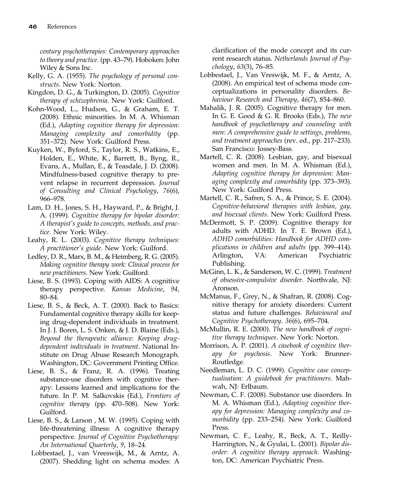century psychotherapies: Contemporary approaches to theory and practice. (pp. 43–79). Hoboken: John Wiley & Sons Inc.

- Kelly, G. A. (1955). The psychology of personal constructs. New York: Norton.
- Kingdon, D. G., & Turkington, D. (2005). Cognitive therapy of schizophrenia. New York: Guilford.
- Kohn-Wood, L., Hudson, G., & Graham, E. T. (2008). Ethnic minorities. In M. A. Whisman (Ed.), Adapting cognitive therapy for depression: Managing complexity and comorbidity (pp. 351–372). New York: Guilford Press.
- Kuyken, W., Byford, S., Taylor, R. S., Watkins, E., Holden, E., White, K., Barrett, B., Byng, R., Evans, A., Mullan, E., & Teasdale, J. D. (2008). Mindfulness-based cognitive therapy to prevent relapse in recurrent depression. Journal of Consulting and Clinical Psychology, 76(6), 966–978.
- Lam, D. H., Jones, S. H., Hayward, P., & Bright, J. A. (1999). Cognitive therapy for bipolar disorder: A therapist's guide to concepts, methods, and practice. New York: Wiley.
- Leahy, R. L. (2003). Cognitive therapy techniques: A practitioner's guide. New York: Guilford.
- Ledley, D. R., Marx, B. M., & Heimberg, R. G. (2005). Making cognitive therapy work: Clinical process for new practitioners. New York: Guilford.
- Liese, B. S. (1993). Coping with AIDS: A cognitive therapy perspective. Kansas Medicine, 94, 80–84.
- Liese, B. S., & Beck, A. T. (2000). Back to Basics: Fundamental cognitive therapy skills for keeping drug-dependent individuals in treatment. In J. J. Boren, L. S. Onken, & J. D. Blaine (Eds.), Beyond the therapeutic alliance: Keeping drugdependent individuals in treatment. National Institute on Drug Abuse Research Monograph. Washington, DC: Government Printing Office.
- Liese, B. S., & Franz, R. A. (1996). Treating substance-use disorders with cognitive therapy: Lessons learned and implications for the future. In P. M. Salkovskis (Ed.), Frontiers of cognitive therapy (pp. 470–508). New York: Guilford.
- Liese, B. S., & Larson , M. W. (1995). Coping with life-threatening illness: A cognitive therapy perspective. Journal of Cognitive Psychotherapy: An International Quarterly, 9, 18–24.
- Lobbestael, J., van Vreeswijk, M., & Arntz, A. (2007). Shedding light on schema modes: A

clarification of the mode concept and its current research status. Netherlands Journal of Psychology, 63(3), 76–85.

- Lobbestael, J., Van Vreswijk, M. F., & Arntz, A. (2008). An empirical test of schema mode conceptualizations in personality disorders. Behaviour Research and Therapy, 46(7), 854–860.
- Mahalik, J. R. (2005). Cognitive therapy for men. In G. E. Good & G. R. Brooks (Eds.), The new handbook of psychotherapy and counseling with men: A comprehensive guide to settings, problems, and treatment approaches (rev. ed., pp. 217–233). San Francisco: Jossey-Bass.
- Martell, C. R. (2008). Lesbian, gay, and bisexual women and men. In M. A. Whisman (Ed.), Adapting cognitive therapy for depression: Managing complexity and comorbidity (pp. 373–393). New York: Guilford Press.
- Martell, C. R., Safren, S. A., & Prince, S. E. (2004). Cognitive-behavioral therapies with lesbian, gay, and bisexual clients. New York: Guilford Press.
- McDermott, S. P. (2009). Cognitive therapy for adults with ADHD. In T. E. Brown (Ed.), ADHD comorbidities: Handbook for ADHD complications in children and adults (pp. 399–414). Arlington, VA: American Psychiatric Publishing.
- McGinn, L. K., & Sanderson, W. C. (1999). Treatment of obsessive-compulsive disorder. Northvale, NJ: Aronson.
- McManus, F., Grey, N., & Shafran, R. (2008). Cognitive therapy for anxiety disorders: Current status and future challenges. Behavioural and Cognitive Psychotherapy. 36(6), 695–704.
- McMullin, R. E. (2000). The new handbook of cognitive therapy techniques. New York: Norton.
- Morrison, A. P. (2001). A casebook of cognitive therapy for psychosis. New York: Brunner-Routledge.
- Needleman, L. D. C. (1999). Cognitive case conceptualisation: A guidebook for practitioners. Mahwah, NJ: Erlbaum.
- Newman, C. F. (2008). Substance use disorders. In M. A. Whisman (Ed.), Adapting cognitive therapy for depression: Managing complexity and comorbidity (pp. 233–254). New York: Guilford Press.
- Newman, C. F., Leahy, R., Beck, A. T., Reilly-Harrington, N., & Gyulai, L. (2001). Bipolar disorder: A cognitive therapy approach. Washington, DC: American Psychiatric Press.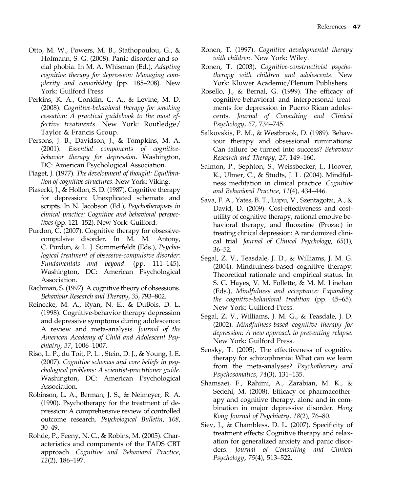- Otto, M. W., Powers, M. B., Stathopoulou, G., & Hofmann, S. G. (2008). Panic disorder and social phobia. In M. A. Whisman (Ed.), Adapting cognitive therapy for depression: Managing complexity and comorbidity (pp. 185–208). New York: Guilford Press.
- Perkins, K. A., Conklin, C. A., & Levine, M. D. (2008). Cognitive-behavioral therapy for smoking cessation: A practical guidebook to the most effective treatments. New York: Routledge/ Taylor & Francis Group.
- Persons, J. B., Davidson, J., & Tompkins, M. A. (2001). Essential components of cognitivebehavior therapy for depression. Washington, DC: American Psychological Association.
- Piaget, J. (1977). The development of thought: Equilibration of cognitive structures. New York: Viking.
- Piasecki, J., & Hollon, S. D. (1987). Cognitive therapy for depression: Unexplicated schemata and scripts. In N. Jacobson (Ed.), Psychotherapists in clinical practice: Cognitive and behavioral perspectives (pp. 121–152). New York: Guilford.
- Purdon, C. (2007). Cognitive therapy for obsessivecompulsive disorder. In M. M. Antony, C. Purdon, & L. J. Summerfeldt (Eds.), Psychological treatment of obsessive-compulsive disorder: Fundamentals and beyond. (pp. 111–145). Washington, DC: American Psychological Association.
- Rachman, S. (1997). A cognitive theory of obsessions. Behaviour Research and Therapy, 35, 793–802.
- Reinecke, M. A., Ryan, N. E., & DuBois, D. L. (1998). Cognitive-behavior therapy depression and depressive symptoms during adolescence: A review and meta-analysis. Journal of the American Academy of Child and Adolescent Psychiatry, 37, 1006–1007.
- Riso, L. P., du Toit, P. L. , Stein, D. J., & Young, J. E. (2007). Cognitive schemas and core beliefs in psychological problems: A scientist-practitioner guide. Washington, DC: American Psychological Association.
- Robinson, L. A., Berman, J. S., & Neimeyer, R. A. (1990). Psychotherapy for the treatment of depression: A comprehensive review of controlled outcome research. Psychological Bulletin, 108, 30–49.
- Rohde, P., Feeny, N. C., & Robins, M. (2005). Characteristics and components of the TADS CBT approach. Cognitive and Behavioral Practice, 12(2), 186–197.
- Ronen, T. (1997). Cognitive developmental therapy with children. New York: Wiley.
- Ronen, T. (2003). Cognitive-constructivist psychotherapy with children and adolescents. New York: Kluwer Academic/Plenum Publishers.
- Rosello, J., & Bernal, G. (1999). The efficacy of cognitive-behavioral and interpersonal treatments for depression in Puerto Rican adolescents. Journal of Consulting and Clinical Psychology, 67, 734–745.
- Salkovskis, P. M., & Westbrook, D. (1989). Behaviour therapy and obsessional ruminations: Can failure be turned into success? Behaviour Research and Therapy, 27, 149–160.
- Salmon, P., Sephton, S., Weissbecker, I., Hoover, K., Ulmer, C., & Studts, J. L. (2004). Mindfulness meditation in clinical practice. Cognitive and Behavioral Practice, 11(4), 434–446.
- Sava, F. A., Yates, B. T., Lupu, V., Szentagotai, A., & David, D. (2009). Cost-effectiveness and costutility of cognitive therapy, rational emotive behavioral therapy, and fluoxetine (Prozac) in treating clinical depression: A randomized clinical trial. Journal of Clinical Psychology, 65(1), 36–52.
- Segal, Z. V., Teasdale, J. D., & Williams, J. M. G. (2004). Mindfulness-based cognitive therapy: Theoretical rationale and empirical status. In S. C. Hayes, V. M. Follette, & M. M. Linehan (Eds.), Mindfulness and acceptance: Expanding the cognitive-behavioral tradition (pp. 45–65). New York: Guilford Press.
- Segal, Z. V., Williams, J. M. G., & Teasdale, J. D. (2002). Mindfulness-based cognitive therapy for depression: A new approach to preventing relapse. New York: Guilford Press.
- Sensky, T. (2005). The effectiveness of cognitive therapy for schizophrenia: What can we learn from the meta-analyses? Psychotherapy and Psychosomatics, 74(3), 131–135.
- Shamsaei, F., Rahimi, A., Zarabian, M. K., & Sedehi, M. (2008). Efficacy of pharmacotherapy and cognitive therapy, alone and in combination in major depressive disorder. Hong Kong Journal of Psychiatry, 18(2), 76–80.
- Siev, J., & Chambless, D. L. (2007). Specificity of treatment effects: Cognitive therapy and relaxation for generalized anxiety and panic disorders. Journal of Consulting and Clinical Psychology, 75(4), 513–522.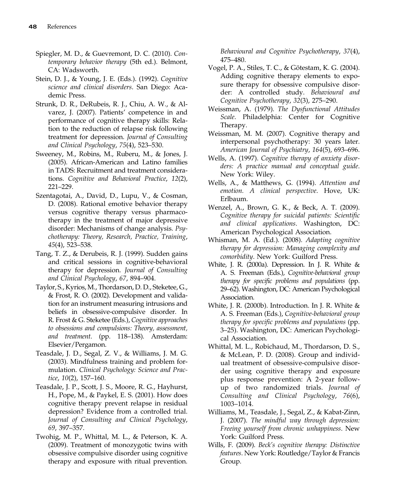- Spiegler, M. D., & Guevremont, D. C. (2010). Contemporary behavior therapy (5th ed.). Belmont, CA: Wadsworth.
- Stein, D. J., & Young, J. E. (Eds.). (1992). Cognitive science and clinical disorders. San Diego: Academic Press.
- Strunk, D. R., DeRubeis, R. J., Chiu, A. W., & Alvarez, J. (2007). Patients' competence in and performance of cognitive therapy skills: Relation to the reduction of relapse risk following treatment for depression. Journal of Consulting and Clinical Psychology, 75(4), 523–530.
- Sweeney, M., Robins, M., Ruberu, M., & Jones, J. (2005). African-American and Latino families in TADS: Recruitment and treatment considerations. Cognitive and Behavioral Practice, 12(2), 221–229.
- Szentagotai, A., David, D., Lupu, V., & Cosman, D. (2008). Rational emotive behavior therapy versus cognitive therapy versus pharmacotherapy in the treatment of major depressive disorder: Mechanisms of change analysis. Psychotherapy: Theory, Research, Practice, Training, 45(4), 523–538.
- Tang, T. Z., & Derubeis, R. J. (1999). Sudden gains and critical sessions in cognitive-behavioral therapy for depression. Journal of Consulting and Clinical Psychology, 67, 894–904.
- Taylor, S., Kyrios, M., Thordarson, D. D., Steketee, G., & Frost, R. O. (2002). Development and validation for an instrument measuring intrusions and beliefs in obsessive-compulsive disorder. In R. Frost & G. Steketee (Eds.), Cognitive approaches to obsessions and compulsions: Theory, assessment, and treatment. (pp. 118–138). Amsterdam: Elsevier/Pergamon.
- Teasdale, J. D., Segal, Z. V., & Williams, J. M. G. (2003). Mindfulness training and problem formulation. Clinical Psychology: Science and Practice, 10(2), 157–160.
- Teasdale, J. P., Scott, J. S., Moore, R. G., Hayhurst, H., Pope, M., & Paykel, E. S. (2001). How does cognitive therapy prevent relapse in residual depression? Evidence from a controlled trial. Journal of Consulting and Clinical Psychology, 69, 397–357.
- Twohig, M. P., Whittal, M. L., & Peterson, K. A. (2009). Treatment of monozygotic twins with obsessive compulsive disorder using cognitive therapy and exposure with ritual prevention.

Behavioural and Cognitive Psychotherapy, 37(4), 475–480.

- Vogel, P. A., Stiles, T. C., & Götestam, K. G. (2004). Adding cognitive therapy elements to exposure therapy for obsessive compulsive disorder: A controlled study. Behavioural and Cognitive Psychotherapy, 32(3), 275–290.
- Weissman, A. (1979). The Dysfunctional Attitudes Scale. Philadelphia: Center for Cognitive Therapy.
- Weissman, M. M. (2007). Cognitive therapy and interpersonal psychotherapy: 30 years later. American Journal of Psychiatry, 164(5), 693–696.
- Wells, A. (1997). Cognitive therapy of anxiety disorders: A practice manual and conceptual guide. New York: Wiley.
- Wells, A., & Matthews, G. (1994). Attention and emotion. A clinical perspective. Hove, UK: Erlbaum.
- Wenzel, A., Brown, G. K., & Beck, A. T. (2009). Cognitive therapy for suicidal patients: Scientific and clinical applications. Washington, DC: American Psychological Association.
- Whisman, M. A. (Ed.). (2008). Adapting cognitive therapy for depression: Managing complexity and comorbidity. New York: Guilford Press.
- White, J. R. (2000a). Depression. In J. R. White & A. S. Freeman (Eds.), Cognitive-behavioral group therapy for specific problems and populations (pp. 29–62). Washington, DC: American Psychological Association.
- White, J. R. (2000b). Introduction. In J. R. White & A. S. Freeman (Eds.), Cognitive-behavioral group therapy for specific problems and populations (pp. 3–25). Washington, DC: American Psychological Association.
- Whittal, M. L., Robichaud, M., Thordarson, D. S., & McLean, P. D. (2008). Group and individual treatment of obsessive-compulsive disorder using cognitive therapy and exposure plus response prevention: A 2-year followup of two randomized trials. Journal of Consulting and Clinical Psychology, 76(6), 1003–1014.
- Williams, M., Teasdale, J., Segal, Z., & Kabat-Zinn, J. (2007). The mindful way through depression: Freeing yourself from chronic unhappiness. New York: Guilford Press.
- Wills, F. (2009). Beck's cognitive therapy: Distinctive features. New York: Routledge/Taylor & Francis Group.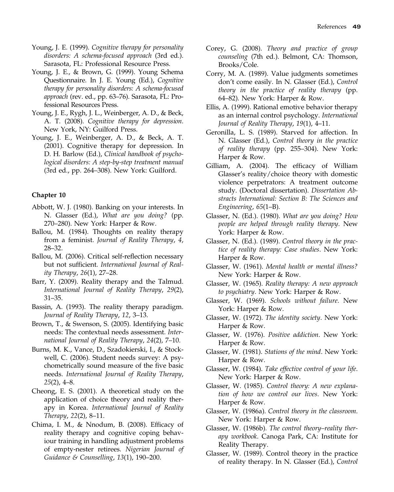- Young, J. E. (1999). Cognitive therapy for personality disorders: A schema-focused approach (3rd ed.). Sarasota, FL: Professional Resource Press.
- Young, J. E., & Brown, G. (1999). Young Schema Questionnaire. In J. E. Young (Ed.), Cognitive therapy for personality disorders: A schema-focused approach (rev. ed., pp. 63–76). Sarasota, FL: Professional Resources Press.
- Young, J. E., Rygh, J. L., Weinberger, A. D., & Beck, A. T. (2008). Cognitive therapy for depression. New York, NY: Guilford Press.
- Young, J. E., Weinberger, A. D., & Beck, A. T. (2001). Cognitive therapy for depression. In D. H. Barlow (Ed.), Clinical handbook of psychological disorders: A step-by-step treatment manual (3rd ed., pp. 264–308). New York: Guilford.

- Abbott, W. J. (1980). Banking on your interests. In N. Glasser (Ed.), What are you doing? (pp. 270–280). New York: Harper & Row.
- Ballou, M. (1984). Thoughts on reality therapy from a feminist. Journal of Reality Therapy, 4, 28–32.
- Ballou, M. (2006). Critical self-reflection necessary but not sufficient. International Journal of Reality Therapy, 26(1), 27–28.
- Barr, Y. (2009). Reality therapy and the Talmud. International Journal of Reality Therapy, 29(2), 31–35.
- Bassin, A. (1993). The reality therapy paradigm. Journal of Reality Therapy, 12, 3–13.
- Brown, T., & Swenson, S. (2005). Identifying basic needs: The contextual needs assessment. International Journal of Reality Therapy, 24(2), 7–10.
- Burns, M. K., Vance, D., Szadokierski, I., & Stockwell, C. (2006). Student needs survey: A psychometrically sound measure of the five basic needs. International Journal of Reality Therapy,  $25(2)$ , 4–8.
- Cheong, E. S. (2001). A theoretical study on the application of choice theory and reality therapy in Korea. International Journal of Reality Therapy, 22(2), 8–11.
- Chima, I. M., & Nnodum, B. (2008). Efficacy of reality therapy and cognitive coping behaviour training in handling adjustment problems of empty-nester retirees. Nigerian Journal of Guidance & Counselling, 13(1), 190–200.
- Corey, G. (2008). Theory and practice of group counseling (7th ed.). Belmont, CA: Thomson, Brooks/Cole.
- Corry, M. A. (1989). Value judgments sometimes don't come easily. In N. Glasser (Ed.), Control theory in the practice of reality therapy (pp. 64–82). New York: Harper & Row.
- Ellis, A. (1999). Rational emotive behavior therapy as an internal control psychology. International Journal of Reality Therapy, 19(1), 4–11.
- Geronilla, L. S. (1989). Starved for affection. In N. Glasser (Ed.), Control theory in the practice of reality therapy (pp. 255–304). New York: Harper & Row.
- Gilliam, A. (2004). The efficacy of William Glasser's reality/choice theory with domestic violence perpetrators: A treatment outcome study. (Doctoral dissertation). Dissertation Abstracts International: Section B: The Sciences and Engineering, 65(1–B).
- Glasser, N. (Ed.). (1980). What are you doing? How people are helped through reality therapy. New York: Harper & Row.
- Glasser, N. (Ed.). (1989). Control theory in the practice of reality therapy: Case studies. New York: Harper & Row.
- Glasser, W. (1961). Mental health or mental illness? New York: Harper & Row.
- Glasser, W. (1965). Reality therapy: A new approach to psychiatry. New York: Harper & Row.
- Glasser, W. (1969). Schools without failure. New York: Harper & Row.
- Glasser, W. (1972). The identity society. New York: Harper & Row.
- Glasser, W. (1976). Positive addiction. New York: Harper & Row.
- Glasser, W. (1981). Stations of the mind. New York: Harper & Row.
- Glasser, W. (1984). Take effective control of your life. New York: Harper & Row.
- Glasser, W. (1985). Control theory: A new explanation of how we control our lives. New York: Harper & Row.
- Glasser, W. (1986a). Control theory in the classroom. New York: Harper & Row.
- Glasser, W. (1986b). The control theory–reality therapy workbook. Canoga Park, CA: Institute for Reality Therapy.
- Glasser, W. (1989). Control theory in the practice of reality therapy. In N. Glasser (Ed.), Control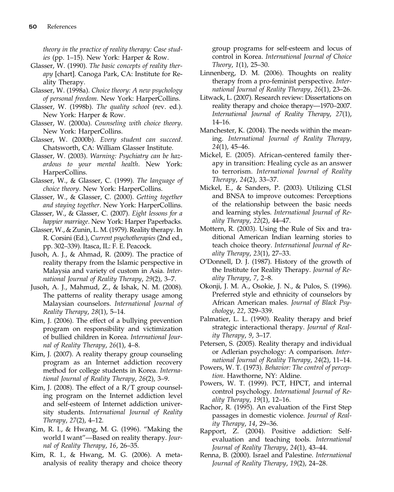theory in the practice of reality therapy: Case studies (pp. 1–15). New York: Harper & Row.

- Glasser, W. (1990). The basic concepts of reality therapy [chart]. Canoga Park, CA: Institute for Reality Therapy.
- Glasser, W. (1998a). Choice theory: A new psychology of personal freedom. New York: HarperCollins.
- Glasser, W. (1998b). The quality school (rev. ed.). New York: Harper & Row.
- Glasser, W. (2000a). Counseling with choice theory. New York: HarperCollins.
- Glasser, W. (2000b). Every student can succeed. Chatsworth, CA: William Glasser Institute.
- Glasser, W. (2003). Warning: Psychiatry can be hazardous to your mental health. New York: HarperCollins.
- Glasser, W., & Glasser, C. (1999). The language of choice theory. New York: HarperCollins.
- Glasser, W., & Glasser, C. (2000). Getting together and staying together. New York: HarperCollins.
- Glasser, W., & Glasser, C. (2007). Eight lessons for a happier marriage. New York: Harper Paperbacks.
- Glasser, W., & Zunin, L. M. (1979). Reality therapy. In R. Corsini (Ed.), Current psychotherapies (2nd ed., pp. 302–339). Itasca, IL: F. E. Peacock.
- Jusoh, A. J., & Ahmad, R. (2009). The practice of reality therapy from the Islamic perspective in Malaysia and variety of custom in Asia. International Journal of Reality Therapy, 29(2), 3–7.
- Jusoh, A. J., Mahmud, Z., & Ishak, N. M. (2008). The patterns of reality therapy usage among Malaysian counselors. International Journal of Reality Therapy, 28(1), 5–14.
- Kim, J. (2006). The effect of a bullying prevention program on responsibility and victimization of bullied children in Korea. International Journal of Reality Therapy, 26(1), 4–8.
- Kim, J. (2007). A reality therapy group counseling program as an Internet addiction recovery method for college students in Korea. International Journal of Reality Therapy, 26(2), 3–9.
- Kim, J. (2008). The effect of a R/T group counseling program on the Internet addiction level and self-esteem of Internet addiction university students. International Journal of Reality Therapy, 27(2), 4–12.
- Kim, R. I., & Hwang, M. G. (1996). "Making the world I want"—Based on reality therapy. Journal of Reality Therapy, 16, 26–35.
- Kim, R. I., & Hwang, M. G. (2006). A metaanalysis of reality therapy and choice theory

group programs for self-esteem and locus of control in Korea. International Journal of Choice Theory, 1(1), 25–30.

- Linnenberg, D. M. (2006). Thoughts on reality therapy from a pro-feminist perspective. International Journal of Reality Therapy, 26(1), 23–26.
- Litwack, L. (2007). Research review: Dissertations on reality therapy and choice therapy—1970–2007. International Journal of Reality Therapy, 27(1), 14–16.
- Manchester, K. (2004). The needs within the meaning. International Journal of Reality Therapy, 24(1), 45–46.
- Mickel, E. (2005). African-centered family therapy in transition: Healing cycle as an answer to terrorism. International Journal of Reality Therapy, 24(2), 33–37.
- Mickel, E., & Sanders, P. (2003). Utilizing CLSI and BNSA to improve outcomes: Perceptions of the relationship between the basic needs and learning styles. International Journal of Reality Therapy, 22(2), 44–47.
- Mottern, R. (2003). Using the Rule of Six and traditional American Indian learning stories to teach choice theory. International Journal of Reality Therapy, 23(1), 27–33.
- O'Donnell, D. J. (1987). History of the growth of the Institute for Reality Therapy. Journal of Reality Therapy, 7, 2–8.
- Okonji, J. M. A., Osokie, J. N., & Pulos, S. (1996). Preferred style and ethnicity of counselors by African American males. Journal of Black Psychology, 22, 329–339.
- Palmatier, L. L. (1990). Reality therapy and brief strategic interactional therapy. Journal of Reality Therapy, 9, 3–17.
- Petersen, S. (2005). Reality therapy and individual or Adlerian psychology: A comparison. International Journal of Reality Therapy, 24(2), 11–14.
- Powers, W. T. (1973). Behavior: The control of perception. Hawthorne, NY: Aldine.
- Powers, W. T. (1999). PCT, HPCT, and internal control psychology. International Journal of Reality Therapy, 19(1), 12–16.
- Rachor, R. (1995). An evaluation of the First Step passages in domestic violence. Journal of Reality Therapy, 14, 29–36.
- Rapport, Z. (2004). Positive addiction: Selfevaluation and teaching tools. International Journal of Reality Therapy, 24(1), 43–44.
- Renna, B. (2000). Israel and Palestine. International Journal of Reality Therapy, 19(2), 24–28.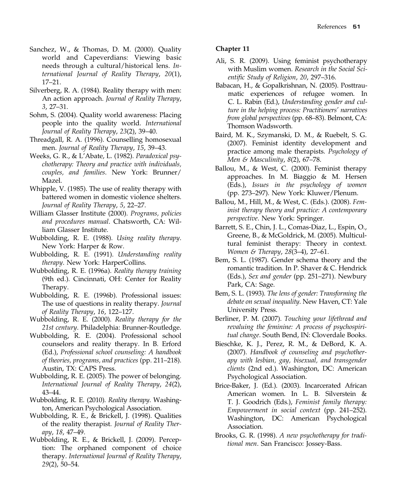- Sanchez, W., & Thomas, D. M. (2000). Quality world and Capeverdians: Viewing basic needs through a cultural/historical lens. International Journal of Reality Therapy, 20(1), 17–21.
- Silverberg, R. A. (1984). Reality therapy with men: An action approach. Journal of Reality Therapy, 3, 27–31.
- Sohm, S. (2004). Quality world awareness: Placing people into the quality world. International Journal of Reality Therapy, 23(2), 39–40.
- Threadgall, R. A. (1996). Counselling homosexual men. Journal of Reality Therapy, 15, 39–43.
- Weeks, G. R., & L'Abate, L. (1982). Paradoxical psychotherapy: Theory and practice with individuals, couples, and families. New York: Brunner/ Mazel.
- Whipple, V. (1985). The use of reality therapy with battered women in domestic violence shelters. Journal of Reality Therapy, 5, 22–27.
- William Glasser Institute (2000). Programs, policies and procedures manual. Chatsworth, CA: William Glasser Institute.
- Wubbolding, R. E. (1988). Using reality therapy. New York: Harper & Row.
- Wubbolding, R. E. (1991). Understanding reality therapy. New York: HarperCollins.
- Wubbolding, R. E. (1996a). Reality therapy training (9th ed.). Cincinnati, OH: Center for Reality Therapy.
- Wubbolding, R. E. (1996b). Professional issues: The use of questions in reality therapy. Journal of Reality Therapy, 16, 122–127.
- Wubbolding, R. E. (2000). Reality therapy for the 21st century. Philadelphia: Brunner-Routledge.
- Wubbolding, R. E. (2004). Professional school counselors and reality therapy. In B. Erford (Ed.), Professional school counseling: A handbook of theories, programs, and practices (pp. 211–218). Austin, TX: CAPS Press.
- Wubbolding, R. E. (2005). The power of belonging. International Journal of Reality Therapy, 24(2), 43–44.
- Wubbolding, R. E. (2010). Reality therapy. Washington, American Psychological Association.
- Wubbolding, R. E., & Brickell, J. (1998). Qualities of the reality therapist. Journal of Reality Therapy, 18, 47–49.
- Wubbolding, R. E., & Brickell, J. (2009). Perception: The orphaned component of choice therapy. International Journal of Reality Therapy, 29(2), 50–54.

- Ali, S. R. (2009). Using feminist psychotherapy with Muslim women. Research in the Social Scientific Study of Religion, 20, 297–316.
- Babacan, H., & Gopalkrishnan, N. (2005). Posttraumatic experiences of refugee women. In C. L. Rabin (Ed.), Understanding gender and culture in the helping process: Practitioners' narratives from global perspectives (pp. 68–83). Belmont, CA: Thomson Wadsworth.
- Baird, M. K., Szymanski, D. M., & Ruebelt, S. G. (2007). Feminist identity development and practice among male therapists. Psychology of Men & Masculinity, 8(2), 67–78.
- Ballou, M., & West, C. (2000). Feminist therapy approaches. In M. Biaggio & M. Hersen (Eds.), Issues in the psychology of women (pp. 273–297). New York: Kluwer/Plenum.
- Ballou, M., Hill, M., & West, C. (Eds.). (2008). Feminist therapy theory and practice: A contemporary perspective. New York: Springer.
- Barrett, S. E., Chin, J. L., Comas-Diaz, L., Espin, O., Greene, B., & McGoldrick, M. (2005). Multicultural feminist therapy: Theory in context. Women & Therapy, 28(3–4), 27–61.
- Bem, S. L. (1987). Gender schema theory and the romantic tradition. In P. Shaver & C. Hendrick (Eds.), Sex and gender (pp. 251–271). Newbury Park, CA: Sage.
- Bem, S. L. (1993). The lens of gender: Transforming the debate on sexual inequality. New Haven, CT: Yale University Press.
- Berliner, P. M. (2007). Touching your lifethread and revaluing the feminine: A process of psychospiritual change. South Bend, IN: Cloverdale Books.
- Bieschke, K. J., Perez, R. M., & DeBord, K. A. (2007). Handbook of counseling and psychotherapy with lesbian, gay, bisexual, and transgender clients (2nd ed.). Washington, DC: American Psychological Association.
- Brice-Baker, J. (Ed.). (2003). Incarcerated African American women. In L. B. Silverstein & T. J. Goodrich (Eds.), Feminist family therapy: Empowerment in social context (pp. 241–252). Washington, DC: American Psychological Association.
- Brooks, G. R. (1998). A new psychotherapy for traditional men. San Francisco: Jossey-Bass.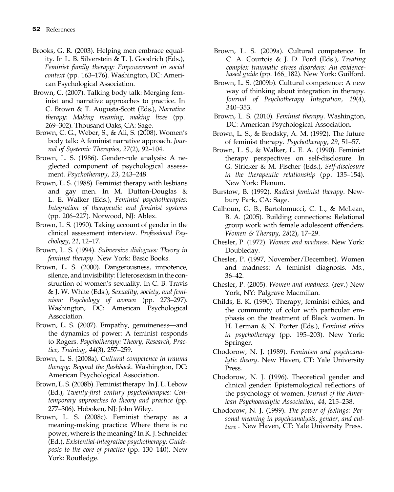- Brooks, G. R. (2003). Helping men embrace equality. In L. B. Silverstein & T. J. Goodrich (Eds.), Feminist family therapy: Empowerment in social context (pp. 163–176). Washington, DC: American Psychological Association.
- Brown, C. (2007). Talking body talk: Merging feminist and narrative approaches to practice. In C. Brown & T. Augusta-Scott (Eds.), Narrative therapy: Making meaning, making lives (pp. 269–302). Thousand Oaks, CA: Sage.
- Brown, C. G., Weber, S., & Ali, S. (2008). Women's body talk: A feminist narrative approach. Journal of Systemic Therapies, 27(2), 92–104.
- Brown, L. S. (1986). Gender-role analysis: A neglected component of psychological assessment. Psychotherapy, 23, 243–248.
- Brown, L. S. (1988). Feminist therapy with lesbians and gay men. In M. Dutton-Douglas & L. E. Walker (Eds.), Feminist psychotherapies: Integration of therapeutic and feminist systems (pp. 206–227). Norwood, NJ: Ablex.
- Brown, L. S. (1990). Taking account of gender in the clinical assessment interview. Professional Psychology, 21, 12–17.
- Brown, L. S. (1994). Subversive dialogues: Theory in feminist therapy. New York: Basic Books.
- Brown, L. S. (2000). Dangerousness, impotence, silence, and invisibility: Heterosexism in the construction of women's sexuality. In C. B. Travis & J. W. White (Eds.), Sexuality, society, and feminism: Psychology of women (pp. 273–297). Washington, DC: American Psychological Association.
- Brown, L. S. (2007). Empathy, genuineness—and the dynamics of power: A feminist responds to Rogers. Psychotherapy: Theory, Research, Practice, Training, 44(3), 257–259.
- Brown, L. S. (2008a). Cultural competence in trauma therapy: Beyond the flashback. Washington, DC: American Psychological Association.
- Brown, L. S. (2008b). Feminist therapy. In J. L. Lebow (Ed.), Twenty-first century psychotherapies: Contemporary approaches to theory and practice (pp. 277–306). Hoboken, NJ: John Wiley.
- Brown, L. S. (2008c). Feminist therapy as a meaning-making practice: Where there is no power, where is the meaning? In K. J. Schneider (Ed.), Existential-integrative psychotherapy: Guideposts to the core of practice (pp. 130–140). New York: Routledge.
- based guide (pp. 166\_182). New York: Guilford. Brown, L. S. (2009a). Cultural competence. In C. A. Courtois & J. D. Ford (Eds.), Treating complex traumatic stress disorders: An evidence-
- Brown, L. S. (2009b). Cultural competence: A new way of thinking about integration in therapy. Journal of Psychotherapy Integration, 19(4), 340–353.
- Brown, L. S. (2010). Feminist therapy. Washington, DC: American Psychological Association.
- Brown, L. S., & Brodsky, A. M. (1992). The future of feminist therapy. Psychotherapy, 29, 51–57.
- Brown, L. S., & Walker, L. E. A. (1990). Feminist therapy perspectives on self-disclosure. In G. Stricker & M. Fischer (Eds.), Self-disclosure in the therapeutic relationship (pp. 135–154). New York: Plenum.
- Burstow, B. (1992). Radical feminist therapy. Newbury Park, CA: Sage.
- Calhoun, G. B., Bartolomucci, C. L., & McLean, B. A. (2005). Building connections: Relational group work with female adolescent offenders. Women & Therapy, 28(2), 17–29.
- Chesler, P. (1972). Women and madness. New York: Doubleday.
- Chesler, P. (1997, November/December). Women and madness: A feminist diagnosis. Ms., 36–42.
- Chesler, P. (2005). Women and madness. (rev.) New York, NY: Palgrave Macmillan.
- Childs, E. K. (1990). Therapy, feminist ethics, and the community of color with particular emphasis on the treatment of Black women. In H. Lerman & N. Porter (Eds.), Feminist ethics in psychotherapy (pp. 195–203). New York: Springer.
- Chodorow, N. J. (1989). Feminism and psychoanalytic theory. New Haven, CT: Yale University Press.
- Chodorow, N. J. (1996). Theoretical gender and clinical gender: Epistemological reflections of the psychology of women. Journal of the American Psychoanalytic Association, 44, 215–238.
- Chodorow, N. J. (1999). The power of feelings: Personal meaning in psychoanalysis, gender, and culture . New Haven, CT: Yale University Press.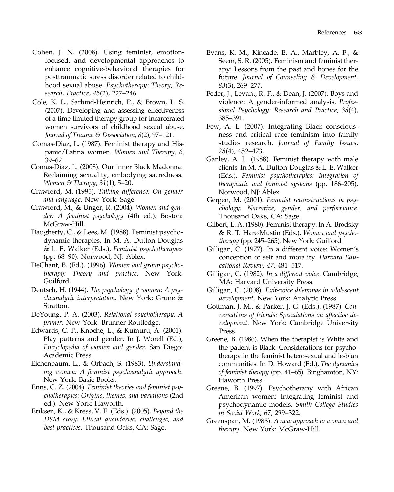- Cohen, J. N. (2008). Using feminist, emotionfocused, and developmental approaches to enhance cognitive-behavioral therapies for posttraumatic stress disorder related to childhood sexual abuse. Psychotherapy: Theory, Research, Practice, 45(2), 227–246.
- Cole, K. L., Sarlund-Heinrich, P., & Brown, L. S. (2007). Developing and assessing effectiveness of a time-limited therapy group for incarcerated women survivors of childhood sexual abuse. Journal of Trauma & Dissociation, 8(2), 97–121.
- Comas-Diaz, L. (1987). Feminist therapy and Hispanic/Latina women. Women and Therapy, 6, 39–62.
- Comas-Díaz, L. (2008). Our inner Black Madonna: Reclaiming sexuality, embodying sacredness. Women & Therapy, 31(1), 5–20.
- Crawford, M. (1995). Talking difference: On gender and language. New York: Sage.
- Crawford, M., & Unger, R. (2004). Women and gender: A feminist psychology (4th ed.). Boston: McGraw-Hill.
- Daugherty, C., & Lees, M. (1988). Feminist psychodynamic therapies. In M. A. Dutton Douglas & L. E. Walker (Eds.), Feminist psychotherapies (pp. 68–90). Norwood, NJ: Ablex.
- DeChant, B. (Ed.). (1996). Women and group psychotherapy: Theory and practice. New York: Guilford.
- Deutsch, H. (1944). The psychology of women: A psychoanalytic interpretation. New York: Grune & Stratton.
- DeYoung, P. A. (2003). Relational psychotherapy: A primer. New York: Brunner-Routledge.
- Edwards, C. P., Knoche, L., & Kumuru, A. (2001). Play patterns and gender. In J. Worell (Ed.), Encyclopedia of women and gender. San Diego: Academic Press.
- Eichenbaum, L., & Orbach, S. (1983). Understanding women: A feminist psychoanalytic approach. New York: Basic Books.
- Enns, C. Z. (2004). Feminist theories and feminist psychotherapies: Origins, themes, and variations (2nd ed.). New York: Haworth.
- Eriksen, K., & Kress, V. E. (Eds.). (2005). Beyond the DSM story: Ethical quandaries, challenges, and best practices. Thousand Oaks, CA: Sage.
- Evans, K. M., Kincade, E. A., Marbley, A. F., & Seem, S. R. (2005). Feminism and feminist therapy: Lessons from the past and hopes for the future. Journal of Counseling & Development. 83(3), 269–277.
- Feder, J., Levant, R. F., & Dean, J. (2007). Boys and violence: A gender-informed analysis. Professional Psychology: Research and Practice, 38(4), 385–391.
- Few, A. L. (2007). Integrating Black consciousness and critical race feminism into family studies research. Journal of Family Issues, 28(4), 452–473.
- Ganley, A. L. (1988). Feminist therapy with male clients. In M. A. Dutton-Douglas & L. E. Walker (Eds.), Feminist psychotherapies: Integration of therapeutic and feminist systems (pp. 186–205). Norwood, NJ: Ablex.
- Gergen, M. (2001). Feminist reconstructions in psychology: Narrative, gender, and performance. Thousand Oaks, CA: Sage.
- Gilbert, L. A. (1980). Feminist therapy. In A. Brodsky & R. T. Hare-Mustin (Eds.), Women and psychotherapy (pp. 245–265). New York: Guilford.
- Gilligan, C. (1977). In a different voice: Women's conception of self and morality. Harvard Educational Review, 47, 481–517.
- Gilligan, C. (1982). In a different voice. Cambridge, MA: Harvard University Press.
- Gilligan, C. (2008). Exit-voice dilemmas in adolescent development. New York: Analytic Press.
- Gottman, J. M., & Parker, J. G. (Eds.). (1987). Conversations of friends: Speculations on affective development. New York: Cambridge University Press.
- Greene, B. (1986). When the therapist is White and the patient is Black: Considerations for psychotherapy in the feminist heterosexual and lesbian communities. In D. Howard (Ed.), The dynamics of feminist therapy (pp. 41–65). Binghamton, NY: Haworth Press.
- Greene, B. (1997). Psychotherapy with African American women: Integrating feminist and psychodynamic models. Smith College Studies in Social Work, 67, 299–322.
- Greenspan, M. (1983). A new approach to women and therapy. New York: McGraw-Hill.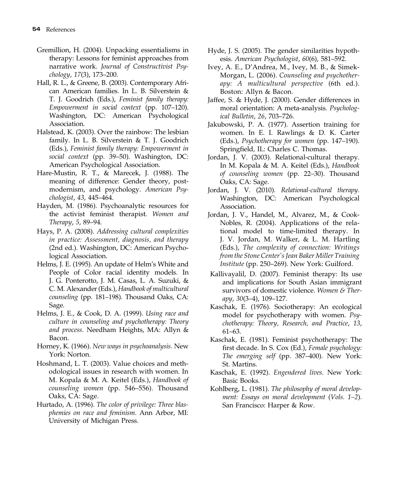- Gremillion, H. (2004). Unpacking essentialisms in therapy: Lessons for feminist approaches from narrative work. Journal of Constructivist Psychology, 17(3), 173–200.
- Hall, R. L., & Greene, B. (2003). Contemporary African American families. In L. B. Silverstein & T. J. Goodrich (Eds.), Feminist family therapy: Empowerment in social context (pp. 107–120). Washington, DC: American Psychological Association.
- Halstead, K. (2003). Over the rainbow: The lesbian family. In L. B. Silverstein & T. J. Goodrich (Eds.), Feminist family therapy: Empowerment in social context (pp. 39–50). Washington, DC: American Psychological Association.
- Hare-Mustin, R. T., & Marecek, J. (1988). The meaning of difference: Gender theory, postmodernism, and psychology. American Psychologist, 43, 445–464.
- Hayden, M. (1986). Psychoanalytic resources for the activist feminist therapist. Women and Therapy, 5, 89–94.
- Hays, P. A. (2008). Addressing cultural complexities in practice: Assessment, diagnosis, and therapy (2nd ed.). Washington, DC: American Psychological Association.
- Helms, J. E. (1995). An update of Helm's White and People of Color racial identity models. In J. G. Ponterotto, J. M. Casas, L. A. Suzuki, & C. M. Alexander (Eds.), Handbook of multicultural counseling (pp. 181–198). Thousand Oaks, CA: Sage.
- Helms, J. E., & Cook, D. A. (1999). Using race and culture in counseling and psychotherapy: Theory and process. Needham Heights, MA: Allyn & Bacon.
- Horney, K. (1966). New ways in psychoanalysis. New York: Norton.
- Hoshmand, L. T. (2003). Value choices and methodological issues in research with women. In M. Kopala & M. A. Keitel (Eds.), Handbook of counseling women (pp. 546–556). Thousand Oaks, CA: Sage.
- Hurtado, A. (1996). The color of privilege: Three blasphemies on race and feminism. Ann Arbor, MI: University of Michigan Press.
- Hyde, J. S. (2005). The gender similarities hypothesis. American Psychologist, 60(6), 581–592.
- Ivey, A. E., D'Andrea, M., Ivey, M. B., & Simek-Morgan, L. (2006). Counseling and psychotherapy: A multicultural perspective (6th ed.). Boston: Allyn & Bacon.
- Jaffee, S. & Hyde, J. (2000). Gender differences in moral orientation: A meta-analysis. Psychological Bulletin, 26, 703–726.
- Jakubowski, P. A. (1977). Assertion training for women. In E. I. Rawlings & D. K. Carter (Eds.), Psychotherapy for women (pp. 147–190). Springfield, IL: Charles C. Thomas.
- Jordan, J. V. (2003). Relational-cultural therapy. In M. Kopala & M. A. Keitel (Eds.), Handbook of counseling women (pp. 22–30). Thousand Oaks, CA: Sage.
- Jordan, J. V. (2010). Relational-cultural therapy. Washington, DC: American Psychological Association.
- Jordan, J. V., Handel, M., Alvarez, M., & Cook-Nobles, R. (2004). Applications of the relational model to time-limited therapy. In J. V. Jordan, M. Walker, & L. M. Hartling (Eds.), The complexity of connection: Writings from the Stone Center's Jean Baker Miller Training Institute (pp. 250–269). New York: Guilford.
- Kallivayalil, D. (2007). Feminist therapy: Its use and implications for South Asian immigrant survivors of domestic violence. Women  $\&$  Therapy, 30(3–4), 109–127.
- Kaschak, E. (1976). Sociotherapy: An ecological model for psychotherapy with women. Psychotherapy: Theory, Research, and Practice, 13, 61–63.
- Kaschak, E. (1981). Feminist psychotherapy: The first decade. In S. Cox (Ed.), Female psychology: The emerging self (pp. 387–400). New York: St. Martins.
- Kaschak, E. (1992). Engendered lives. New York: Basic Books.
- Kohlberg, L. (1981). The philosophy of moral development: Essays on moral development (Vols. 1–2). San Francisco: Harper & Row.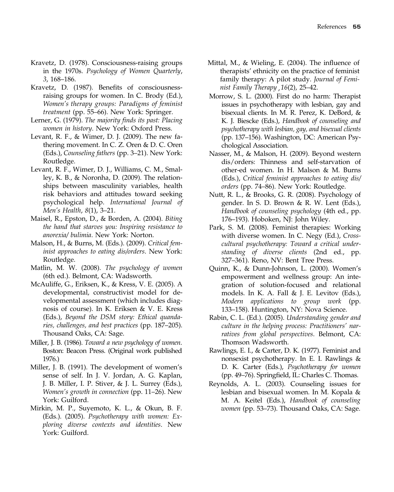- Kravetz, D. (1978). Consciousness-raising groups in the 1970s. Psychology of Women Quarterly, 3, 168–186.
- Kravetz, D. (1987). Benefits of consciousnessraising groups for women. In C. Brody (Ed.), Women's therapy groups: Paradigms of feminist treatment (pp. 55–66). New York: Springer.
- Lerner, G. (1979). The majority finds its past: Placing women in history. New York: Oxford Press.
- Levant, R. F., & Wimer, D. J. (2009). The new fathering movement. In C. Z. Oren & D. C. Oren (Eds.), Counseling fathers (pp. 3–21). New York: Routledge.
- Levant, R. F., Wimer, D. J., Williams, C. M., Smalley, K. B., & Noronha, D. (2009). The relationships between masculinity variables, health risk behaviors and attitudes toward seeking psychological help. International Journal of Men's Health, 8(1), 3–21.
- Maisel, R., Epston, D., & Borden, A. (2004). Biting the hand that starves you: Inspiring resistance to anorexia/ bulimia. New York: Norton.
- Malson, H., & Burns, M. (Eds.). (2009). Critical feminist approaches to eating dis/orders. New York: Routledge.
- Matlin, M. W. (2008). The psychology of women (6th ed.). Belmont, CA: Wadsworth.
- McAuliffe, G., Eriksen, K., & Kress, V. E. (2005). A developmental, constructivist model for developmental assessment (which includes diagnosis of course). In K. Eriksen & V. E. Kress (Eds.), Beyond the DSM story: Ethical quandaries, challenges, and best practices (pp. 187–205). Thousand Oaks, CA: Sage.
- Miller, J. B. (1986). Toward a new psychology of women. Boston: Beacon Press. (Original work published 1976.)
- Miller, J. B. (1991). The development of women's sense of self. In J. V. Jordan, A. G. Kaplan, J. B. Miller, I. P. Stiver, & J. L. Surrey (Eds.), Women's growth in connection (pp. 11–26). New York: Guilford.
- Mirkin, M. P., Suyemoto, K. L., & Okun, B. F. (Eds.). (2005). Psychotherapy with women: Exploring diverse contexts and identities. New York: Guilford.
- Mittal, M., & Wieling, E. (2004). The influence of therapists' ethnicity on the practice of feminist family therapy: A pilot study. Journal of Feminist Family Therapy , 16(2), 25–42.
- Morrow, S. L. (2000). First do no harm: Therapist issues in psychotherapy with lesbian, gay and bisexual clients. In M. R. Perez, K. DeBord, & K. J. Biescke (Eds.), Handbook of counseling and psychotherapy with lesbian, gay, and bisexual clients (pp. 137–156). Washington, DC: American Psychological Association.
- Nasser, M., & Malson, H. (2009). Beyond western dis/orders: Thinness and self-starvation of other-ed women. In H. Malson & M. Burns (Eds.), Critical feminist approaches to eating dis/ orders (pp. 74–86). New York: Routledge.
- Nutt, R. L., & Brooks, G. R. (2008). Psychology of gender. In S. D. Brown & R. W. Lent (Eds.), Handbook of counseling psychology (4th ed., pp. 176–193). Hoboken, NJ: John Wiley.
- Park, S. M. (2008). Feminist therapies: Working with diverse women. In C. Negy (Ed.), Crosscultural psychotherapy: Toward a critical understanding of diverse clients (2nd ed., pp. 327–361). Reno, NV: Bent Tree Press.
- Quinn, K., & Dunn-Johnson, L. (2000). Women's empowerment and wellness group: An integration of solution-focused and relational models. In K. A. Fall & J. E. Levitov (Eds.), Modern applications to group work (pp. 133–158). Huntington, NY: Nova Science.
- Rabin, C. L. (Ed.). (2005). Understanding gender and culture in the helping process: Practitioners' narratives from global perspectives. Belmont, CA: Thomson Wadsworth.
- Rawlings, E. I., & Carter, D. K. (1977). Feminist and nonsexist psychotherapy. In E. I. Rawlings & D. K. Carter (Eds.), Psychotherapy for women (pp. 49–76). Springfield, IL: Charles C. Thomas.
- Reynolds, A. L. (2003). Counseling issues for lesbian and bisexual women. In M. Kopala & M. A. Keitel (Eds.), Handbook of counseling women (pp. 53–73). Thousand Oaks, CA: Sage.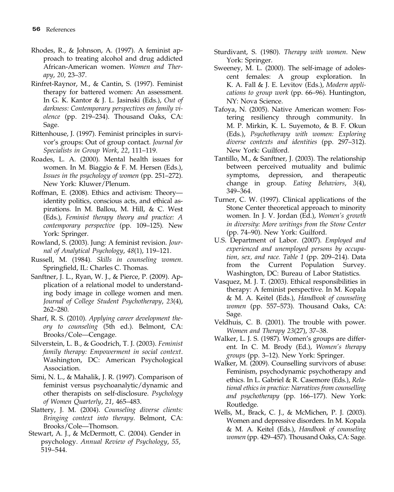- Rhodes, R., & Johnson, A. (1997). A feminist approach to treating alcohol and drug addicted African-American women. Women and Therapy, 20, 23–37.
- Rinfret-Raynor, M., & Cantin, S. (1997). Feminist therapy for battered women: An assessment. In G. K. Kantor & J. L. Jasinski (Eds.), Out of darkness: Contemporary perspectives on family violence (pp. 219–234). Thousand Oaks, CA: Sage.
- Rittenhouse, J. (1997). Feminist principles in survivor's groups: Out of group contact. Journal for Specialists in Group Work, 22, 111–119.
- Roades, L. A. (2000). Mental health issues for women. In M. Biaggio & F. M. Hersen (Eds.), Issues in the psychology of women (pp. 251–272). New York: Kluwer/Plenum.
- Roffman, E. (2008). Ethics and activism: Theory identity politics, conscious acts, and ethical aspirations. In M. Ballou, M. Hill, & C. West (Eds.), Feminist therapy theory and practice: A contemporary perspective (pp. 109–125). New York: Springer.
- Rowland, S. (2003). Jung: A feminist revision. Journal of Analytical Psychology, 48(1), 119–121.
- Russell, M. (1984). Skills in counseling women. Springfield, IL: Charles C. Thomas.
- Sanftner, J. L., Ryan, W. J., & Pierce, P. (2009). Application of a relational model to understanding body image in college women and men. Journal of College Student Psychotherapy, 23(4), 262–280.
- Sharf, R. S. (2010). Applying career development theory to counseling (5th ed.). Belmont, CA: Brooks/Cole—Cengage.
- Silverstein, L. B., & Goodrich, T. J. (2003). Feminist family therapy: Empowerment in social context. Washington, DC: American Psychological Association.
- Simi, N. L., & Mahalik, J. R. (1997). Comparison of feminist versus psychoanalytic/dynamic and other therapists on self-disclosure. Psychology of Women Quarterly, 21, 465–483.
- Slattery, J. M. (2004). Counseling diverse clients: Bringing context into therapy. Belmont, CA: Brooks/Cole—Thomson.
- Stewart, A. J., & McDermott, C. (2004). Gender in psychology. Annual Review of Psychology, 55, 519–544.

Sturdivant, S. (1980). Therapy with women. New York: Springer.

- Sweeney, M. L. (2000). The self-image of adolescent females: A group exploration. In K. A. Fall & J. E. Levitov (Eds.), Modern applications to group work (pp. 66–96). Huntington, NY: Nova Science.
- Tafoya, N. (2005). Native American women: Fostering resiliency through community. In M. P. Mirkin, K. L. Suyemoto, & B. F. Okun (Eds.), Psychotherapy with women: Exploring diverse contexts and identities (pp. 297–312). New York: Guilford.
- Tantillo, M., & Sanftner, J. (2003). The relationship between perceived mutuality and bulimic symptoms, depression, and therapeutic change in group. Eating Behaviors, 3(4), 349–364.
- Turner, C. W. (1997). Clinical applications of the Stone Center theoretical approach to minority women. In J. V. Jordan (Ed.), Women's growth in diversity: More writings from the Stone Center (pp. 74–90). New York: Guilford.
- U.S. Department of Labor. (2007). Employed and experienced and unemployed persons by occupation, sex, and race. Table 1 (pp. 209–214). Data from the Current Population Survey. Washington, DC: Bureau of Labor Statistics.
- Vasquez, M. J. T. (2003). Ethical responsibilities in therapy: A feminist perspective. In M. Kopala & M. A. Keitel (Eds.), Handbook of counseling women (pp. 557–573). Thousand Oaks, CA: Sage.
- Veldhuis, C. B. (2001). The trouble with power. Women and Therapy 23(27), 37–38.
- Walker, L. J. S. (1987). Women's groups are different. In C. M. Brody (Ed.), Women's therapy groups (pp. 3–12). New York: Springer.
- Walker, M. (2009). Counselling survivors of abuse: Feminism, psychodynamic psychotherapy and ethics. In L. Gabriel & R. Casemore (Eds.), Relational ethics in practice: Narratives from counselling and psychotherapy (pp. 166–177). New York: Routledge.
- Wells, M., Brack, C. J., & McMichen, P. J. (2003). Women and depressive disorders. In M. Kopala & M. A. Keitel (Eds.), Handbook of counseling women (pp. 429–457). Thousand Oaks, CA: Sage.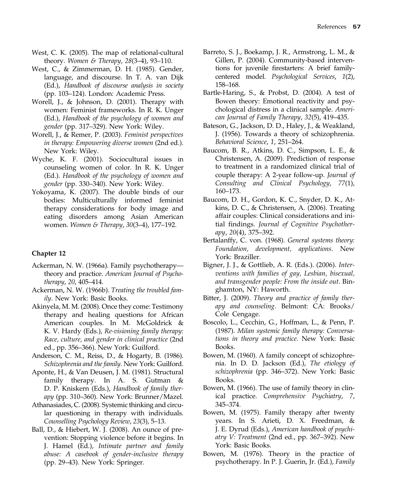- West, C. K. (2005). The map of relational-cultural theory. Women & Therapy, 28(3–4), 93–110.
- West, C., & Zimmerman, D. H. (1985). Gender, language, and discourse. In T. A. van Dijk (Ed.), Handbook of discourse analysis in society (pp. 103–124). London: Academic Press.
- Worell, J., & Johnson, D. (2001). Therapy with women: Feminist frameworks. In R. K. Unger (Ed.), Handbook of the psychology of women and gender (pp. 317–329). New York: Wiley.
- Worell, J., & Remer, P. (2003). Feminist perspectives in therapy: Empowering diverse women (2nd ed.). New York: Wiley.
- Wyche, K. F. (2001). Sociocultural issues in counseling women of color. In R. K. Unger (Ed.). Handbook of the psychology of women and gender (pp. 330–340). New York: Wiley.
- Yokoyama, K. (2007). The double binds of our bodies: Multiculturally informed feminist therapy considerations for body image and eating disorders among Asian American women. Women & Therapy, 30(3–4), 177–192.

- Ackerman, N. W. (1966a). Family psychotherapy theory and practice. American Journal of Psychotherapy, 20, 405–414.
- Ackerman, N. W. (1966b). Treating the troubled family. New York: Basic Books.
- Akinyela, M. M. (2008). Once they come: Testimony therapy and healing questions for African American couples. In M. McGoldrick & K. V. Hardy (Eds.), Re-visioning family therapy: Race, culture, and gender in clinical practice (2nd ed., pp. 356–366). New York: Guilford.
- Anderson, C. M., Reiss, D., & Hogarty, B. (1986). Schizophrenia and the family. New York: Guilford.
- Aponte, H., & Van Deusen, J. M. (1981). Structural family therapy. In A. S. Gutman & D. P. Kniskern (Eds.), Handbook of family therapy (pp. 310–360). New York: Brunner/Mazel.
- Athanasiades, C. (2008). Systemic thinking and circular questioning in therapy with individuals. Counselling Psychology Review, 23(3), 5–13.
- Ball, D., & Hiebert, W. J. (2008). An ounce of prevention: Stopping violence before it begins. In J. Hamel (Ed.), Intimate partner and family abuse: A casebook of gender-inclusive therapy (pp. 29–43). New York: Springer.
- Barreto, S. J., Boekamp, J. R., Armstrong, L. M., & Gillen, P. (2004). Community-based interventions for juvenile firestarters: A brief familycentered model. Psychological Services, 1(2), 158–168.
- Bartle-Haring, S., & Probst, D. (2004). A test of Bowen theory: Emotional reactivity and psychological distress in a clinical sample. American Journal of Family Therapy, 32(5), 419–435.
- Bateson, G., Jackson, D. D., Haley, J., & Weakland, J. (1956). Towards a theory of schizophrenia. Behavioral Science, 1, 251–264.
- Baucom, B. R., Atkins, D. C., Simpson, L. E., & Christensen, A. (2009). Prediction of response to treatment in a randomized clinical trial of couple therapy: A 2-year follow-up. Journal of Consulting and Clinical Psychology, 77(1), 160–173.
- Baucom, D. H., Gordon, K. C., Snyder, D. K., Atkins, D. C., & Christensen, A. (2006). Treating affair couples: Clinical considerations and initial findings. Journal of Cognitive Psychotherapy, 20(4), 375–392.
- Bertalanffy, C. von. (1968). General systems theory: Foundation, development, applications. New York: Braziller.
- Bigner, J. J., & Gottlieb, A. R. (Eds.). (2006). Interventions with families of gay, Lesbian, bisexual, and transgender people: From the inside out. Binghamton, NY: Haworth.
- Bitter, J. (2009). Theory and practice of family therapy and counseling. Belmont: CA: Brooks/ Cole Cengage.
- Boscolo, L., Cecchin, G., Hoffman, L., & Penn, P. (1987). Milan systemic family therapy: Conversations in theory and practice. New York: Basic Books.
- Bowen, M. (1960). A family concept of schizophrenia. In D. D. Jackson (Ed.), The etiology of schizophrenia (pp. 346–372). New York: Basic Books.
- Bowen, M. (1966). The use of family theory in clinical practice. Comprehensive Psychiatry, 7, 345–374.
- Bowen, M. (1975). Family therapy after twenty years. In S. Arieti, D. X. Freedman, & J. E. Dyrud (Eds.), American handbook of psychiatry V: Treatment (2nd ed., pp. 367–392). New York: Basic Books.
- Bowen, M. (1976). Theory in the practice of psychotherapy. In P. J. Guerin, Jr. (Ed.), Family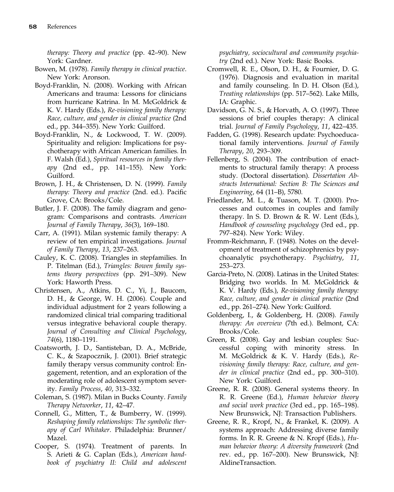therapy: Theory and practice (pp. 42–90). New York: Gardner.

- Bowen, M. (1978). Family therapy in clinical practice. New York: Aronson.
- Boyd-Franklin, N. (2008). Working with African Americans and trauma: Lessons for clinicians from hurricane Katrina. In M. McGoldrick & K. V. Hardy (Eds.), Re-visioning family therapy: Race, culture, and gender in clinical practice (2nd ed., pp. 344–355). New York: Guilford.
- Boyd-Franklin, N., & Lockwood, T. W. (2009). Spirituality and religion: Implications for psychotherapy with African American families. In F. Walsh (Ed.), Spiritual resources in family therapy (2nd ed., pp. 141–155). New York: Guilford.
- Brown, J. H., & Christensen, D. N. (1999). Family therapy: Theory and practice (2nd. ed.). Pacific Grove, CA: Brooks/Cole.
- Butler, J. F. (2008). The family diagram and genogram: Comparisons and contrasts. American Journal of Family Therapy, 36(3), 169–180.
- Carr, A. (1991). Milan systemic family therapy: A review of ten empirical investigations. Journal of Family Therapy, 13, 237–263.
- Cauley, K. C. (2008). Triangles in stepfamilies. In P. Titelman (Ed.), Triangles: Bowen family systems theory perspectives (pp. 291–309). New York: Haworth Press.
- Christensen, A., Atkins, D. C., Yi, J., Baucom, D. H., & George, W. H. (2006). Couple and individual adjustment for 2 years following a randomized clinical trial comparing traditional versus integrative behavioral couple therapy. Journal of Consulting and Clinical Psychology, 74(6), 1180–1191.
- Coatsworth, J. D., Santisteban, D. A., McBride, C. K., & Szapocznik, J. (2001). Brief strategic family therapy versus community control: Engagement, retention, and an exploration of the moderating role of adolescent symptom severity. Family Process, 40, 313–332.
- Coleman, S. (1987). Milan in Bucks County. Family Therapy Networker, 11, 42–47.
- Connell, G., Mitten, T., & Bumberry, W. (1999). Reshaping family relationships: The symbolic therapy of Carl Whitaker. Philadelphia: Brunner/ Mazel.
- Cooper, S. (1974). Treatment of parents. In S. Arieti & G. Caplan (Eds.), American handbook of psychiatry II: Child and adolescent

psychiatry, sociocultural and community psychiatry (2nd ed.). New York: Basic Books.

- Cromwell, R. E., Olson, D. H., & Fournier, D. G. (1976). Diagnosis and evaluation in marital and family counseling. In D. H. Olson (Ed.), Treating relationships (pp. 517–562). Lake Mills, IA: Graphic.
- Davidson, G. N. S., & Horvath, A. O. (1997). Three sessions of brief couples therapy: A clinical trial. Journal of Family Psychology, 11, 422–435.
- Fadden, G. (1998). Research update: Psychoeducational family interventions. Journal of Family Therapy, 20, 293–309.
- Fellenberg, S. (2004). The contribution of enactments to structural family therapy: A process study. (Doctoral dissertation). Dissertation Abstracts International: Section B: The Sciences and Engineering, 64 (11–B), 5780.
- Friedlander, M. L., & Tuason, M. T. (2000). Processes and outcomes in couples and family therapy. In S. D. Brown & R. W. Lent (Eds.), Handbook of counseling psychology (3rd ed., pp. 797–824). New York: Wiley.
- Fromm-Reichmann, F. (1948). Notes on the development of treatment of schizophrenics by psychoanalytic psychotherapy. Psychiatry, 11, 253–273.
- Garcia-Preto, N. (2008). Latinas in the United States: Bridging two worlds. In M. McGoldrick & K. V. Hardy (Eds.), Re-visioning family therapy: Race, culture, and gender in clinical practice (2nd ed., pp. 261–274). New York: Guilford.
- Goldenberg, I., & Goldenberg, H. (2008). Family therapy: An overview (7th ed.). Belmont, CA: Brooks/Cole.
- Green, R. (2008). Gay and lesbian couples: Successful coping with minority stress. In M. McGoldrick & K. V. Hardy (Eds.), Revisioning family therapy: Race, culture, and gender in clinical practice (2nd ed., pp. 300–310). New York: Guilford.
- Greene, R. R. (2008). General systems theory. In R. R. Greene (Ed.), Human behavior theory and social work practice (3rd ed., pp. 165–198). New Brunswick, NJ: Transaction Publishers.
- Greene, R. R., Kropf, N., & Frankel, K. (2009). A systems approach: Addressing diverse family forms. In R. R. Greene & N. Kropf (Eds.), Human behavior theory: A diversity framework (2nd rev. ed., pp. 167–200). New Brunswick, NJ: AldineTransaction.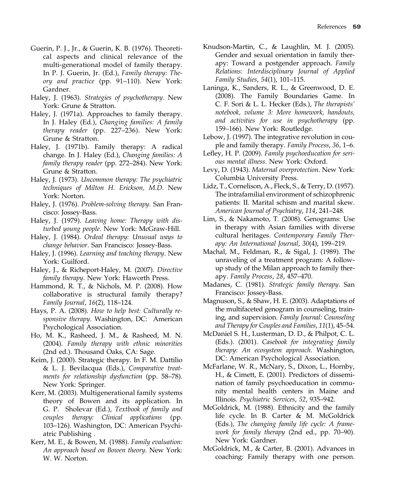- Guerin, P. J., Jr., & Guerin, K. B. (1976). Theoretical aspects and clinical relevance of the multi-generational model of family therapy. In P. J. Guerin, Jr. (Ed.), Family therapy: Theory and practice (pp. 91–110). New York: Gardner.
- Haley, J. (1963). Strategies of psychotherapy. New York: Grune & Stratton.
- Haley, J. (1971a). Approaches to family therapy. In J. Haley (Ed.), Changing families: A family therapy reader (pp. 227–236). New York: Grune & Stratton.
- Haley, J. (1971b). Family therapy: A radical change. In J. Haley (Ed.), Changing families: A family therapy reader (pp. 272–284). New York: Grune & Stratton.
- Haley, J. (1973). Uncommon therapy: The psychiatric techniques of Milton H. Erickson, M.D. New York: Norton.
- Haley, J. (1976). Problem-solving therapy. San Francisco: Jossey-Bass.
- Haley, J. (1979). Leaving home: Therapy with disturbed young people. New York: McGraw-Hill.
- Haley, J. (1984). Ordeal therapy: Unusual ways to change behavior. San Francisco: Jossey-Bass.
- Haley, J. (1996). Learning and teaching therapy. New York: Guilford.
- Haley, J., & Richeport-Haley, M. (2007). Directive family therapy. New York: Haworth Press.
- Hammond, R. T., & Nichols, M. P. (2008). How collaborative is structural family therapy? Family Journal, 16(2), 118–124.
- Hays, P. A. (2008). How to help best: Culturally responsive therapy. Washington, DC: American Psychological Association.
- Ho, M. K., Rasheed, J. M., & Rasheed, M. N. (2004). Family therapy with ethnic minorities (2nd ed.). Thousand Oaks, CA: Sage.
- Keim, J. (2000). Strategic therapy. In F. M. Dattilio & L. J. Bevilacqua (Eds.), Comparative treatments for relationship dysfunction (pp. 58–78). New York: Springer.
- Kerr, M. (2003). Multigenerational family systems theory of Bowen and its application. In G. P. Sholevar (Ed.), Textbook of family and couples therapy: Clinical applications (pp. 103–126). Washington, DC: American Psychiatric Publishing .
- Kerr, M. E., & Bowen, M. (1988). Family evaluation: An approach based on Bowen theory. New York: W. W. Norton.
- Knudson-Martin, C., & Laughlin, M. J. (2005). Gender and sexual orientation in family therapy: Toward a postgender approach. Family Relations: Interdisciplinary Journal of Applied Family Studies, 54(1), 101–115.
- Laninga, K., Sanders, R. L., & Greenwood, D. E. (2008). The Family Boundaries Game. In C. F. Sori & L. L. Hecker (Eds.), The therapists' notebook, volume 3: More homework, handouts, and activities for use in psychotherapy (pp. 159–166). New York: Routledge.
- Lebow, J. (1997). The integrative revolution in couple and family therapy. Family Process, 36, 1–6.
- Lefley, H. P. (2009). Family psychoeducation for serious mental illness. New York: Oxford.
- Levy, D. (1943). Maternal overprotection. New York: Columbia University Press.
- Lidz, T., Cornelison, A., Fleck, S., & Terry, D. (1957). The intrafamilial environment of schizophrenic patients: II. Marital schism and marital skew. American Journal of Psychiatry, 114, 241–248.
- Lim, S., & Nakamoto, T. (2008). Genograms: Use in therapy with Asian families with diverse cultural heritages. Contemporary Family Therapy: An International Journal, 30(4), 199–219.
- Machal, M., Feldman, R., & Sigal, J. (1989). The unraveling of a treatment program: A followup study of the Milan approach to family therapy. Family Process, 28, 457–470.
- Madanes, C. (1981). Strategic family therapy. San Francisco: Jossey-Bass.
- Magnuson, S., & Shaw, H. E. (2003). Adaptations of the multifaceted genogram in counseling, training, and supervision. Family Journal: Counseling and Therapy for Couples and Families, 11(1), 45–54.
- McDaniel S. H., Lusterman, D. D., & Philpot, C. L. (Eds.). (2001). Casebook for integrating family therapy: An ecosystem approach. Washington, DC: American Psychological Association.
- McFarlane, W. R., McNary, S., Dixon, L., Hornby, H., & Cimett, E. (2001). Predictors of dissemination of family psychoeducation in community mental health centers in Maine and Illinois. Psychiatric Services, 52, 935–942.
- McGoldrick, M. (1988). Ethnicity and the family life cycle. In B. Carter & M. McGoldrick (Eds.), The changing family life cycle: A framework for family therapy (2nd ed., pp. 70–90). New York: Gardner.
- McGoldrick, M., & Carter, B. (2001). Advances in coaching: Family therapy with one person.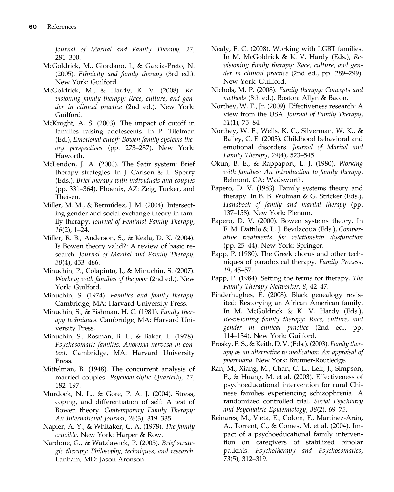Journal of Marital and Family Therapy, 27, 281–300.

- McGoldrick, M., Giordano, J., & Garcia-Preto, N. (2005). Ethnicity and family therapy (3rd ed.). New York: Guilford.
- McGoldrick, M., & Hardy, K. V. (2008). Revisioning family therapy: Race, culture, and gender in clinical practice (2nd ed.). New York: Guilford.
- McKnight, A. S. (2003). The impact of cutoff in families raising adolescents. In P. Titelman (Ed.), Emotional cutoff: Bowen family systems theory perspectives (pp. 273–287). New York: Haworth.
- McLendon, J. A. (2000). The Satir system: Brief therapy strategies. In J. Carlson & L. Sperry (Eds.), Brief therapy with individuals and couples (pp. 331–364). Phoenix, AZ: Zeig, Tucker, and Theisen.
- Miller, M. M., & Bermúdez, J. M. (2004). Intersecting gender and social exchange theory in family therapy. Journal of Feminist Family Therapy, 16(2), 1–24.
- Miller, R. B., Anderson, S., & Keala, D. K. (2004). Is Bowen theory valid?: A review of basic research. Journal of Marital and Family Therapy, 30(4), 453–466.
- Minuchin, P., Colapinto, J., & Minuchin, S. (2007). Working with families of the poor (2nd ed.). New York: Guilford.
- Minuchin, S. (1974). Families and family therapy. Cambridge, MA: Harvard University Press.
- Minuchin, S., & Fishman, H. C. (1981). Family therapy techniques. Cambridge, MA: Harvard University Press.
- Minuchin, S., Rosman, B. L., & Baker, L. (1978). Psychosomatic families: Anorexia nervosa in context. Cambridge, MA: Harvard University Press.
- Mittelman, B. (1948). The concurrent analysis of married couples. Psychoanalytic Quarterly, 17, 182–197.
- Murdock, N. L., & Gore, P. A. J. (2004). Stress, coping, and differentiation of self: A test of Bowen theory. Contemporary Family Therapy: An International Journal, 26(3), 319–335.
- Napier, A. Y., & Whitaker, C. A. (1978). The family crucible. New York: Harper & Row.
- Nardone, G., & Watzlawick, P. (2005). Brief strategic therapy: Philosophy, techniques, and research. Lanham, MD: Jason Aronson.
- Nealy, E. C. (2008). Working with LGBT families. In M. McGoldrick & K. V. Hardy (Eds.), Revisioning family therapy: Race, culture, and gender in clinical practice (2nd ed., pp. 289–299). New York: Guilford.
- Nichols, M. P. (2008). Family therapy: Concepts and methods (8th ed.). Boston: Allyn & Bacon.
- Northey, W. F., Jr. (2009). Effectiveness research: A view from the USA. Journal of Family Therapy, 31(1), 75–84.
- Northey, W. F., Wells, K. C., Silverman, W. K., & Bailey, C. E. (2003). Childhood behavioral and emotional disorders. Journal of Marital and Family Therapy, 29(4), 523–545.
- Okun, B. E., & Rappaport, L. J. (1980). Working with families: An introduction to family therapy. Belmont, CA: Wadsworth.
- Papero, D. V. (1983). Family systems theory and therapy. In B. B. Wolman & G. Stricker (Eds.), Handbook of family and marital therapy (pp. 137–158). New York: Plenum.
- Papero, D. V. (2000). Bowen systems theory. In F. M. Dattilo & L. J. Bevilacqua (Eds.), Comparative treatments for relationship dysfunction (pp. 25–44). New York: Springer.
- Papp, P. (1980). The Greek chorus and other techniques of paradoxical therapy. Family Process, 19, 45–57.
- Papp, P. (1984). Setting the terms for therapy. The Family Therapy Networker, 8, 42–47.
- Pinderhughes, E. (2008). Black genealogy revisited: Restorying an African American family. In M. McGoldrick & K. V. Hardy (Eds.), Re-visioning family therapy: Race, culture, and gender in clinical practice (2nd ed., pp. 114–134). New York: Guilford.
- Prosky, P. S., & Keith, D. V. (Eds.). (2003). Family therapy as an alternative to medication: An appraisal of pharmland. New York: Brunner-Routledge.
- Ran, M., Xiang, M., Chan, C. L., Leff, J., Simpson, P., & Huang, M. et al. (2003). Effectiveness of psychoeducational intervention for rural Chinese families experiencing schizophrenia. A randomized controlled trial. Social Psychiatry and Psychiatric Epidemiology, 38(2), 69–75.
- Reinares, M., Vieta, E., Colom, F., Martínez-Arán, A., Torrent, C., & Comes, M. et al. (2004). Impact of a psychoeducational family intervention on caregivers of stabilized bipolar patients. Psychotherapy and Psychosomatics, 73(5), 312–319.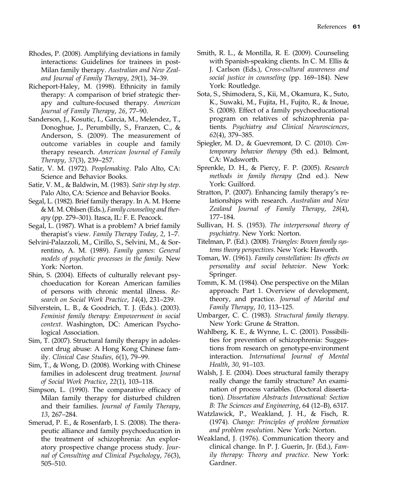- Rhodes, P. (2008). Amplifying deviations in family interactions: Guidelines for trainees in post-Milan family therapy. Australian and New Zealand Journal of Family Therapy, 29(1), 34–39.
- Richeport-Haley, M. (1998). Ethnicity in family therapy: A comparison of brief strategic therapy and culture-focused therapy. American Journal of Family Therapy, 26, 77–90.
- Sanderson, J., Kosutic, I., Garcia, M., Melendez, T., Donoghue, J., Perumbilly, S., Franzen, C., & Anderson, S. (2009). The measurement of outcome variables in couple and family therapy research. American Journal of Family Therapy, 37(3), 239–257.
- Satir, V. M. (1972). Peoplemaking. Palo Alto, CA: Science and Behavior Books.
- Satir, V. M., & Baldwin, M. (1983). Satir step by step. Palo Alto, CA: Science and Behavior Books.
- Segal, L. (1982). Brief family therapy. In A. M. Horne & M. M. Ohlsen (Eds.), Family counseling and therapy (pp. 279–301). Itasca, IL: F. E. Peacock.
- Segal, L. (1987). What is a problem? A brief family therapist's view. Family Therapy Today, 2, 1–7.
- Selvini-Palazzoli, M., Cirillo, S., Selvini, M., & Sorrentino, A. M. (1989). Family games: General models of psychotic processes in the family. New York: Norton.
- Shin, S. (2004). Effects of culturally relevant psychoeducation for Korean American families of persons with chronic mental illness. Research on Social Work Practice, 14(4), 231–239.
- Silverstein, L. B., & Goodrich, T. J. (Eds.). (2003). Feminist family therapy: Empowerment in social context. Washington, DC: American Psychological Association.
- Sim, T. (2007). Structural family therapy in adolescent drug abuse: A Hong Kong Chinese family. Clinical Case Studies, 6(1), 79–99.
- Sim, T., & Wong, D. (2008). Working with Chinese families in adolescent drug treatment. Journal of Social Work Practice, 22(1), 103–118.
- Simpson, L. (1990). The comparative efficacy of Milan family therapy for disturbed children and their families. Journal of Family Therapy, 13, 267–284.
- Smerud, P. E., & Rosenfarb, I. S. (2008). The therapeutic alliance and family psychoeducation in the treatment of schizophrenia: An exploratory prospective change process study. Journal of Consulting and Clinical Psychology, 76(3), 505–510.
- Smith, R. L., & Montilla, R. E. (2009). Counseling with Spanish-speaking clients. In C. M. Ellis & J. Carlson (Eds.), Cross-cultural awareness and social justice in counseling (pp. 169–184). New York: Routledge.
- Sota, S., Shimodera, S., Kii, M., Okamura, K., Suto, K., Suwaki, M., Fujita, H., Fujito, R., & Inoue, S. (2008). Effect of a family psychoeducational program on relatives of schizophrenia patients. Psychiatry and Clinical Neurosciences, 62(4), 379–385.
- Spiegler, M. D., & Guevremont, D. C. (2010). Contemporary behavior therapy (5th ed.). Belmont, CA: Wadsworth.
- Sprenkle, D. H., & Piercy, F. P. (2005). Research methods in family therapy (2nd ed.). New York: Guilford.
- Stratton, P. (2007). Enhancing family therapy's relationships with research. Australian and New Zealand Journal of Family Therapy, 28(4), 177–184.
- Sullivan, H. S. (1953). The interpersonal theory of psychiatry. New York: Norton.
- Titelman, P. (Ed.). (2008). Triangles: Bowen family systems theory perspectives. New York: Haworth.
- Toman, W. (1961). Family constellation: Its effects on personality and social behavior. New York: Springer.
- Tomm, K. M. (1984). One perspective on the Milan approach: Part 1. Overview of development, theory, and practice. Journal of Marital and Family Therapy, 10, 113–125.
- Umbarger, C. C. (1983). Structural family therapy. New York: Grune & Stratton.
- Wahlberg, K. E., & Wynne, L. C. (2001). Possibilities for prevention of schizophrenia: Suggestions from research on genotype-environment interaction. International Journal of Mental Health, 30, 91–103.
- Walsh, J. E. (2004). Does structural family therapy really change the family structure? An examination of process variables. (Doctoral dissertation). Dissertation Abstracts International: Section B: The Sciences and Engineering, 64 (12–B), 6317.
- Watzlawick, P., Weakland, J. H., & Fisch, R. (1974). Change: Principles of problem formation and problem resolution. New York: Norton.
- Weakland, J. (1976). Communication theory and clinical change. In P. J. Guerin, Jr. (Ed.), Family therapy: Theory and practice. New York: Gardner.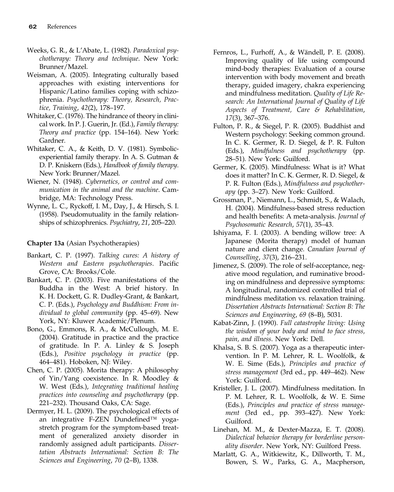- Weeks, G. R., & L'Abate, L. (1982). Paradoxical psychotherapy: Theory and technique. New York: Brunner/Mazel.
- Weisman, A. (2005). Integrating culturally based approaches with existing interventions for Hispanic/Latino families coping with schizophrenia. Psychotherapy: Theory, Research, Practice, Training, 42(2), 178–197.
- Whitaker, C. (1976). The hindrance of theory in clinical work. In P. J. Guerin, Jr. (Ed.), Family therapy: Theory and practice (pp. 154–164). New York: Gardner.
- Whitaker, C. A., & Keith, D. V. (1981). Symbolicexperiential family therapy. In A. S. Gutman & D. P. Kniskern (Eds.), Handbook of family therapy. New York: Brunner/Mazel.
- Wiener, N. (1948). Cybernetics, or control and communication in the animal and the machine. Cambridge, MA: Technology Press.
- Wynne, L. C., Ryckoff, I. M., Day, J., & Hirsch, S. I. (1958). Pseudomutuality in the family relationships of schizophrenics. Psychiatry, 21, 205–220.

# Chapter 13a (Asian Psychotherapies)

- Bankart, C. P. (1997). Talking cures: A history of Western and Eastern psychotherapies. Pacific Grove, CA: Brooks/Cole.
- Bankart, C. P. (2003). Five manifestations of the Buddha in the West: A brief history. In K. H. Dockett, G. R. Dudley-Grant, & Bankart, C. P. (Eds.), Psychology and Buddhism: From individual to global community (pp. 45–69). New York, NY: Kluwer Academic/Plenum.
- Bono, G., Emmons, R. A., & McCullough, M. E. (2004). Gratitude in practice and the practice of gratitude. In P. A. Linley & S. Joseph (Eds.), Positive psychology in practice (pp. 464–481). Hoboken, NJ: Wiley.
- Chen, C. P. (2005). Morita therapy: A philosophy of Yin/Yang coexistence. In R. Moodley & W. West (Eds.), Integrating traditional healing practices into counseling and psychotherapy (pp. 221–232). Thousand Oaks, CA: Sage.
- Dermyer, H. L. (2009). The psychological effects of an integrative F-ZEN Dundefined™ yogastretch program for the symptom-based treatment of generalized anxiety disorder in randomly assigned adult participants. Dissertation Abstracts International: Section B: The Sciences and Engineering, 70 (2–B), 1338.
- Fernros, L., Furhoff, A., & Wändell, P. E. (2008). Improving quality of life using compound mind-body therapies: Evaluation of a course intervention with body movement and breath therapy, guided imagery, chakra experiencing and mindfulness meditation. Quality of Life Research: An International Journal of Quality of Life Aspects of Treatment, Care & Rehabilitation, 17(3), 367–376.
- Fulton, P. R., & Siegel, P. R. (2005). Buddhist and Western psychology: Seeking common ground. In C. K. Germer, R. D. Siegel, & P. R. Fulton (Eds.), Mindfulness and psychotherapy (pp. 28–51). New York: Guilford.
- Germer, K. (2005). Mindfulness: What is it? What does it matter? In C. K. Germer, R. D. Siegel, & P. R. Fulton (Eds.), Mindfulness and psychotherapy (pp. 3–27). New York: Guilford.
- Grossman, P., Niemann, L., Schmidt, S., & Walach, H. (2004). Mindfulness-based stress reduction and health benefits: A meta-analysis. Journal of Psychosomatic Research, 57(1), 35–43.
- Ishiyama, F. I. (2003). A bending willow tree: A Japanese (Morita therapy) model of human nature and client change. Canadian Journal of Counselling, 37(3), 216–231.
- Jimenez, S. (2009). The role of self-acceptance, negative mood regulation, and ruminative brooding on mindfulness and depressive symptoms: A longitudinal, randomized controlled trial of mindfulness meditation vs. relaxation training. Dissertation Abstracts International: Section B: The Sciences and Engineering, 69 (8–B), 5031.
- Kabat-Zinn, J. (1990). Full catastrophe living: Using the wisdom of your body and mind to face stress, pain, and illness. New York: Dell.
- Khalsa, S. B. S. (2007). Yoga as a therapeutic intervention. In P. M. Lehrer, R. L. Woolfolk, & W. E. Sime (Eds.), Principles and practice of stress management (3rd ed., pp. 449–462). New York: Guilford.
- Kristeller, J. L. (2007). Mindfulness meditation. In P. M. Lehrer, R. L. Woolfolk, & W. E. Sime (Eds.), Principles and practice of stress management (3rd ed., pp. 393–427). New York: Guilford.
- Linehan, M. M., & Dexter-Mazza, E. T. (2008). Dialectical behavior therapy for borderline personality disorder. New York, NY: Guilford Press.
- Marlatt, G. A., Witkiewitz, K., Dillworth, T. M., Bowen, S. W., Parks, G. A., Macpherson,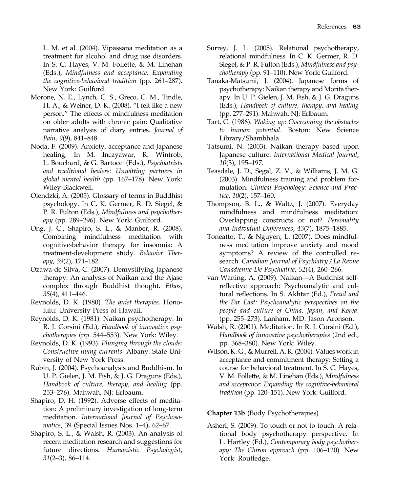L. M. et al. (2004). Vipassana meditation as a treatment for alcohol and drug use disorders. In S. C. Hayes, V. M. Follette, & M. Linehan (Eds.), Mindfulness and acceptance: Expanding the cognitive-behavioral tradition (pp. 261–287). New York: Guilford.

- Morone, N. E., Lynch, C. S., Greco, C. M., Tindle, H. A., & Weiner, D. K. (2008). "I felt like a new person." The effects of mindfulness meditation on older adults with chronic pain: Qualitative narrative analysis of diary entries. Journal of Pain, 9(9), 841–848.
- Noda, F. (2009). Anxiety, acceptance and Japanese healing. In M. Incayawar, R. Wintrob, L. Bouchard, & G. Bartocci (Eds.), Psychiatrists and traditional healers: Unwitting partners in global mental health (pp. 167–178). New York: Wiley-Blackwell.
- Olendzki, A. (2005). Glossary of terms in Buddhist psychology. In C. K. Germer, R. D. Siegel, & P. R. Fulton (Eds.), Mindfulness and psychotherapy (pp. 289–296). New York: Guilford.
- Ong, J. C., Shapiro, S. L., & Manber, R. (2008). Combining mindfulness meditation with cognitive-behavior therapy for insomnia: A treatment-development study. Behavior Therapy, 39(2), 171–182.
- Ozawa-de Silva, C. (2007). Demystifying Japanese therapy: An analysis of Naikan and the Ajase complex through Buddhist thought. Ethos, 35(4), 411–446.
- Reynolds, D. K. (1980). The quiet therapies. Honolulu: University Press of Hawaii.
- Reynolds, D. K. (1981). Naikan psychotherapy. In R. J. Corsini (Ed.), Handbook of innovative psychotherapies (pp. 544–553). New York: Wiley.
- Reynolds, D. K. (1993). Plunging through the clouds: Constructive living currents. Albany: State University of New York Press.
- Rubin, J. (2004). Psychoanalysis and Buddhism. In U. P. Gielen, J. M. Fish, & J. G. Draguns (Eds.), Handbook of culture, therapy, and healing (pp. 253–276). Mahwah, NJ: Erlbaum.
- Shapiro, D. H. (1992). Adverse effects of meditation: A preliminary investigation of long-term meditation. International Journal of Psychosomatics, 39 (Special Issues Nos. 1–4), 62–67.
- Shapiro, S. L., & Walsh, R. (2003). An analysis of recent meditation research and suggestions for future directions. Humanistic Psychologist, 31(2–3), 86–114.
- Surrey, J. L. (2005). Relational psychotherapy, relational mindfulness. In C. K. Germer, R. D. Siegel, & P. R. Fulton (Eds.), Mindfulness and psychotherapy (pp. 91–110). New York: Guilford.
- Tanaka-Matsumi, J. (2004). Japanese forms of psychotherapy: Naikan therapy and Morita therapy. In U. P. Gielen, J. M. Fish, & J. G. Draguns (Eds.), Handbook of culture, therapy, and healing (pp. 277–291). Mahwah, NJ: Erlbaum.
- Tart, C. (1986). Waking up: Overcoming the obstacles to human potential. Boston: New Science Library/Shambhala.
- Tatsumi, N. (2003). Naikan therapy based upon Japanese culture. International Medical Journal, 10(3), 195–197.
- Teasdale, J. D., Segal, Z. V., & Williams, J. M. G. (2003). Mindfulness training and problem formulation. Clinical Psychology: Science and Practice, 10(2), 157–160.
- Thompson, B. L., & Waltz, J. (2007). Everyday mindfulness and mindfulness meditation: Overlapping constructs or not? Personality and Individual Differences, 43(7), 1875–1885.
- Toneatto, T., & Nguyen, L. (2007). Does mindfulness meditation improve anxiety and mood symptoms? A review of the controlled research. Canadian Journal of Psychiatry / La Revue Canadienne De Psychiatrie, 52(4), 260–266.
- van Waning, A. (2009). Naikan—A Buddhist selfreflective approach: Psychoanalytic and cultural reflections. In S. Akhtar (Ed.), Freud and the Far East: Psychoanalytic perspectives on the people and culture of China, Japan, and Korea. (pp. 255–273). Lanham, MD: Jason Aronson.
- Walsh, R. (2001). Meditation. In R. J. Corsini (Ed.), Handbook of innovative psychotherapies (2nd ed., pp. 368–380). New York: Wiley.
- Wilson, K. G., & Murrell, A. R. (2004). Values work in acceptance and commitment therapy: Setting a course for behavioral treatment. In S. C. Hayes, V. M. Follette, & M. Linehan (Eds.), Mindfulness and acceptance: Expanding the cognitive-behavioral tradition (pp. 120–151). New York: Guilford.

Chapter 13b (Body Psychotherapies)

Asheri, S. (2009). To touch or not to touch: A relational body psychotherapy perspective. In L. Hartley (Ed.), Contemporary body psychotherapy: The Chiron approach (pp. 106–120). New York: Routledge.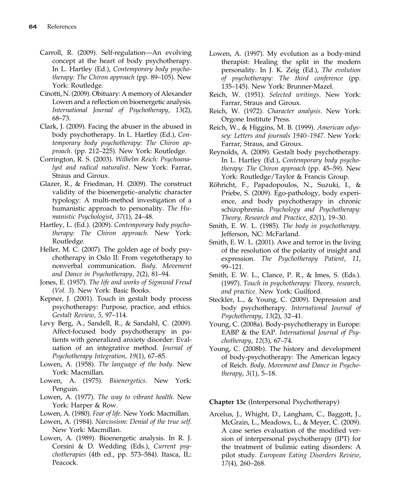- Carroll, R. (2009). Self-regulation—An evolving concept at the heart of body psychotherapy. In L. Hartley (Ed.), Contemporary body psychotherapy: The Chiron approach (pp. 89–105). New York: Routledge.
- Cinotti, N. (2009). Obituary: A memory of Alexander Lowen and a reflection on bioenergetic analysis. International Journal of Psychotherapy, 13(2), 68–73.
- Clark, J. (2009). Facing the abuser in the abused in body psychotherapy. In L. Hartley (Ed.), Contemporary body psychotherapy: The Chiron approach. (pp. 212–225). New York: Routledge.
- Corrington, R. S. (2003). Wilhelm Reich: Psychoanalyst and radical naturalist. New York: Farrar, Straus and Giroux.
- Glazer, R., & Friedman, H. (2009). The construct validity of the bioenergetic–analytic character typology: A multi-method investigation of a humanistic approach to personality. The Humanistic Psychologist, 37(1), 24–48.
- Hartley, L. (Ed.). (2009). Contemporary body psychotherapy: The Chiron approach. New York: Routledge.
- Heller, M. C. (2007). The golden age of body psychotherapy in Oslo II: From vegetotherapy to nonverbal communication. Body, Movement and Dance in Psychotherapy, 2(2), 81–94.
- Jones, E. (1957). The life and works of Sigmund Freud (Vol. 3). New York: Basic Books.
- Kepner, J. (2001). Touch in gestalt body process psychotherapy: Purpose, practice, and ethics. Gestalt Review, 5, 97–114.
- Levy Berg, A., Sandell, R., & Sandahl, C. (2009). Affect-focused body psychotherapy in patients with generalized anxiety disorder: Evaluation of an integrative method. Journal of Psychotherapy Integration, 19(1), 67–85.
- Lowen, A. (1958). The language of the body. New York: Macmillan.
- Lowen, A. (1975). *Bioenergetics*. New York: Penguin.
- Lowen, A. (1977). The way to vibrant health. New York: Harper & Row.
- Lowen, A. (1980). Fear of life. New York: Macmillan.
- Lowen, A. (1984). Narcissism: Denial of the true self. New York: Macmillan.
- Lowen, A. (1989). Bioenergetic analysis. In R. J. Corsini & D. Wedding (Eds.), Current psychotherapies (4th ed., pp. 573–584). Itasca, IL: Peacock.
- Lowen, A. (1997). My evolution as a body-mind therapist: Healing the split in the modern personality. In J. K. Zeig (Ed.), The evolution of psychotherapy: The third conference (pp. 135–145). New York: Brunner-Mazel.
- Reich, W. (1951). Selected writings. New York: Farrar, Straus and Giroux.
- Reich, W. (1972). Character analysis. New York: Orgone Institute Press.
- Reich, W., & Higgins, M. B. (1999). American odyssey: Letters and journals 1940–1947. New York: Farrar, Straus, and Giroux.
- Reynolds, A. (2009). Gestalt body psychotherapy. In L. Hartley (Ed.), Contemporary body psychotherapy: The Chiron approach (pp. 45–59). New York: Routledge/Taylor & Francis Group.
- Röhricht, F., Papadopoulos, N., Suzuki, I., & Priebe, S. (2009). Ego-pathology, body experience, and body psychotherapy in chronic schizophrenia. Psychology and Psychotherapy: Theory, Research and Practice, 82(1), 19–30.
- Smith, E. W. L. (1985). The body in psychotherapy. Jefferson, NC: McFarland.
- Smith, E. W. L. (2001). Awe and terror in the living of the resolution of the polarity of insight and expression. The Psychotherapy Patient, 11, 99–121.
- Smith, E. W. L., Clance, P. R., & Imes, S. (Eds.). (1997). Touch in psychotherapy: Theory, research, and practice. New York: Guilford.
- Steckler, L., & Young, C. (2009). Depression and body psychotherapy. International Journal of Psychotherapy, 13(2), 32–41.
- Young, C. (2008a). Body-psychotherapy in Europe: EABP & the EAP. International Journal of Psychotherapy, 12(3), 67–74.
- Young, C. (2008b). The history and development of body-psychotherapy: The American legacy of Reich. Body, Movement and Dance in Psychotherapy, 3(1), 5–18.

Chapter 13c (Interpersonal Psychotherapy)

Arcelus, J., Whight, D., Langham, C., Baggott, J., McGrain, L., Meadows, L., & Meyer, C. (2009). A case series evaluation of the modified version of interpersonal psychotherapy (IPT) for the treatment of bulimic eating disorders: A pilot study. European Eating Disorders Review, 17(4), 260–268.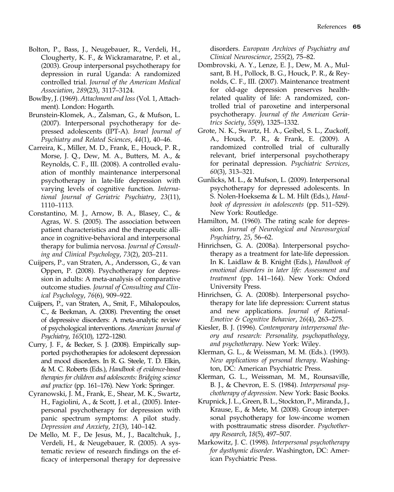- Bolton, P., Bass, J., Neugebauer, R., Verdeli, H., Clougherty, K. F., & Wickramaratne, P. et al., (2003). Group interpersonal psychotherapy for depression in rural Uganda: A randomized controlled trial. Journal of the American Medical Association, 289(23), 3117–3124.
- Bowlby, J. (1969). Attachment and loss (Vol. 1, Attachment). London: Hogarth.
- Brunstein-Klomek, A., Zalsman, G., & Mufson, L. (2007). Interpersonal psychotherapy for depressed adolescents (IPT-A). Israel Journal of Psychiatry and Related Sciences, 44(1), 40–46.
- Carreira, K., Miller, M. D., Frank, E., Houck, P. R., Morse, J. Q., Dew, M. A., Butters, M. A., & Reynolds, C. F., III. (2008). A controlled evaluation of monthly maintenance interpersonal psychotherapy in late-life depression with varying levels of cognitive function. International Journal of Geriatric Psychiatry, 23(11), 1110–1113.
- Constantino, M. J., Arnow, B. A., Blasey, C., & Agras, W. S. (2005). The association between patient characteristics and the therapeutic alliance in cognitive-behavioral and interpersonal therapy for bulimia nervosa. Journal of Consulting and Clinical Psychology, 73(2), 203–211.
- Cuijpers, P., van Straten, A., Andersson, G., & van Oppen, P. (2008). Psychotherapy for depression in adults: A meta-analysis of comparative outcome studies. Journal of Consulting and Clinical Psychology, 76(6), 909–922.
- Cuijpers, P., van Straten, A., Smit, F., Mihalopoulos, C., & Beekman, A. (2008). Preventing the onset of depressive disorders: A meta-analytic review of psychological interventions. American Journal of Psychiatry, 165(10), 1272–1280.
- Curry, J. F., & Becker, S. J. (2008). Empirically supported psychotherapies for adolescent depression and mood disorders. In R. G. Steele, T. D. Elkin, & M. C. Roberts (Eds.), Handbook of evidence-based therapies for children and adolescents: Bridging science and practice (pp. 161–176). New York: Springer.
- Cyranowski, J. M., Frank, E., Shear, M. K., Swartz, H., Fagiolini, A., & Scott, J. et al., (2005). Interpersonal psychotherapy for depression with panic spectrum symptoms: A pilot study. Depression and Anxiety, 21(3), 140–142.
- De Mello, M. F., De Jesus, M., J., Bacaltchuk, J., Verdeli, H., & Neugebauer, R. (2005). A systematic review of research findings on the efficacy of interpersonal therapy for depressive

disorders. European Archives of Psychiatry and Clinical Neuroscience, 255(2), 75–82.

- Dombrovski, A. Y., Lenze, E. J., Dew, M. A., Mulsant, B. H., Pollock, B. G., Houck, P. R., & Reynolds, C. F., III. (2007). Maintenance treatment for old-age depression preserves healthrelated quality of life: A randomized, controlled trial of paroxetine and interpersonal psychotherapy. Journal of the American Geriatrics Society, 55(9), 1325–1332.
- Grote, N. K., Swartz, H. A., Geibel, S. L., Zuckoff, A., Houck, P. R., & Frank, E. (2009). A randomized controlled trial of culturally relevant, brief interpersonal psychotherapy for perinatal depression. Psychiatric Services, 60(3), 313–321.
- Gunlicks, M. L., & Mufson, L. (2009). Interpersonal psychotherapy for depressed adolescents. In S. Nolen-Hoeksema & L. M. Hilt (Eds.), Handbook of depression in adolescents (pp. 511–529). New York: Routledge.
- Hamilton, M. (1960). The rating scale for depression. Journal of Neurological and Neurosurgical Psychiatry, 25, 56–62.
- Hinrichsen, G. A. (2008a). Interpersonal psychotherapy as a treatment for late-life depression. In K. Laidlaw & B. Knight (Eds.), Handbook of emotional disorders in later life: Assessment and treatment (pp. 141–164). New York: Oxford University Press.
- Hinrichsen, G. A. (2008b). Interpersonal psychotherapy for late life depression: Current status and new applications. Journal of Rational-Emotive & Cognitive Behavior, 26(4), 263–275.
- Kiesler, B. J. (1996). Contemporary interpersonal theory and research: Personality, psychopathology, and psychotherapy. New York: Wiley.
- Klerman, G. L., & Weissman, M. M. (Eds.). (1993). New applications of personal therapy. Washington, DC: American Psychiatric Press.
- Klerman, G. L., Weissman, M. M., Rounsaville, B. J., & Chevron, E. S. (1984). Interpersonal psychotherapy of depression. New York: Basic Books.
- Krupnick, J. L., Green, B. L., Stockton, P., Miranda, J., Krause, E., & Mete, M. (2008). Group interpersonal psychotherapy for low-income women with posttraumatic stress disorder. Psychotherapy Research, 18(5), 497–507.
- Markowitz, J. C. (1998). Interpersonal psychotherapy for dysthymic disorder. Washington, DC: American Psychiatric Press.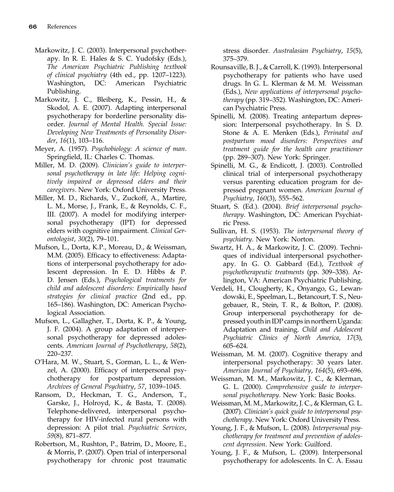- Markowitz, J. C. (2003). Interpersonal psychotherapy. In R. E. Hales & S. C. Yudofsky (Eds.), The American Psychiatric Publishing textbook of clinical psychiatry (4th ed., pp. 1207–1223). Washington, DC: American Psychiatric Publishing.
- Markowitz, J. C., Bleiberg, K., Pessin, H., & Skodol, A. E. (2007). Adapting interpersonal psychotherapy for borderline personality disorder. Journal of Mental Health. Special Issue: Developing New Treatments of Personality Disorder, 16(1), 103–116.
- Meyer, A. (1957). Psychobiology: A science of man. Springfield, IL: Charles C. Thomas.
- Miller, M. D. (2009). Clinician's guide to interpersonal psychotherapy in late life: Helping cognitively impaired or depressed elders and their caregivers. New York: Oxford University Press.
- Miller, M. D., Richards, V., Zuckoff, A., Martire, L. M., Morse, J., Frank, E., & Reynolds, C. F., III. (2007). A model for modifying interpersonal psychotherapy (IPT) for depressed elders with cognitive impairment. Clinical Gerontologist, 30(2), 79–101.
- Mufson, L., Dorta, K.P., Moreau, D., & Weissman, M.M. (2005). Efficacy to effectiveness: Adaptations of interpersonal psychotherapy for adolescent depression. In E. D. Hibbs & P. D. Jensen (Eds.), Psychological treatments for child and adolescent disorders: Empirically based strategies for clinical practice (2nd ed., pp. 165–186). Washington, DC: American Psychological Association.
- Mufson, L., Gallagher, T., Dorta, K. P., & Young, J. F. (2004). A group adaptation of interpersonal psychotherapy for depressed adolescents. American Journal of Psychotherapy, 58(2), 220–237.
- O'Hara, M. W., Stuart, S., Gorman, L. L., & Wenzel, A. (2000). Efficacy of interpersonal psychotherapy for postpartum depression. Archives of General Psychiatry, 57, 1039–1045.
- Ransom, D., Heckman, T. G., Anderson, T., Garske, J., Holroyd, K., & Basta, T. (2008). Telephone-delivered, interpersonal psychotherapy for HIV-infected rural persons with depression: A pilot trial. Psychiatric Services, 59(8), 871–877.
- Robertson, M., Rushton, P., Batrim, D., Moore, E., & Morris, P. (2007). Open trial of interpersonal psychotherapy for chronic post traumatic

stress disorder. Australasian Psychiatry, 15(5), 375–379.

- Rounsaville, B. J., & Carroll, K. (1993). Interpersonal psychotherapy for patients who have used drugs. In G. L. Klerman & M. M. Weissman (Eds.), New applications of interpersonal psychotherapy (pp. 319–352). Washington, DC: American Psychiatric Press.
- Spinelli, M. (2008). Treating antepartum depression: Interpersonal psychotherapy. In S. D. Stone & A. E. Menken (Eds.), Perinatal and postpartum mood disorders: Perspectives and treatment guide for the health care practitioner (pp. 289–307). New York: Springer.
- Spinelli, M. G., & Endicott, J. (2003). Controlled clinical trial of interpersonal psychotherapy versus parenting education program for depressed pregnant women. American Journal of Psychiatry, 160(3), 555–562.
- Stuart, S. (Ed.). (2004). Brief interpersonal psychotherapy. Washington, DC: American Psychiatric Press.
- Sullivan, H. S. (1953). The interpersonal theory of psychiatry. New York: Norton.
- Swartz, H. A., & Markowitz, J. C. (2009). Techniques of individual interpersonal psychotherapy. In G. O. Gabbard (Ed.), Textbook of psychotherapeutic treatments (pp. 309–338). Arlington, VA: American Psychiatric Publishing.
- Verdeli, H., Clougherty, K., Onyango, G., Lewandowski, E., Speelman, L., Betancourt, T. S., Neugebauer, R., Stein, T. R., & Bolton, P. (2008). Group interpersonal psychotherapy for depressed youth in IDP camps in northern Uganda: Adaptation and training. Child and Adolescent Psychiatric Clinics of North America, 17(3), 605–624.
- Weissman, M. M. (2007). Cognitive therapy and interpersonal psychotherapy: 30 years later. American Journal of Psychiatry, 164(5), 693–696.
- Weissman, M. M., Markowitz, J. C., & Klerman, G. L. (2000). Comprehensive guide to interpersonal psychotherapy. New York: Basic Books.
- Weissman, M. M., Markowitz, J. C., & Klerman, G. L. (2007). Clinician's quick guide to interpersonal psychotherapy. New York: Oxford University Press.
- Young, J. F., & Mufson, L. (2008). Interpersonal psychotherapy for treatment and prevention of adolescent depression. New York: Guilford.
- Young, J. F., & Mufson, L. (2009). Interpersonal psychotherapy for adolescents. In C. A. Essau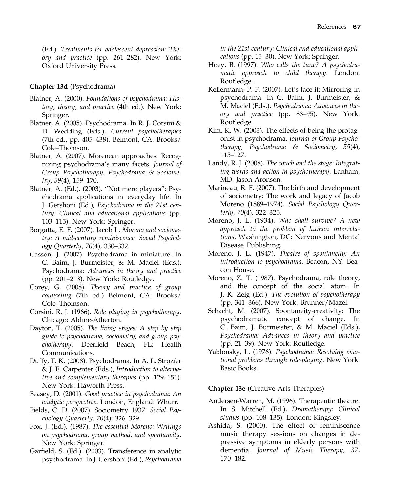(Ed.), Treatments for adolescent depression: Theory and practice (pp. 261–282). New York: Oxford University Press.

# Chapter 13d (Psychodrama)

- Blatner, A. (2000). Foundations of psychodrama: History, theory, and practice (4th ed.). New York: Springer.
- Blatner, A. (2005). Psychodrama. In R. J. Corsini & D. Wedding (Eds.), Current psychotherapies (7th ed., pp. 405–438). Belmont, CA: Brooks/ Cole–Thomson.
- Blatner, A. (2007). Morenean approaches: Recognizing psychodrama's many facets. Journal of Group Psychotherapy, Psychodrama & Sociometry, 59(4), 159–170.
- Blatner, A. (Ed.). (2003). "Not mere players": Psychodrama applications in everyday life. In J. Gershoni (Ed.), Psychodrama in the 21st century: Clinical and educational applications (pp. 103–115). New York: Springer.
- Borgatta, E. F. (2007). Jacob L. Moreno and sociometry: A mid-century reminiscence. Social Psychology Quarterly, 70(4), 330–332.
- Casson, J. (2007). Psychodrama in miniature. In C. Baim, J. Burmeister, & M. Maciel (Eds.), Psychodrama: Advances in theory and practice (pp. 201–213). New York: Routledge.
- Corey, G. (2008). Theory and practice of group counseling (7th ed.) Belmont, CA: Brooks/ Cole–Thomson.
- Corsini, R. J. (1966). Role playing in psychotherapy. Chicago: Aldine-Atherton.
- Dayton, T. (2005). The living stages: A step by step guide to psychodrama, sociometry, and group psychotherapy. Deerfield Beach, FL: Health Communications.
- Duffy, T. K. (2008). Psychodrama. In A. L. Strozíer & J. E. Carpenter (Eds.), Introduction to alternative and complementary therapies (pp. 129–151). New York: Haworth Press.
- Feasey, D. (2001). Good practice in psychodrama: An analytic perspective. London, England: Whurr.
- Fields, C. D. (2007). Sociometry 1937. Social Psychology Quarterly, 70(4), 326–329.
- Fox, J. (Ed.). (1987). The essential Moreno: Writings on psychodrama, group method, and spontaneity. New York: Springer.
- Garfield, S. (Ed.). (2003). Transference in analytic psychodrama. In J. Gershoni (Ed.), Psychodrama

in the 21st century: Clinical and educational applications (pp. 15–30). New York: Springer.

- Hoey, B. (1997). Who calls the tune? A psychodramatic approach to child therapy. London: Routledge.
- Kellermann, P. F. (2007). Let's face it: Mirroring in psychodrama. In C. Baim, J. Burmeister, & M. Maciel (Eds.), Psychodrama: Advances in theory and practice (pp. 83–95). New York: Routledge.
- Kim, K. W. (2003). The effects of being the protagonist in psychodrama. Journal of Group Psychotherapy, Psychodrama & Sociometry, 55(4), 115–127.
- Landy, R. J. (2008). The couch and the stage: Integrating words and action in psychotherapy. Lanham, MD: Jason Aronson.
- Marineau, R. F. (2007). The birth and development of sociometry: The work and legacy of Jacob Moreno (1889–1974). Social Psychology Quarterly, 70(4), 322–325.
- Moreno, J. L. (1934). Who shall survive? A new approach to the problem of human interrelations. Washington, DC: Nervous and Mental Disease Publishing.
- Moreno, J. L. (1947). Theatre of spontaneity: An introduction to psychodrama. Beacon, NY: Beacon House.
- Moreno, Z. T. (1987). Psychodrama, role theory, and the concept of the social atom. In J. K. Zeig (Ed.), The evolution of psychotherapy (pp. 341–366). New York: Brunner/Mazel.
- Schacht, M. (2007). Spontaneity-creativity: The psychodramatic concept of change. In C. Baim, J. Burmeister, & M. Maciel (Eds.), Psychodrama: Advances in theory and practice (pp. 21–39). New York: Routledge.
- Yablonsky, L. (1976). Psychodrama: Resolving emotional problems through role-playing. New York: Basic Books.

### Chapter 13e (Creative Arts Therapies)

- Andersen-Warren, M. (1996). Therapeutic theatre. In S. Mitchell (Ed.), Dramatherapy: Clinical studies (pp. 108–135). London: Kingsley.
- Ashida, S. (2000). The effect of reminiscence music therapy sessions on changes in depressive symptoms in elderly persons with dementia. Journal of Music Therapy, 37, 170–182.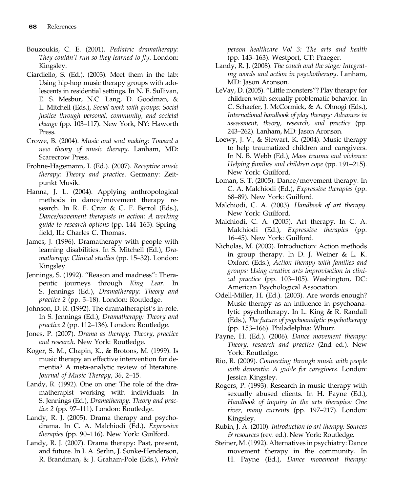- Bouzoukis, C. E. (2001). Pediatric dramatherapy: They couldn't run so they learned to fly. London: Kingsley.
- Ciardiello, S. (Ed.). (2003). Meet them in the lab: Using hip-hop music therapy groups with adolescents in residential settings. In N. E. Sullivan, E. S. Mesbur, N.C. Lang, D. Goodman, & L. Mitchell (Eds.), Social work with groups: Social justice through personal, community, and societal change (pp. 103–117). New York, NY: Haworth Press.
- Crowe, B. (2004). Music and soul making: Toward a new theory of music therapy. Lanham, MD: Scarecrow Press.
- Frohne-Hagemann, I. (Ed.). (2007). Receptive music therapy: Theory and practice. Germany: Zeitpunkt Musik.
- Hanna, J. L. (2004). Applying anthropological methods in dance/movement therapy research. In R. F. Cruz & C. F. Berrol (Eds.), Dance/movement therapists in action: A working guide to research options (pp. 144–165). Springfield, IL: Charles C. Thomas.
- James, J. (1996). Dramatherapy with people with learning disabilities. In S. Mitchell (Ed.), Dramatherapy: Clinical studies (pp. 15–32). London: Kingsley.
- Jennings, S. (1992). "Reason and madness": Therapeutic journeys through King Lear. In S. Jennings (Ed.), Dramatherapy: Theory and practice 2 (pp. 5–18). London: Routledge.
- Johnson, D. R. (1992). The dramatherapist's in-role. In S. Jennings (Ed.), Dramatherapy: Theory and practice 2 (pp. 112–136). London: Routledge.
- Jones, P. (2007). Drama as therapy: Theory, practice and research. New York: Routledge.
- Koger, S. M., Chapin, K., & Brotons, M. (1999). Is music therapy an effective intervention for dementia? A meta-analytic review of literature. Journal of Music Therapy, 36, 2–15.
- Landy, R. (1992). One on one: The role of the dramatherapist working with individuals. In S. Jennings (Ed.), Dramatherapy: Theory and practice 2 (pp. 97–111). London: Routledge.
- Landy, R. J. (2005). Drama therapy and psychodrama. In C. A. Malchiodi (Ed.), Expressive therapies (pp. 90–116). New York: Guilford.
- Landy, R. J. (2007). Drama therapy: Past, present, and future. In I. A. Serlin, J. Sonke-Henderson, R. Brandman, & J. Graham-Pole (Eds.), Whole

person healthcare Vol 3: The arts and health (pp. 143–163). Westport, CT: Praeger.

- Landy, R. J. (2008). The couch and the stage: Integrating words and action in psychotherapy. Lanham, MD: Jason Aronson.
- LeVay, D. (2005). "Little monsters"? Play therapy for children with sexually problematic behavior. In C. Schaefer, J. McCormick, & A. Ohnogi (Eds.), International handbook of play therapy: Advances in assessment, theory, research, and practice (pp. 243–262). Lanham, MD: Jason Aronson.
- Loewy, J. V., & Stewart, K. (2004). Music therapy to help traumatized children and caregivers. In N. B. Webb (Ed.), Mass trauma and violence: Helping families and children cope (pp. 191–215). New York: Guilford.
- Loman, S. T. (2005). Dance/movement therapy. In C. A. Malchiodi (Ed.), Expressive therapies (pp. 68–89). New York: Guilford.
- Malchiodi, C. A. (2003). Handbook of art therapy. New York: Guilford.
- Malchiodi, C. A. (2005). Art therapy. In C. A. Malchiodi (Ed.), Expressive therapies (pp. 16–45). New York: Guilford.
- Nicholas, M. (2003). Introduction: Action methods in group therapy. In D. J. Weiner & L. K. Oxford (Eds.), Action therapy with families and groups: Using creative arts improvisation in clinical practice (pp. 103–105). Washington, DC: American Psychological Association.
- Odell-Miller, H. (Ed.). (2003). Are words enough? Music therapy as an influence in psychoanalytic psychotherapy. In L. King & R. Randall (Eds.), The future of psychoanalytic psychotherapy (pp. 153–166). Philadelphia: Whurr.
- Payne, H. (Ed.). (2006). Dance movement therapy: Theory, research and practice (2nd ed.). New York: Routledge.
- Rio, R. (2009). Connecting through music with people with dementia: A guide for caregivers. London: Jessica Kingsley.
- Rogers, P. (1993). Research in music therapy with sexually abused clients. In H. Payne (Ed.), Handbook of inquiry in the arts therapies: One river, many currents (pp. 197–217). London: Kingsley.
- Rubin, J. A. (2010). Introduction to art therapy: Sources & resources (rev. ed.). New York: Routledge.
- Steiner, M. (1992). Alternatives in psychiatry: Dance movement therapy in the community. In H. Payne (Ed.), Dance movement therapy: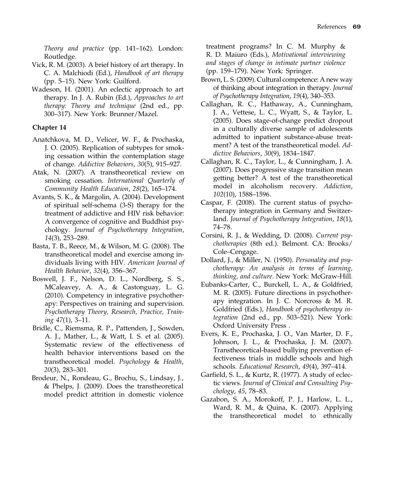Theory and practice (pp. 141–162). London: Routledge.

- Vick, R. M. (2003). A brief history of art therapy. In C. A. Malchiodi (Ed.), Handbook of art therapy (pp. 5–15). New York: Guilford.
- Wadeson, H. (2001). An eclectic approach to art therapy. In J. A. Rubin (Ed.), Approaches to art therapy: Theory and technique (2nd ed., pp. 300–317). New York: Brunner/Mazel.

#### Chapter 14

- Anatchkova, M. D., Velicer, W. F., & Prochaska, J. O. (2005). Replication of subtypes for smoking cessation within the contemplation stage of change. Addictive Behaviors, 30(5), 915–927.
- Atak, N. (2007). A transtheoretical review on smoking cessation. International Quarterly of Community Health Education, 28(2), 165–174.
- Avants, S. K., & Margolin, A. (2004). Development of spiritual self-schema (3-S) therapy for the treatment of addictive and HIV risk behavior: A convergence of cognitive and Buddhist psychology. Journal of Psychotherapy Integration, 14(3), 253–289.
- Basta, T. B., Reece, M., & Wilson, M. G. (2008). The transtheoretical model and exercise among individuals living with HIV. American Journal of Health Behavior, 32(4), 356–367.
- Boswell, J. F., Nelson, D. L., Nordberg, S. S., MCaleavey, A. A., & Castonguay, L. G. (2010). Competency in integrative psychotherapy: Perspectives on training and supervision. Psychotherapy Theory, Research, Practice, Training 47(1), 3–11.
- Bridle, C., Riemsma, R. P., Pattenden, J., Sowden, A. J., Mather, L., & Watt, I. S. et al. (2005). Systematic review of the effectiveness of health behavior interventions based on the transtheoretical model. Psychology & Health, 20(3), 283–301.
- Brodeur, N., Rondeau, G., Brochu, S., Lindsay, J., & Phelps, J. (2009). Does the transtheoretical model predict attrition in domestic violence

treatment programs? In C. M. Murphy & R. D. Maiuro (Eds.), Motivational interviewing and stages of change in intimate partner violence (pp. 159–179). New York: Springer.

- Brown, L. S. (2009). Cultural competence: A new way of thinking about integration in therapy. Journal of Psychotherapy Integration, 19(4), 340–353.
- Callaghan, R. C., Hathaway, A., Cunningham, J. A., Vettese, L. C., Wyatt, S., & Taylor, L. (2005). Does stage-of-change predict dropout in a culturally diverse sample of adolescents admitted to inpatient substance-abuse treatment? A test of the transtheoretical model. Addictive Behaviors, 30(9), 1834–1847.
- Callaghan, R. C., Taylor, L., & Cunningham, J. A. (2007). Does progressive stage transition mean getting better? A test of the transtheoretical model in alcoholism recovery. Addiction, 102(10), 1588–1596.
- Caspar, F. (2008). The current status of psychotherapy integration in Germany and Switzerland. Journal of Psychotherapy Integration, 18(1), 74–78.
- Corsini, R. J., & Wedding, D. (2008). Current psychotherapies (8th ed.). Belmont. CA: Brooks/ Cole–Cengage.
- Dollard, J., & Miller, N. (1950). Personality and psychotherapy: An analysis in terms of learning, thinking, and culture. New York: McGraw-Hill.
- Eubanks-Carter, C., Burckell, L. A., & Goldfried, M. R. (2005). Future directions in psychotherapy integration. In J. C. Norcross & M. R. Goldfried (Eds.), Handbook of psychotherapy integration (2nd ed., pp. 503–521). New York: Oxford University Press .
- Evers, K. E., Prochaska, J. O., Van Marter, D. F., Johnson, J. L., & Prochaska, J. M. (2007). Transtheoretical-based bullying prevention effectiveness trials in middle schools and high schools. Educational Research, 49(4), 397–414.
- Garfield, S. L., & Kurtz, R. (1977). A study of eclectic views. Journal of Clinical and Consulting Psychology, 45, 78–83.
- Gazabon, S. A., Morokoff, P. J., Harlow, L. L., Ward, R. M., & Quina, K. (2007). Applying the transtheoretical model to ethnically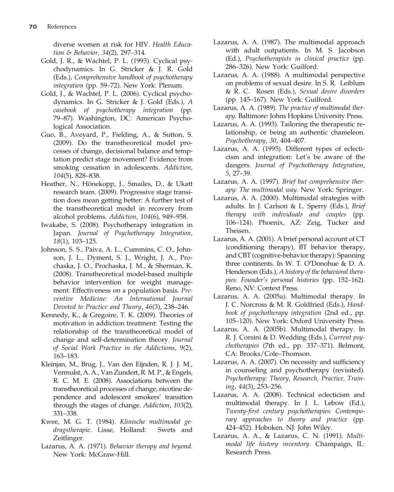diverse women at risk for HIV. Health Education & Behavior, 34(2), 297–314.

- Gold, J. R., & Wachtel, P. L. (1993). Cyclical psychodynamics. In G. Stricker & J. R. Gold (Eds.), Comprehensive handbook of psychotherapy integration (pp. 59–72). New York: Plenum.
- Gold, J., & Wachtel, P. L. (2006). Cyclical psychodynamics. In G. Stricker & J. Gold (Eds.), A casebook of psychotherapy integration (pp. 79–87). Washington, DC: American Psychological Association.
- Guo, B., Aveyard, P., Fielding, A., & Sutton, S. (2009). Do the transtheoretical model processes of change, decisional balance and temptation predict stage movement? Evidence from smoking cessation in adolescents. Addiction, 104(5), 828–838.
- Heather, N., Hönekopp, J., Smailes, D., & Ukatt research team. (2009). Progressive stage transition does mean getting better: A further test of the transtheoretical model in recovery from alcohol problems. Addiction, 104(6), 949–958.
- Iwakabe, S. (2008). Psychotherapy integration in Japan. Journal of Psychotherapy Integration, 18(1), 103–125.
- Johnson, S. S., Paiva, A. L., Cummins, C. O., Johnson, J. L., Dyment, S. J., Wright, J. A., Prochaska, J. O., Prochaska, J. M., & Sherman, K. (2008). Transtheoretical model-based multiple behavior intervention for weight management: Effectiveness on a population basis. Preventive Medicine: An International Journal Devoted to Practice and Theory, 46(3), 238–246.
- Kennedy, K., & Gregoire, T. K. (2009). Theories of motivation in addiction treatment: Testing the relationship of the transtheoretical model of change and self-determination theory. Journal of Social Work Practice in the Addictions, 9(2), 163–183.
- Kleinjan, M., Brug, J., Van den Eijnden, R. J. J. M., Vermulst, A. A., Van Zundert, R. M. P., & Engels, R. C. M. E. (2008). Associations between the transtheoretical processes of change, nicotine dependence and adolescent smokers' transition through the stages of change. Addiction, 103(2), 331–338.
- Kwee, M. G. T. (1984). Klinische multimodal gedragstherapie. Lisse, Holland: Swets and Zeitlinger.
- Lazarus, A. A. (1971). Behavior therapy and beyond. New York: McGraw-Hill.
- Lazarus, A. A. (1987). The multimodal approach with adult outpatients. In M. S. Jacobson (Ed.), Psychotherapists in clinical practice (pp. 286–326). New York: Guilford.
- Lazarus, A. A. (1988). A multimodal perspective on problems of sexual desire. In S. R. Leiblum & R. C. Rosen (Eds.), Sexual desire disorders (pp. 145–167). New York: Guilford.
- Lazarus, A. A. (1989). The practice of multimodal therapy. Baltimore: Johns Hopkins University Press.
- Lazarus, A. A. (1993). Tailoring the therapeutic relationship, or being an authentic chameleon. Psychotherapy, 30, 404–407.
- Lazarus, A. A. (1995). Different types of eclecticism and integration: Let's be aware of the dangers. Journal of Psychotherapy Integration, 5, 27–39.
- Lazarus, A. A. (1997). Brief but comprehensive therapy: The multimodal way. New York: Springer.
- Lazarus, A. A. (2000). Multimodal strategies with adults. In J. Carlson & L. Sperry (Eds.), Brief therapy with individuals and couples (pp. 106–124). Phoenix, AZ: Zeig, Tucker and Theisen.
- Lazarus, A. A. (2001). A brief personal account of CT (conditioning therapy), BT behavior therapy, and CBT (cognitive-behavior therapy): Spanning three continents. In W. T. O'Donohue & D. A. Henderson (Eds.), A history of the behavioral therapies: Founder's personal histories (pp. 152–162). Reno, NV: Context Press.
- Lazarus, A. A. (2005a). Multimodal therapy. In J. C. Norcross & M. R. Goldfried (Eds.), Handbook of psychotherapy integration (2nd ed., pp. 105–120). New York: Oxford University Press.
- Lazarus, A. A. (2005b). Multimodal therapy. In R. J. Corsini & D. Wedding (Eds.), Current psychotherapies (7th ed., pp. 337–371). Belmont, CA: Brooks/Cole–Thomson.
- Lazarus, A. A. (2007). On necessity and sufficiency in counseling and psychotherapy (revisited). Psychotherapy: Theory, Research, Practice, Training, 44(3), 253–256.
- Lazarus, A. A. (2008). Technical eclecticism and multimodal therapy. In J. L. Lebow (Ed.), Twenty-first century psychotherapies: Contemporary approaches to theory and practice (pp. 424–452). Hoboken, NJ: John Wiley.
- Lazarus, A. A., & Lazarus, C. N. (1991). Multimodal life history inventory. Champaign, IL: Research Press.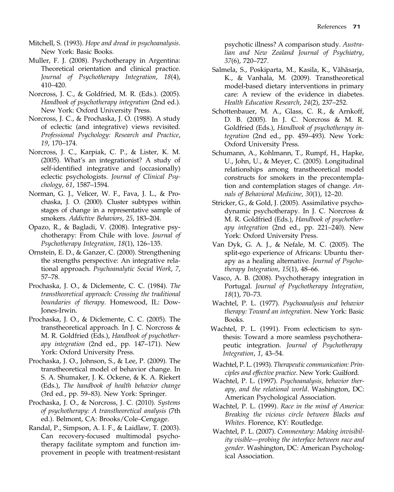- Mitchell, S. (1993). Hope and dread in psychoanalysis. New York: Basic Books.
- Muller, F. J. (2008). Psychotherapy in Argentina: Theoretical orientation and clinical practice. Journal of Psychotherapy Integration, 18(4), 410–420.
- Norcross, J. C., & Goldfried, M. R. (Eds.). (2005). Handbook of psychotherapy integration (2nd ed.). New York: Oxford University Press.
- Norcross, J. C., & Prochaska, J. O. (1988). A study of eclectic (and integrative) views revisited. Professional Psychology: Research and Practice, 19, 170–174.
- Norcross, J. C., Karpiak, C. P., & Lister, K. M. (2005). What's an integrationist? A study of self-identified integrative and (occasionally) eclectic psychologists. Journal of Clinical Psychology, 61, 1587–1594.
- Norman, G. J., Velicer, W. F., Fava, J. L., & Prochaska, J. O. (2000). Cluster subtypes within stages of change in a representative sample of smokers. Addictive Behaviors, 25, 183–204.
- Opazo, R., & Bagladi, V. (2008). Integrative psychotherapy: From Chile with love. Journal of Psychotherapy Integration, 18(1), 126–135.
- Ornstein, E. D., & Ganzer, C. (2000). Strengthening the strengths perspective: An integrative relational approach. Psychoanalytic Social Work, 7, 57–78.
- Prochaska, J. O., & Diclemente, C. C. (1984). The transtheoretical approach: Crossing the traditional boundaries of therapy. Homewood, IL: Dow-Jones-Irwin.
- Prochaska, J. O., & Diclemente, C. C. (2005). The transtheoretical approach. In J. C. Norcross & M. R. Goldfried (Eds.), Handbook of psychotherapy integration (2nd ed., pp. 147–171). New York: Oxford University Press.
- Prochaska, J. O., Johnson, S., & Lee, P. (2009). The transtheoretical model of behavior change. In S. A. Shumaker, J. K. Ockene, & K. A. Riekert (Eds.), The handbook of health behavior change (3rd ed., pp. 59–83). New York: Springer.
- Prochaska, J. O., & Norcross, J. C. (2010). Systems of psychotherapy: A transtheoretical analysis (7th ed.). Belmont, CA: Brooks/Cole–Cengage.
- Randal, P., Simpson, A. I. F., & Laidlaw, T. (2003). Can recovery-focused multimodal psychotherapy facilitate symptom and function improvement in people with treatment-resistant

psychotic illness? A comparison study. Australian and New Zealand Journal of Psychiatry, 37(6), 720–727.

- Salmela, S., Poskiparta, M., Kasila, K., Vähäsarja, K., & Vanhala, M. (2009). Transtheoretical model-based dietary interventions in primary care: A review of the evidence in diabetes. Health Education Research, 24(2), 237–252.
- Schottenbauer, M. A., Glass, C. R., & Arnkoff, D. B. (2005). In J. C. Norcross & M. R. Goldfried (Eds.), Handbook of psychotherapy integration (2nd ed., pp. 459–493). New York: Oxford University Press.
- Schumann, A., Kohlmann, T., Rumpf, H., Hapke, U., John, U., & Meyer, C. (2005). Longitudinal relationships among transtheoretical model constructs for smokers in the precontemplation and contemplation stages of change. Annals of Behavioral Medicine, 30(1), 12–20.
- Stricker, G., & Gold, J. (2005). Assimilative psychodynamic psychotherapy. In J. C. Norcross & M. R. Goldfried (Eds.), Handbook of psychotherapy integration (2nd ed., pp. 221–240). New York: Oxford University Press.
- Van Dyk, G. A. J., & Nefale, M. C. (2005). The split-ego experience of Africans: Ubuntu therapy as a healing alternative. Journal of Psychotherapy Integration, 15(1), 48–66.
- Vasco, A. B. (2008). Psychotherapy integration in Portugal. Journal of Psychotherapy Integration, 18(1), 70–73.
- Wachtel, P. L. (1977). Psychoanalysis and behavior therapy: Toward an integration. New York: Basic Books.
- Wachtel, P. L. (1991). From eclecticism to synthesis: Toward a more seamless psychotherapeutic integration. Journal of Psychotherapy Integration, 1, 43–54.
- Wachtel, P. L. (1993). Therapeutic communication: Principles and effective practice. New York: Guilford.
- Wachtel, P. L. (1997). Psychoanalysis, behavior therapy, and the relational world. Washington, DC: American Psychological Association.
- Wachtel, P. L. (1999). Race in the mind of America: Breaking the vicious circle between Blacks and Whites. Florence, KY: Routledge.
- Wachtel, P. L. (2007). Commentary: Making invisibility visible—probing the interface between race and gender. Washington, DC: American Psychological Association.